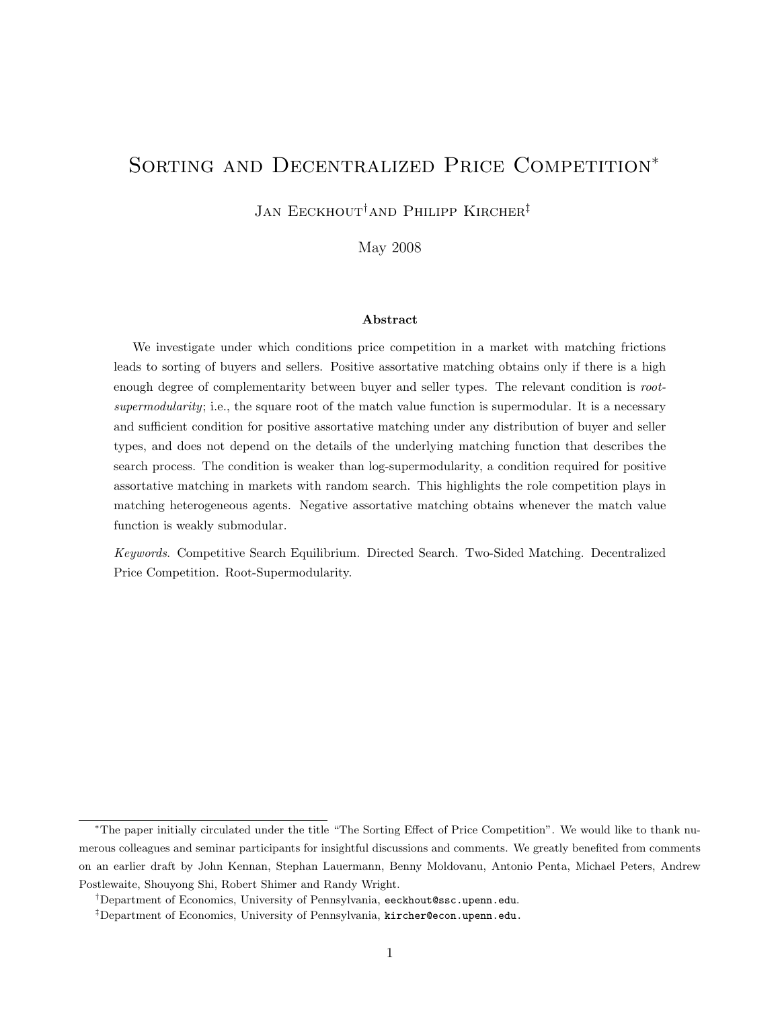# SORTING AND DECENTRALIZED PRICE COMPETITION<sup>\*</sup>

JAN EECKHOUT<sup>†</sup>AND PHILIPP KIRCHER<sup>‡</sup>

May 2008

#### Abstract

We investigate under which conditions price competition in a market with matching frictions leads to sorting of buyers and sellers. Positive assortative matching obtains only if there is a high enough degree of complementarity between buyer and seller types. The relevant condition is rootsupermodularity; i.e., the square root of the match value function is supermodular. It is a necessary and sufficient condition for positive assortative matching under any distribution of buyer and seller types, and does not depend on the details of the underlying matching function that describes the search process. The condition is weaker than log-supermodularity, a condition required for positive assortative matching in markets with random search. This highlights the role competition plays in matching heterogeneous agents. Negative assortative matching obtains whenever the match value function is weakly submodular.

Keywords. Competitive Search Equilibrium. Directed Search. Two-Sided Matching. Decentralized Price Competition. Root-Supermodularity.

<sup>∗</sup>The paper initially circulated under the title "The Sorting Effect of Price Competition". We would like to thank numerous colleagues and seminar participants for insightful discussions and comments. We greatly benefited from comments on an earlier draft by John Kennan, Stephan Lauermann, Benny Moldovanu, Antonio Penta, Michael Peters, Andrew Postlewaite, Shouyong Shi, Robert Shimer and Randy Wright.

<sup>†</sup>Department of Economics, University of Pennsylvania, eeckhout@ssc.upenn.edu.

<sup>&</sup>lt;sup>‡</sup>Department of Economics, University of Pennsylvania, kircher@econ.upenn.edu.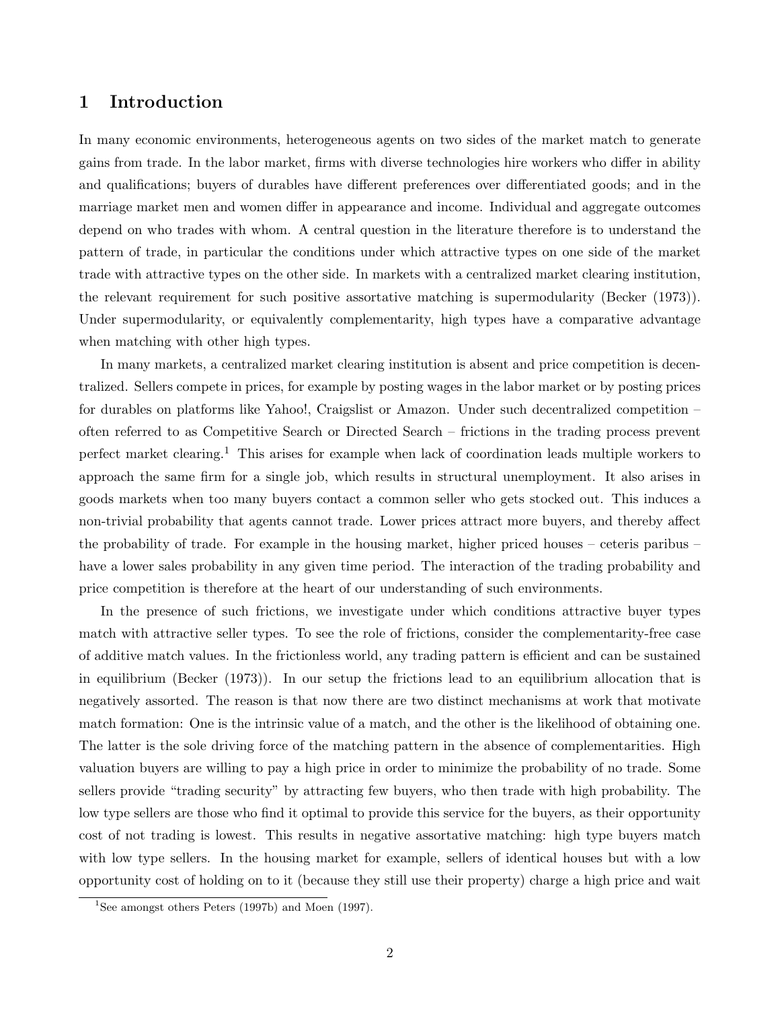# 1 Introduction

In many economic environments, heterogeneous agents on two sides of the market match to generate gains from trade. In the labor market, firms with diverse technologies hire workers who differ in ability and qualifications; buyers of durables have different preferences over differentiated goods; and in the marriage market men and women differ in appearance and income. Individual and aggregate outcomes depend on who trades with whom. A central question in the literature therefore is to understand the pattern of trade, in particular the conditions under which attractive types on one side of the market trade with attractive types on the other side. In markets with a centralized market clearing institution, the relevant requirement for such positive assortative matching is supermodularity (Becker (1973)). Under supermodularity, or equivalently complementarity, high types have a comparative advantage when matching with other high types.

In many markets, a centralized market clearing institution is absent and price competition is decentralized. Sellers compete in prices, for example by posting wages in the labor market or by posting prices for durables on platforms like Yahoo!, Craigslist or Amazon. Under such decentralized competition – often referred to as Competitive Search or Directed Search – frictions in the trading process prevent perfect market clearing.<sup>1</sup> This arises for example when lack of coordination leads multiple workers to approach the same firm for a single job, which results in structural unemployment. It also arises in goods markets when too many buyers contact a common seller who gets stocked out. This induces a non-trivial probability that agents cannot trade. Lower prices attract more buyers, and thereby affect the probability of trade. For example in the housing market, higher priced houses – ceteris paribus – have a lower sales probability in any given time period. The interaction of the trading probability and price competition is therefore at the heart of our understanding of such environments.

In the presence of such frictions, we investigate under which conditions attractive buyer types match with attractive seller types. To see the role of frictions, consider the complementarity-free case of additive match values. In the frictionless world, any trading pattern is efficient and can be sustained in equilibrium (Becker (1973)). In our setup the frictions lead to an equilibrium allocation that is negatively assorted. The reason is that now there are two distinct mechanisms at work that motivate match formation: One is the intrinsic value of a match, and the other is the likelihood of obtaining one. The latter is the sole driving force of the matching pattern in the absence of complementarities. High valuation buyers are willing to pay a high price in order to minimize the probability of no trade. Some sellers provide "trading security" by attracting few buyers, who then trade with high probability. The low type sellers are those who find it optimal to provide this service for the buyers, as their opportunity cost of not trading is lowest. This results in negative assortative matching: high type buyers match with low type sellers. In the housing market for example, sellers of identical houses but with a low opportunity cost of holding on to it (because they still use their property) charge a high price and wait

<sup>&</sup>lt;sup>1</sup>See amongst others Peters (1997b) and Moen (1997).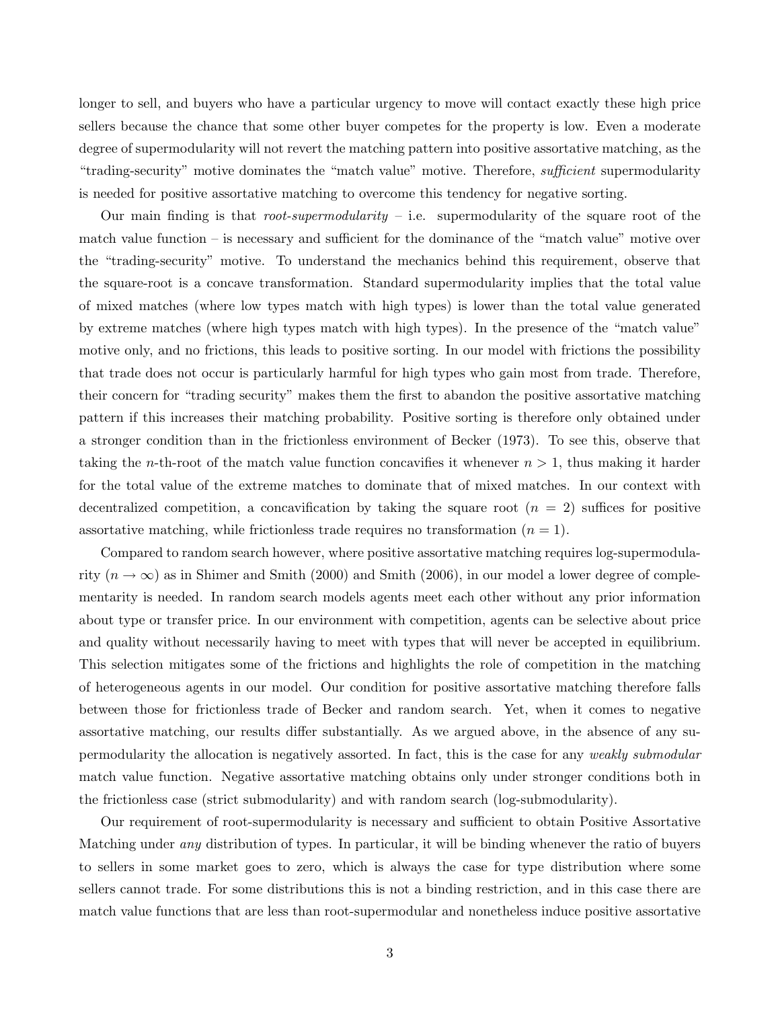longer to sell, and buyers who have a particular urgency to move will contact exactly these high price sellers because the chance that some other buyer competes for the property is low. Even a moderate degree of supermodularity will not revert the matching pattern into positive assortative matching, as the "trading-security" motive dominates the "match value" motive. Therefore, sufficient supermodularity is needed for positive assortative matching to overcome this tendency for negative sorting.

Our main finding is that *root-supermodularity* – i.e. supermodularity of the square root of the match value function – is necessary and sufficient for the dominance of the "match value" motive over the "trading-security" motive. To understand the mechanics behind this requirement, observe that the square-root is a concave transformation. Standard supermodularity implies that the total value of mixed matches (where low types match with high types) is lower than the total value generated by extreme matches (where high types match with high types). In the presence of the "match value" motive only, and no frictions, this leads to positive sorting. In our model with frictions the possibility that trade does not occur is particularly harmful for high types who gain most from trade. Therefore, their concern for "trading security" makes them the first to abandon the positive assortative matching pattern if this increases their matching probability. Positive sorting is therefore only obtained under a stronger condition than in the frictionless environment of Becker (1973). To see this, observe that taking the *n*-th-root of the match value function concavifies it whenever  $n > 1$ , thus making it harder for the total value of the extreme matches to dominate that of mixed matches. In our context with decentralized competition, a concavification by taking the square root  $(n = 2)$  suffices for positive assortative matching, while frictionless trade requires no transformation  $(n = 1)$ .

Compared to random search however, where positive assortative matching requires log-supermodularity ( $n \to \infty$ ) as in Shimer and Smith (2000) and Smith (2006), in our model a lower degree of complementarity is needed. In random search models agents meet each other without any prior information about type or transfer price. In our environment with competition, agents can be selective about price and quality without necessarily having to meet with types that will never be accepted in equilibrium. This selection mitigates some of the frictions and highlights the role of competition in the matching of heterogeneous agents in our model. Our condition for positive assortative matching therefore falls between those for frictionless trade of Becker and random search. Yet, when it comes to negative assortative matching, our results differ substantially. As we argued above, in the absence of any supermodularity the allocation is negatively assorted. In fact, this is the case for any weakly submodular match value function. Negative assortative matching obtains only under stronger conditions both in the frictionless case (strict submodularity) and with random search (log-submodularity).

Our requirement of root-supermodularity is necessary and sufficient to obtain Positive Assortative Matching under any distribution of types. In particular, it will be binding whenever the ratio of buyers to sellers in some market goes to zero, which is always the case for type distribution where some sellers cannot trade. For some distributions this is not a binding restriction, and in this case there are match value functions that are less than root-supermodular and nonetheless induce positive assortative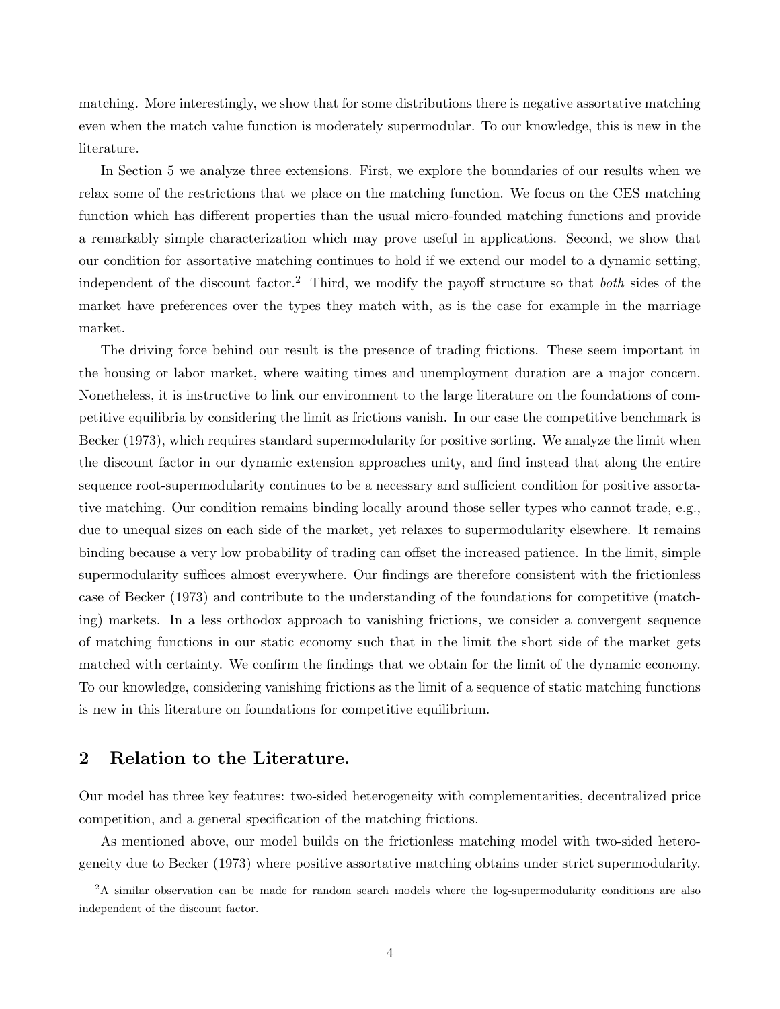matching. More interestingly, we show that for some distributions there is negative assortative matching even when the match value function is moderately supermodular. To our knowledge, this is new in the literature.

In Section 5 we analyze three extensions. First, we explore the boundaries of our results when we relax some of the restrictions that we place on the matching function. We focus on the CES matching function which has different properties than the usual micro-founded matching functions and provide a remarkably simple characterization which may prove useful in applications. Second, we show that our condition for assortative matching continues to hold if we extend our model to a dynamic setting, independent of the discount factor.<sup>2</sup> Third, we modify the payoff structure so that *both* sides of the market have preferences over the types they match with, as is the case for example in the marriage market.

The driving force behind our result is the presence of trading frictions. These seem important in the housing or labor market, where waiting times and unemployment duration are a major concern. Nonetheless, it is instructive to link our environment to the large literature on the foundations of competitive equilibria by considering the limit as frictions vanish. In our case the competitive benchmark is Becker (1973), which requires standard supermodularity for positive sorting. We analyze the limit when the discount factor in our dynamic extension approaches unity, and find instead that along the entire sequence root-supermodularity continues to be a necessary and sufficient condition for positive assortative matching. Our condition remains binding locally around those seller types who cannot trade, e.g., due to unequal sizes on each side of the market, yet relaxes to supermodularity elsewhere. It remains binding because a very low probability of trading can offset the increased patience. In the limit, simple supermodularity suffices almost everywhere. Our findings are therefore consistent with the frictionless case of Becker (1973) and contribute to the understanding of the foundations for competitive (matching) markets. In a less orthodox approach to vanishing frictions, we consider a convergent sequence of matching functions in our static economy such that in the limit the short side of the market gets matched with certainty. We confirm the findings that we obtain for the limit of the dynamic economy. To our knowledge, considering vanishing frictions as the limit of a sequence of static matching functions is new in this literature on foundations for competitive equilibrium.

# 2 Relation to the Literature.

Our model has three key features: two-sided heterogeneity with complementarities, decentralized price competition, and a general specification of the matching frictions.

As mentioned above, our model builds on the frictionless matching model with two-sided heterogeneity due to Becker (1973) where positive assortative matching obtains under strict supermodularity.

<sup>&</sup>lt;sup>2</sup>A similar observation can be made for random search models where the log-supermodularity conditions are also independent of the discount factor.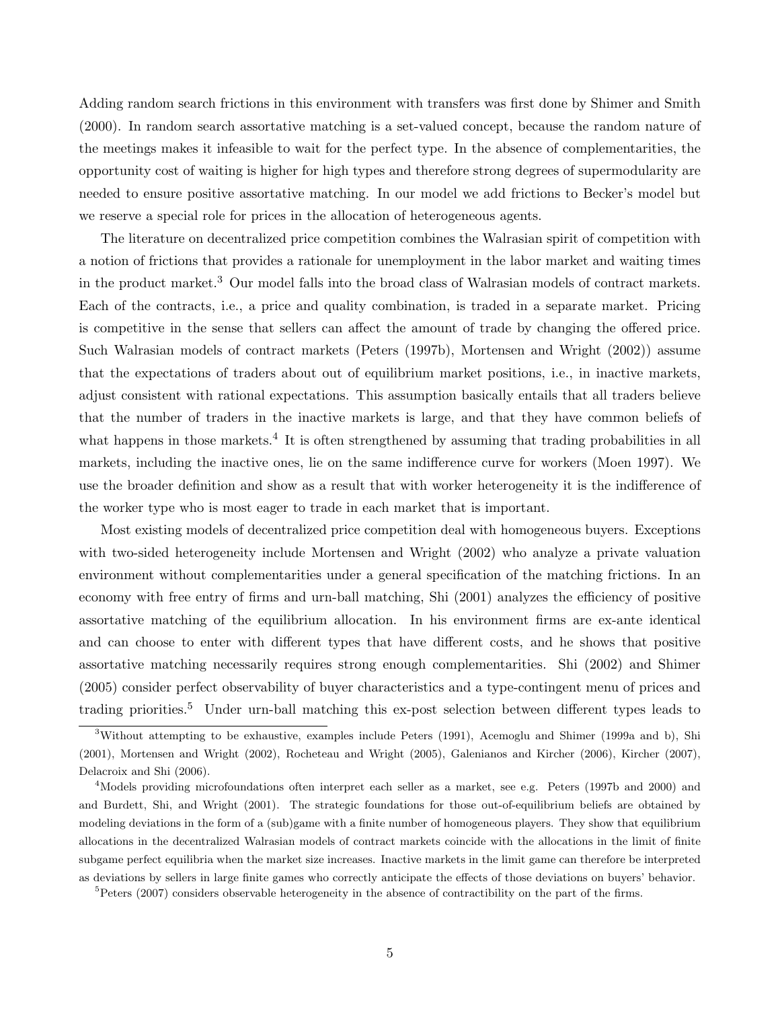Adding random search frictions in this environment with transfers was first done by Shimer and Smith (2000). In random search assortative matching is a set-valued concept, because the random nature of the meetings makes it infeasible to wait for the perfect type. In the absence of complementarities, the opportunity cost of waiting is higher for high types and therefore strong degrees of supermodularity are needed to ensure positive assortative matching. In our model we add frictions to Becker's model but we reserve a special role for prices in the allocation of heterogeneous agents.

The literature on decentralized price competition combines the Walrasian spirit of competition with a notion of frictions that provides a rationale for unemployment in the labor market and waiting times in the product market.<sup>3</sup> Our model falls into the broad class of Walrasian models of contract markets. Each of the contracts, i.e., a price and quality combination, is traded in a separate market. Pricing is competitive in the sense that sellers can affect the amount of trade by changing the offered price. Such Walrasian models of contract markets (Peters (1997b), Mortensen and Wright (2002)) assume that the expectations of traders about out of equilibrium market positions, i.e., in inactive markets, adjust consistent with rational expectations. This assumption basically entails that all traders believe that the number of traders in the inactive markets is large, and that they have common beliefs of what happens in those markets.<sup>4</sup> It is often strengthened by assuming that trading probabilities in all markets, including the inactive ones, lie on the same indifference curve for workers (Moen 1997). We use the broader definition and show as a result that with worker heterogeneity it is the indifference of the worker type who is most eager to trade in each market that is important.

Most existing models of decentralized price competition deal with homogeneous buyers. Exceptions with two-sided heterogeneity include Mortensen and Wright (2002) who analyze a private valuation environment without complementarities under a general specification of the matching frictions. In an economy with free entry of firms and urn-ball matching, Shi (2001) analyzes the efficiency of positive assortative matching of the equilibrium allocation. In his environment firms are ex-ante identical and can choose to enter with different types that have different costs, and he shows that positive assortative matching necessarily requires strong enough complementarities. Shi (2002) and Shimer (2005) consider perfect observability of buyer characteristics and a type-contingent menu of prices and trading priorities.<sup>5</sup> Under urn-ball matching this ex-post selection between different types leads to

<sup>3</sup>Without attempting to be exhaustive, examples include Peters (1991), Acemoglu and Shimer (1999a and b), Shi (2001), Mortensen and Wright (2002), Rocheteau and Wright (2005), Galenianos and Kircher (2006), Kircher (2007), Delacroix and Shi (2006).

<sup>&</sup>lt;sup>4</sup>Models providing microfoundations often interpret each seller as a market, see e.g. Peters (1997b and 2000) and and Burdett, Shi, and Wright (2001). The strategic foundations for those out-of-equilibrium beliefs are obtained by modeling deviations in the form of a (sub)game with a finite number of homogeneous players. They show that equilibrium allocations in the decentralized Walrasian models of contract markets coincide with the allocations in the limit of finite subgame perfect equilibria when the market size increases. Inactive markets in the limit game can therefore be interpreted as deviations by sellers in large finite games who correctly anticipate the effects of those deviations on buyers' behavior.

<sup>&</sup>lt;sup>5</sup>Peters (2007) considers observable heterogeneity in the absence of contractibility on the part of the firms.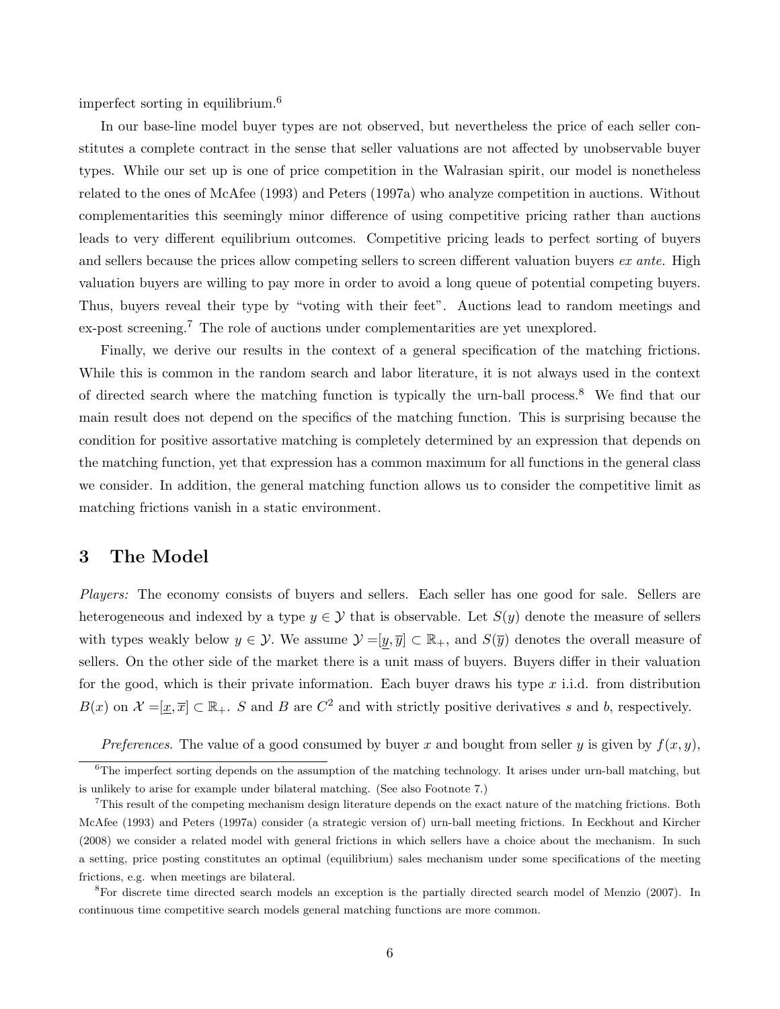imperfect sorting in equilibrium.<sup>6</sup>

In our base-line model buyer types are not observed, but nevertheless the price of each seller constitutes a complete contract in the sense that seller valuations are not affected by unobservable buyer types. While our set up is one of price competition in the Walrasian spirit, our model is nonetheless related to the ones of McAfee (1993) and Peters (1997a) who analyze competition in auctions. Without complementarities this seemingly minor difference of using competitive pricing rather than auctions leads to very different equilibrium outcomes. Competitive pricing leads to perfect sorting of buyers and sellers because the prices allow competing sellers to screen different valuation buyers ex ante. High valuation buyers are willing to pay more in order to avoid a long queue of potential competing buyers. Thus, buyers reveal their type by "voting with their feet". Auctions lead to random meetings and ex-post screening.<sup>7</sup> The role of auctions under complementarities are yet unexplored.

Finally, we derive our results in the context of a general specification of the matching frictions. While this is common in the random search and labor literature, it is not always used in the context of directed search where the matching function is typically the urn-ball process.<sup>8</sup> We find that our main result does not depend on the specifics of the matching function. This is surprising because the condition for positive assortative matching is completely determined by an expression that depends on the matching function, yet that expression has a common maximum for all functions in the general class we consider. In addition, the general matching function allows us to consider the competitive limit as matching frictions vanish in a static environment.

# 3 The Model

Players: The economy consists of buyers and sellers. Each seller has one good for sale. Sellers are heterogeneous and indexed by a type  $y \in \mathcal{Y}$  that is observable. Let  $S(y)$  denote the measure of sellers with types weakly below  $y \in \mathcal{Y}$ . We assume  $\mathcal{Y} = [\underline{y}, \overline{y}] \subset \mathbb{R}_+$ , and  $S(\overline{y})$  denotes the overall measure of sellers. On the other side of the market there is a unit mass of buyers. Buyers differ in their valuation for the good, which is their private information. Each buyer draws his type  $x$  i.i.d. from distribution  $B(x)$  on  $\mathcal{X} = [\underline{x}, \overline{x}] \subset \mathbb{R}_+$ . S and B are  $C^2$  and with strictly positive derivatives s and b, respectively.

Preferences. The value of a good consumed by buyer x and bought from seller y is given by  $f(x, y)$ ,

<sup>&</sup>lt;sup>6</sup>The imperfect sorting depends on the assumption of the matching technology. It arises under urn-ball matching, but is unlikely to arise for example under bilateral matching. (See also Footnote 7.)

<sup>7</sup>This result of the competing mechanism design literature depends on the exact nature of the matching frictions. Both McAfee (1993) and Peters (1997a) consider (a strategic version of) urn-ball meeting frictions. In Eeckhout and Kircher (2008) we consider a related model with general frictions in which sellers have a choice about the mechanism. In such a setting, price posting constitutes an optimal (equilibrium) sales mechanism under some specifications of the meeting frictions, e.g. when meetings are bilateral.

<sup>8</sup>For discrete time directed search models an exception is the partially directed search model of Menzio (2007). In continuous time competitive search models general matching functions are more common.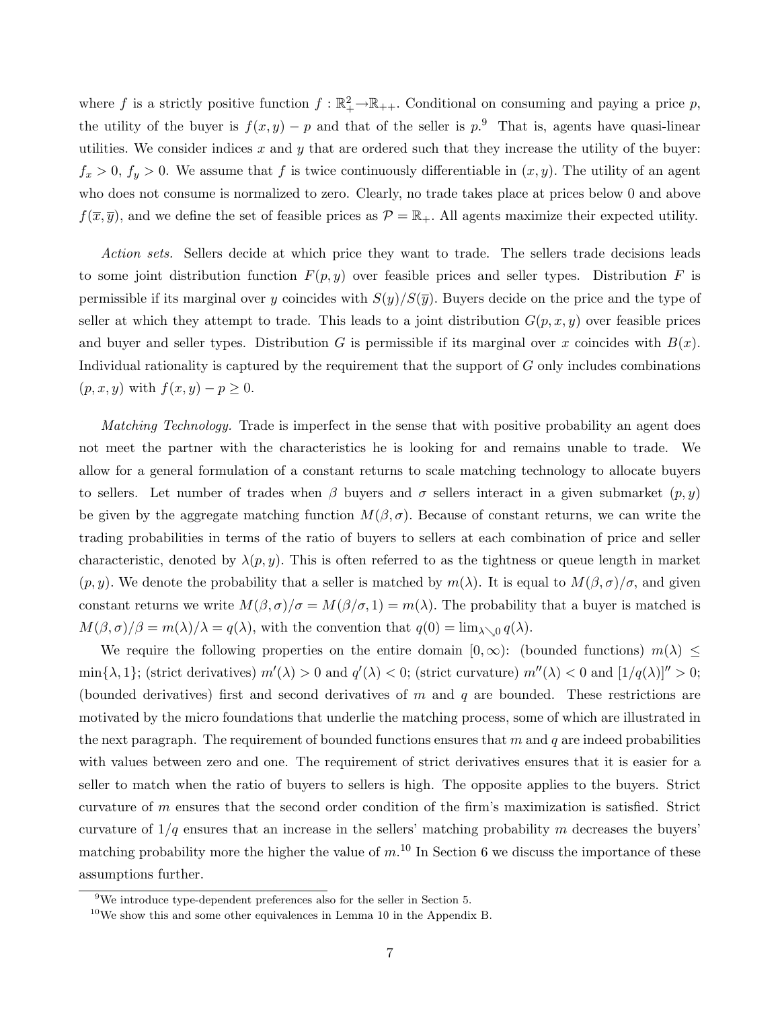where f is a strictly positive function  $f : \mathbb{R}_+^2 \to \mathbb{R}_{++}$ . Conditional on consuming and paying a price p, the utility of the buyer is  $f(x, y) - p$  and that of the seller is  $p^{.9}$ . That is, agents have quasi-linear utilities. We consider indices  $x$  and  $y$  that are ordered such that they increase the utility of the buyer:  $f_x > 0$ ,  $f_y > 0$ . We assume that f is twice continuously differentiable in  $(x, y)$ . The utility of an agent who does not consume is normalized to zero. Clearly, no trade takes place at prices below 0 and above  $f(\overline{x}, \overline{y})$ , and we define the set of feasible prices as  $\mathcal{P} = \mathbb{R}_+$ . All agents maximize their expected utility.

Action sets. Sellers decide at which price they want to trade. The sellers trade decisions leads to some joint distribution function  $F(p, y)$  over feasible prices and seller types. Distribution F is permissible if its marginal over y coincides with  $S(y)/S(\overline{y})$ . Buyers decide on the price and the type of seller at which they attempt to trade. This leads to a joint distribution  $G(p, x, y)$  over feasible prices and buyer and seller types. Distribution G is permissible if its marginal over x coincides with  $B(x)$ . Individual rationality is captured by the requirement that the support of G only includes combinations  $(p, x, y)$  with  $f(x, y) - p \geq 0$ .

Matching Technology. Trade is imperfect in the sense that with positive probability an agent does not meet the partner with the characteristics he is looking for and remains unable to trade. We allow for a general formulation of a constant returns to scale matching technology to allocate buyers to sellers. Let number of trades when  $\beta$  buyers and  $\sigma$  sellers interact in a given submarket  $(p, y)$ be given by the aggregate matching function  $M(\beta, \sigma)$ . Because of constant returns, we can write the trading probabilities in terms of the ratio of buyers to sellers at each combination of price and seller characteristic, denoted by  $\lambda(p, y)$ . This is often referred to as the tightness or queue length in market  $(p, y)$ . We denote the probability that a seller is matched by  $m(\lambda)$ . It is equal to  $M(\beta, \sigma)/\sigma$ , and given constant returns we write  $M(\beta, \sigma)/\sigma = M(\beta/\sigma, 1) = m(\lambda)$ . The probability that a buyer is matched is  $M(\beta, \sigma)/\beta = m(\lambda)/\lambda = q(\lambda)$ , with the convention that  $q(0) = \lim_{\lambda \searrow 0} q(\lambda)$ .

We require the following properties on the entire domain  $[0,\infty)$ : (bounded functions)  $m(\lambda) \leq$ min $\{\lambda, 1\}$ ; (strict derivatives)  $m'(\lambda) > 0$  and  $q'(\lambda) < 0$ ; (strict curvature)  $m''(\lambda) < 0$  and  $[1/q(\lambda)]'' > 0$ ; (bounded derivatives) first and second derivatives of m and q are bounded. These restrictions are motivated by the micro foundations that underlie the matching process, some of which are illustrated in the next paragraph. The requirement of bounded functions ensures that  $m$  and  $q$  are indeed probabilities with values between zero and one. The requirement of strict derivatives ensures that it is easier for a seller to match when the ratio of buyers to sellers is high. The opposite applies to the buyers. Strict curvature of m ensures that the second order condition of the firm's maximization is satisfied. Strict curvature of  $1/q$  ensures that an increase in the sellers' matching probability m decreases the buyers' matching probability more the higher the value of  $m<sup>10</sup>$  In Section 6 we discuss the importance of these assumptions further.

<sup>9</sup>We introduce type-dependent preferences also for the seller in Section 5.

 $10$ We show this and some other equivalences in Lemma 10 in the Appendix B.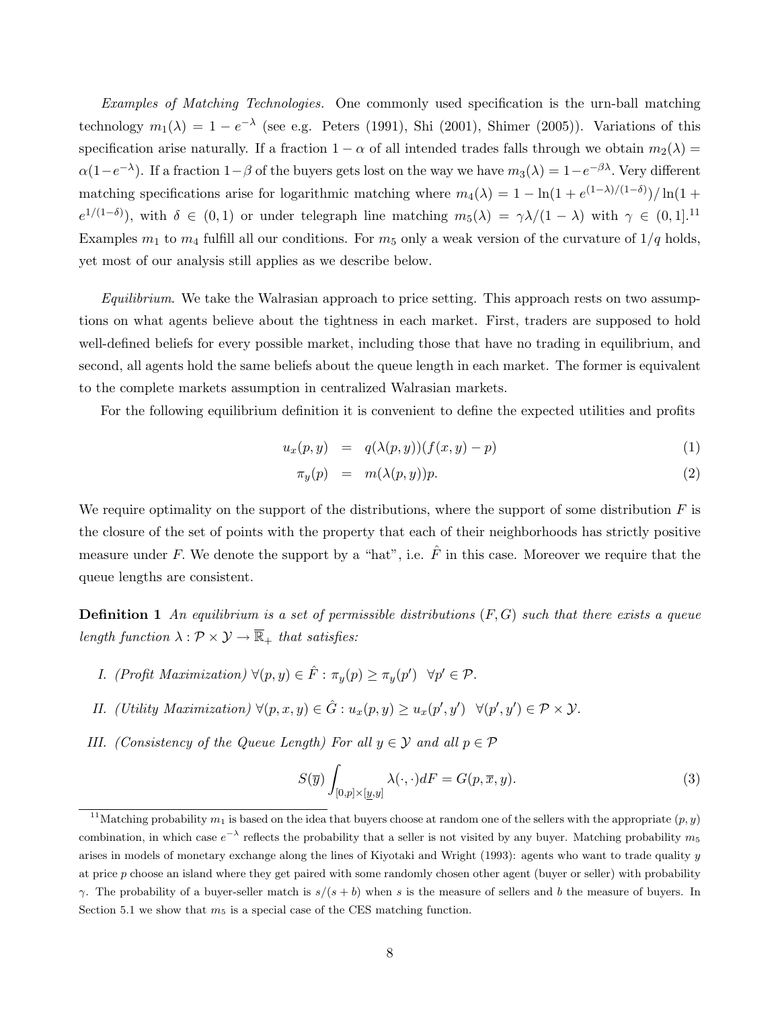Examples of Matching Technologies. One commonly used specification is the urn-ball matching technology  $m_1(\lambda) = 1 - e^{-\lambda}$  (see e.g. Peters (1991), Shi (2001), Shimer (2005)). Variations of this specification arise naturally. If a fraction  $1 - \alpha$  of all intended trades falls through we obtain  $m_2(\lambda) =$  $\alpha(1-e^{-\lambda})$ . If a fraction  $1-\beta$  of the buyers gets lost on the way we have  $m_3(\lambda) = 1-e^{-\beta\lambda}$ . Very different matching specifications arise for logarithmic matching where  $m_4(\lambda) = 1 - \ln(1 + e^{(1-\lambda)/(1-\delta)})/\ln(1+\lambda)$  $e^{1/(1-\delta)}$ , with  $\delta \in (0,1)$  or under telegraph line matching  $m_5(\lambda) = \gamma \lambda/(1-\lambda)$  with  $\gamma \in (0,1]$ .<sup>11</sup> Examples  $m_1$  to  $m_4$  fulfill all our conditions. For  $m_5$  only a weak version of the curvature of  $1/q$  holds, yet most of our analysis still applies as we describe below.

 $Equilibrium$ . We take the Walrasian approach to price setting. This approach rests on two assumptions on what agents believe about the tightness in each market. First, traders are supposed to hold well-defined beliefs for every possible market, including those that have no trading in equilibrium, and second, all agents hold the same beliefs about the queue length in each market. The former is equivalent to the complete markets assumption in centralized Walrasian markets.

For the following equilibrium definition it is convenient to define the expected utilities and profits

$$
u_x(p, y) = q(\lambda(p, y))(f(x, y) - p) \tag{1}
$$

$$
\pi_y(p) = m(\lambda(p, y))p. \tag{2}
$$

We require optimality on the support of the distributions, where the support of some distribution  $F$  is the closure of the set of points with the property that each of their neighborhoods has strictly positive measure under F. We denote the support by a "hat", i.e.  $\hat{F}$  in this case. Moreover we require that the queue lengths are consistent.

**Definition 1** An equilibrium is a set of permissible distributions  $(F, G)$  such that there exists a queue length function  $\lambda : \mathcal{P} \times \mathcal{Y} \to \overline{\mathbb{R}}_+$  that satisfies:

- I. (Profit Maximization)  $\forall (p, y) \in \hat{F} : \pi_y(p) \geq \pi_y(p') \quad \forall p' \in \mathcal{P}$ .
- II. (Utility Maximization)  $\forall (p, x, y) \in \hat{G} : u_x(p, y) \geq u_x(p', y') \quad \forall (p', y') \in \mathcal{P} \times \mathcal{Y}$ .
- III. (Consistency of the Queue Length) For all  $y \in \mathcal{Y}$  and all  $p \in \mathcal{P}$

$$
S(\overline{y})\int_{[0,p]\times[\underline{y},y]} \lambda(\cdot,\cdot)dF = G(p,\overline{x},y). \tag{3}
$$

<sup>&</sup>lt;sup>11</sup>Matching probability  $m_1$  is based on the idea that buyers choose at random one of the sellers with the appropriate  $(p, y)$ combination, in which case  $e^{-\lambda}$  reflects the probability that a seller is not visited by any buyer. Matching probability  $m_5$ arises in models of monetary exchange along the lines of Kiyotaki and Wright (1993): agents who want to trade quality y at price p choose an island where they get paired with some randomly chosen other agent (buyer or seller) with probability γ. The probability of a buyer-seller match is  $s/(s + b)$  when s is the measure of sellers and b the measure of buyers. In Section 5.1 we show that  $m_5$  is a special case of the CES matching function.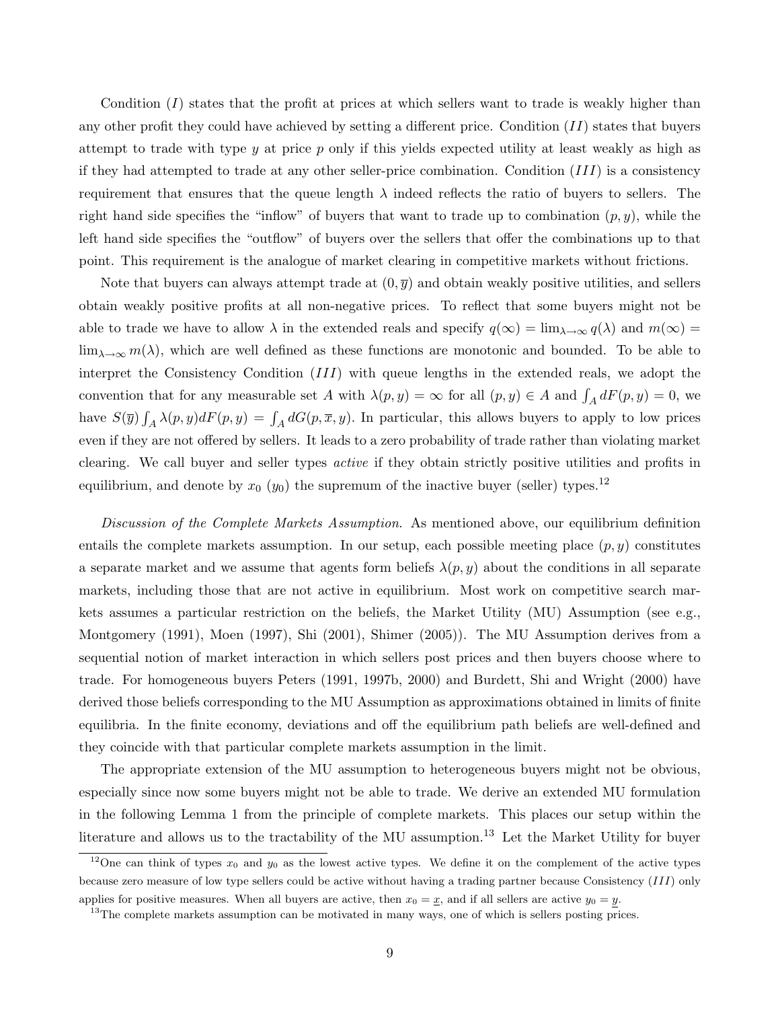Condition  $(I)$  states that the profit at prices at which sellers want to trade is weakly higher than any other profit they could have achieved by setting a different price. Condition  $(II)$  states that buyers attempt to trade with type  $y$  at price  $p$  only if this yields expected utility at least weakly as high as if they had attempted to trade at any other seller-price combination. Condition  $(III)$  is a consistency requirement that ensures that the queue length  $\lambda$  indeed reflects the ratio of buyers to sellers. The right hand side specifies the "inflow" of buyers that want to trade up to combination  $(p, y)$ , while the left hand side specifies the "outflow" of buyers over the sellers that offer the combinations up to that point. This requirement is the analogue of market clearing in competitive markets without frictions.

Note that buyers can always attempt trade at  $(0, \overline{y})$  and obtain weakly positive utilities, and sellers obtain weakly positive profits at all non-negative prices. To reflect that some buyers might not be able to trade we have to allow  $\lambda$  in the extended reals and specify  $q(\infty) = \lim_{\lambda \to \infty} q(\lambda)$  and  $m(\infty) =$  $\lim_{\lambda\to\infty} m(\lambda)$ , which are well defined as these functions are monotonic and bounded. To be able to interpret the Consistency Condition (III) with queue lengths in the extended reals, we adopt the convention that for any measurable set A with  $\lambda(p, y) = \infty$  for all  $(p, y) \in A$  and  $\int_A dF(p, y) = 0$ , we have  $S(\overline{y}) \int_A \lambda(p, y) dF(p, y) = \int_A dG(p, \overline{x}, y)$ . In particular, this allows buyers to apply to low prices even if they are not offered by sellers. It leads to a zero probability of trade rather than violating market clearing. We call buyer and seller types active if they obtain strictly positive utilities and profits in equilibrium, and denote by  $x_0$  ( $y_0$ ) the supremum of the inactive buyer (seller) types.<sup>12</sup>

Discussion of the Complete Markets Assumption. As mentioned above, our equilibrium definition entails the complete markets assumption. In our setup, each possible meeting place  $(p, y)$  constitutes a separate market and we assume that agents form beliefs  $\lambda(p, y)$  about the conditions in all separate markets, including those that are not active in equilibrium. Most work on competitive search markets assumes a particular restriction on the beliefs, the Market Utility (MU) Assumption (see e.g., Montgomery (1991), Moen (1997), Shi (2001), Shimer (2005)). The MU Assumption derives from a sequential notion of market interaction in which sellers post prices and then buyers choose where to trade. For homogeneous buyers Peters (1991, 1997b, 2000) and Burdett, Shi and Wright (2000) have derived those beliefs corresponding to the MU Assumption as approximations obtained in limits of finite equilibria. In the finite economy, deviations and off the equilibrium path beliefs are well-defined and they coincide with that particular complete markets assumption in the limit.

The appropriate extension of the MU assumption to heterogeneous buyers might not be obvious, especially since now some buyers might not be able to trade. We derive an extended MU formulation in the following Lemma 1 from the principle of complete markets. This places our setup within the literature and allows us to the tractability of the MU assumption.<sup>13</sup> Let the Market Utility for buyer

<sup>&</sup>lt;sup>12</sup>One can think of types  $x_0$  and  $y_0$  as the lowest active types. We define it on the complement of the active types because zero measure of low type sellers could be active without having a trading partner because Consistency (III) only applies for positive measures. When all buyers are active, then  $x_0 = \underline{x}$ , and if all sellers are active  $y_0 = y$ .

<sup>&</sup>lt;sup>13</sup>The complete markets assumption can be motivated in many ways, one of which is sellers posting prices.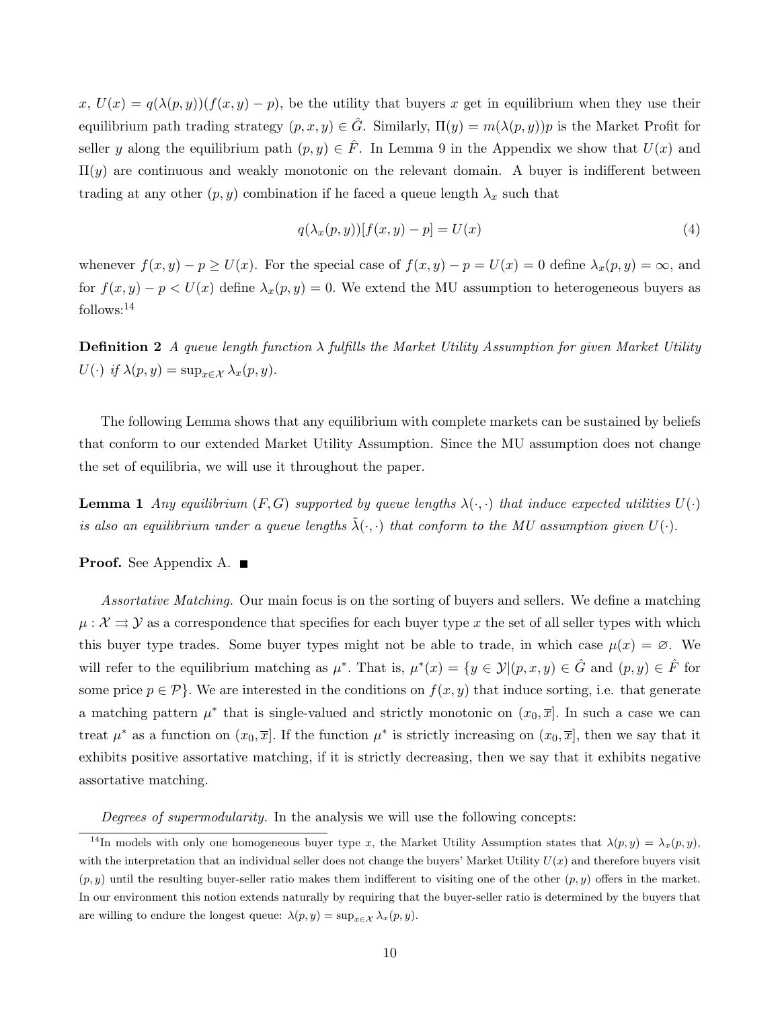$x, U(x) = q(\lambda(p, y))(f(x, y) - p)$ , be the utility that buyers x get in equilibrium when they use their equilibrium path trading strategy  $(p, x, y) \in \hat{G}$ . Similarly,  $\Pi(y) = m(\lambda(p, y))p$  is the Market Profit for seller y along the equilibrium path  $(p, y) \in \hat{F}$ . In Lemma 9 in the Appendix we show that  $U(x)$  and  $\Pi(y)$  are continuous and weakly monotonic on the relevant domain. A buyer is indifferent between trading at any other  $(p, y)$  combination if he faced a queue length  $\lambda_x$  such that

$$
q(\lambda_x(p, y))[f(x, y) - p] = U(x) \tag{4}
$$

whenever  $f(x, y) - p \ge U(x)$ . For the special case of  $f(x, y) - p = U(x) = 0$  define  $\lambda_x(p, y) = \infty$ , and for  $f(x, y) - p \lt U(x)$  define  $\lambda_x(p, y) = 0$ . We extend the MU assumption to heterogeneous buyers as follows:<sup>14</sup>

**Definition 2** A queue length function  $\lambda$  fulfills the Market Utility Assumption for given Market Utility  $U(\cdot)$  if  $\lambda(p, y) = \sup_{x \in \mathcal{X}} \lambda_x(p, y)$ .

The following Lemma shows that any equilibrium with complete markets can be sustained by beliefs that conform to our extended Market Utility Assumption. Since the MU assumption does not change the set of equilibria, we will use it throughout the paper.

**Lemma 1** Any equilibrium  $(F, G)$  supported by queue lengths  $\lambda(\cdot, \cdot)$  that induce expected utilities  $U(\cdot)$ is also an equilibrium under a queue lengths  $\tilde{\lambda}(\cdot,\cdot)$  that conform to the MU assumption given  $U(\cdot)$ .

#### Proof. See Appendix A.

Assortative Matching. Our main focus is on the sorting of buyers and sellers. We define a matching  $\mu : \mathcal{X} \rightrightarrows \mathcal{Y}$  as a correspondence that specifies for each buyer type x the set of all seller types with which this buyer type trades. Some buyer types might not be able to trade, in which case  $\mu(x) = \emptyset$ . We will refer to the equilibrium matching as  $\mu^*$ . That is,  $\mu^*(x) = \{y \in \mathcal{Y} | (p, x, y) \in \hat{G} \text{ and } (p, y) \in \hat{F} \text{ for }$ some price  $p \in \mathcal{P}$ . We are interested in the conditions on  $f(x, y)$  that induce sorting, i.e. that generate a matching pattern  $\mu^*$  that is single-valued and strictly monotonic on  $(x_0, \overline{x}]$ . In such a case we can treat  $\mu^*$  as a function on  $(x_0, \overline{x}]$ . If the function  $\mu^*$  is strictly increasing on  $(x_0, \overline{x}]$ , then we say that it exhibits positive assortative matching, if it is strictly decreasing, then we say that it exhibits negative assortative matching.

Degrees of supermodularity. In the analysis we will use the following concepts:

<sup>&</sup>lt;sup>14</sup>In models with only one homogeneous buyer type x, the Market Utility Assumption states that  $\lambda(p, y) = \lambda_x(p, y)$ , with the interpretation that an individual seller does not change the buyers' Market Utility  $U(x)$  and therefore buyers visit  $(p, y)$  until the resulting buyer-seller ratio makes them indifferent to visiting one of the other  $(p, y)$  offers in the market. In our environment this notion extends naturally by requiring that the buyer-seller ratio is determined by the buyers that are willing to endure the longest queue:  $\lambda(p, y) = \sup_{x \in \mathcal{X}} \lambda_x(p, y)$ .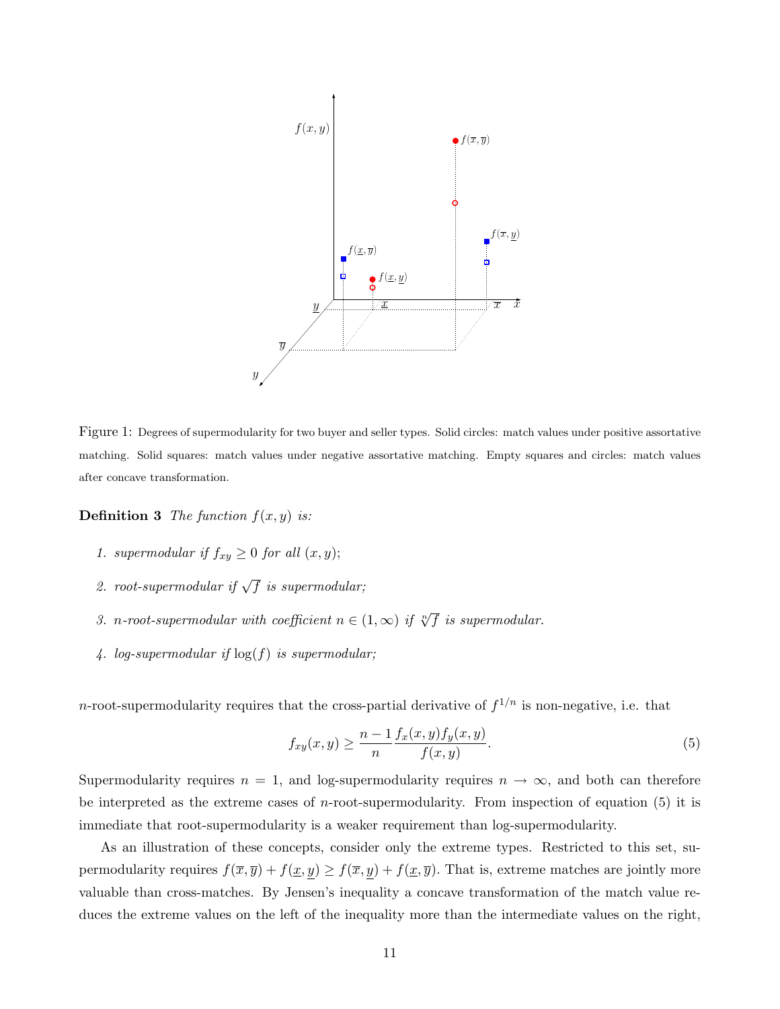

Figure 1: Degrees of supermodularity for two buyer and seller types. Solid circles: match values under positive assortative matching. Solid squares: match values under negative assortative matching. Empty squares and circles: match values after concave transformation.

**Definition 3** The function  $f(x, y)$  is:

- 1. supermodular if  $f_{xy} \geq 0$  for all  $(x, y)$ ;
- 2. root-supermodular if  $\sqrt{f}$  is supermodular;
- 3. n-root-supermodular with coefficient  $n \in (1,\infty)$  if  $\sqrt[n]{f}$  is supermodular.
- 4. log-supermodular if  $log(f)$  is supermodular;

*n*-root-supermodularity requires that the cross-partial derivative of  $f^{1/n}$  is non-negative, i.e. that

$$
f_{xy}(x,y) \ge \frac{n-1}{n} \frac{f_x(x,y)f_y(x,y)}{f(x,y)}.
$$
\n(5)

Supermodularity requires  $n = 1$ , and log-supermodularity requires  $n \to \infty$ , and both can therefore be interpreted as the extreme cases of *n*-root-supermodularity. From inspection of equation  $(5)$  it is immediate that root-supermodularity is a weaker requirement than log-supermodularity.

As an illustration of these concepts, consider only the extreme types. Restricted to this set, supermodularity requires  $f(\overline{x}, \overline{y}) + f(\underline{x}, \underline{y}) \ge f(\overline{x}, \underline{y}) + f(\underline{x}, \overline{y})$ . That is, extreme matches are jointly more valuable than cross-matches. By Jensen's inequality a concave transformation of the match value reduces the extreme values on the left of the inequality more than the intermediate values on the right,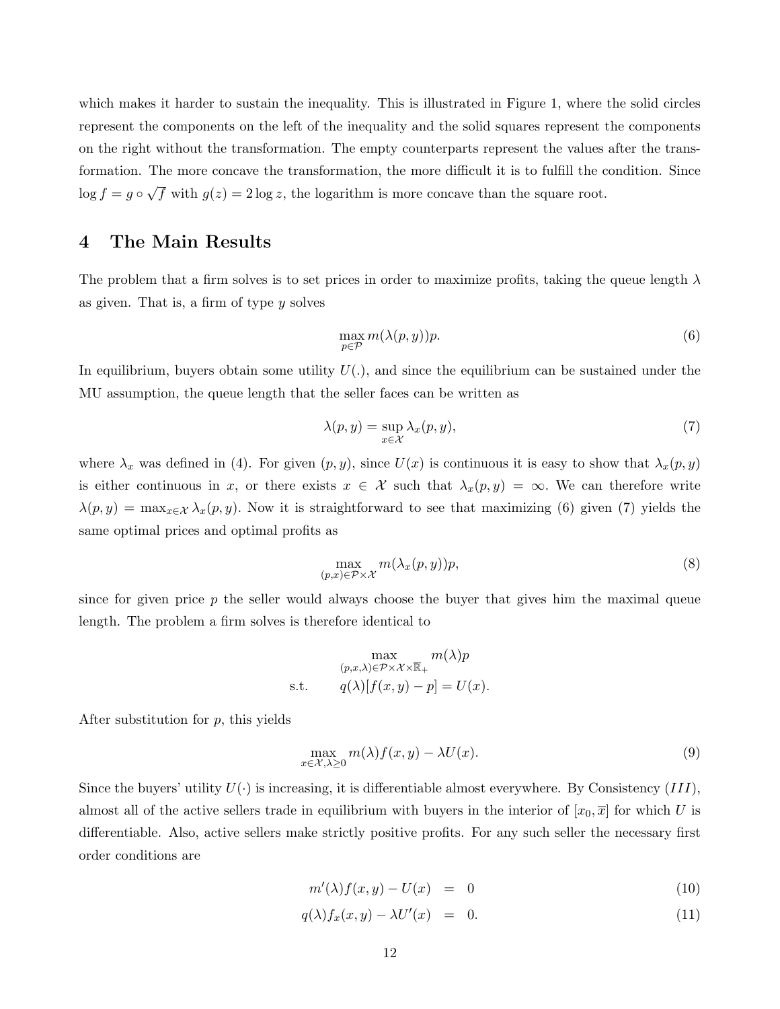which makes it harder to sustain the inequality. This is illustrated in Figure 1, where the solid circles represent the components on the left of the inequality and the solid squares represent the components on the right without the transformation. The empty counterparts represent the values after the transformation. The more concave the transformation, the more difficult it is to fulfill the condition. Since  $\log f = g \circ \sqrt{f}$  with  $g(z) = 2 \log z$ , the logarithm is more concave than the square root.

# 4 The Main Results

The problem that a firm solves is to set prices in order to maximize profits, taking the queue length  $\lambda$ as given. That is, a firm of type y solves

$$
\max_{p \in \mathcal{P}} m(\lambda(p, y))p. \tag{6}
$$

In equilibrium, buyers obtain some utility  $U(.)$ , and since the equilibrium can be sustained under the MU assumption, the queue length that the seller faces can be written as

$$
\lambda(p, y) = \sup_{x \in \mathcal{X}} \lambda_x(p, y),\tag{7}
$$

where  $\lambda_x$  was defined in (4). For given  $(p, y)$ , since  $U(x)$  is continuous it is easy to show that  $\lambda_x(p, y)$ is either continuous in x, or there exists  $x \in \mathcal{X}$  such that  $\lambda_x(p, y) = \infty$ . We can therefore write  $\lambda(p, y) = \max_{x \in \mathcal{X}} \lambda_x(p, y)$ . Now it is straightforward to see that maximizing (6) given (7) yields the same optimal prices and optimal profits as

$$
\max_{(p,x)\in\mathcal{P}\times\mathcal{X}} m(\lambda_x(p,y))p,\tag{8}
$$

since for given price  $p$  the seller would always choose the buyer that gives him the maximal queue length. The problem a firm solves is therefore identical to

$$
\max_{(p,x,\lambda)\in\mathcal{P}\times\mathcal{X}\times\overline{\mathbb{R}}_+} m(\lambda)p
$$
s.t. 
$$
q(\lambda)[f(x,y)-p] = U(x).
$$

After substitution for p, this yields

$$
\max_{x \in \mathcal{X}, \lambda \ge 0} m(\lambda) f(x, y) - \lambda U(x). \tag{9}
$$

Since the buyers' utility  $U(\cdot)$  is increasing, it is differentiable almost everywhere. By Consistency (III), almost all of the active sellers trade in equilibrium with buyers in the interior of  $[x_0, \overline{x}]$  for which U is differentiable. Also, active sellers make strictly positive profits. For any such seller the necessary first order conditions are

$$
m'(\lambda)f(x,y) - U(x) = 0 \tag{10}
$$

$$
q(\lambda)f_x(x,y) - \lambda U'(x) = 0.
$$
\n(11)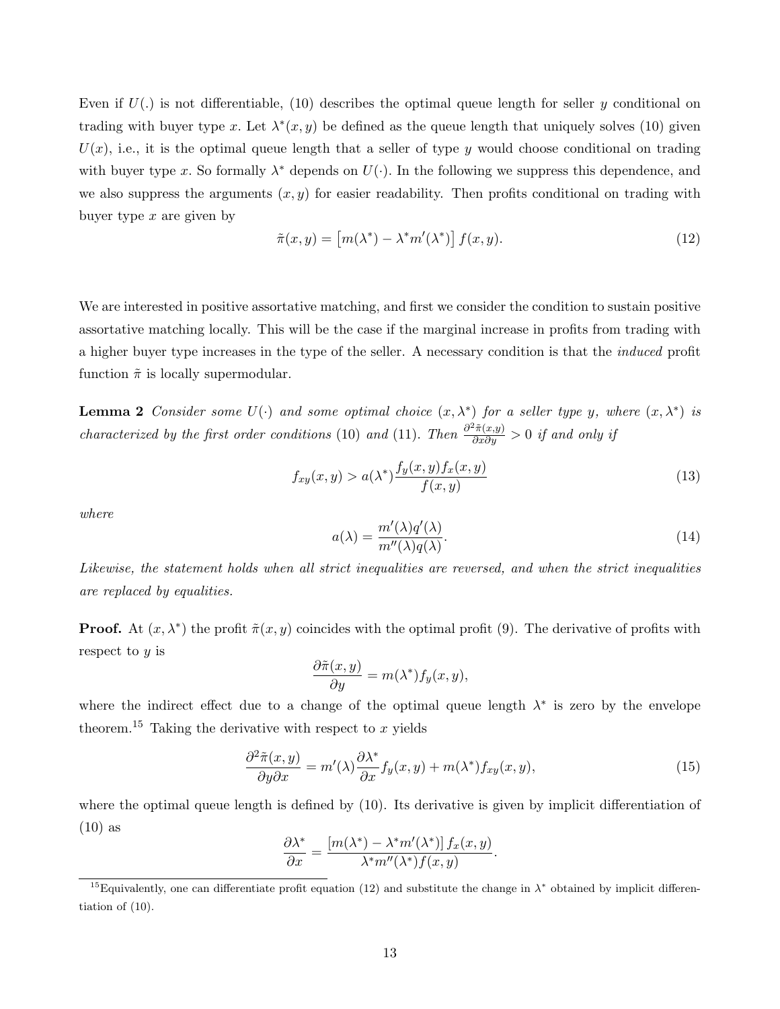Even if  $U(.)$  is not differentiable, (10) describes the optimal queue length for seller y conditional on trading with buyer type x. Let  $\lambda^*(x, y)$  be defined as the queue length that uniquely solves (10) given  $U(x)$ , i.e., it is the optimal queue length that a seller of type y would choose conditional on trading with buyer type x. So formally  $\lambda^*$  depends on  $U(\cdot)$ . In the following we suppress this dependence, and we also suppress the arguments  $(x, y)$  for easier readability. Then profits conditional on trading with buyer type  $x$  are given by

$$
\tilde{\pi}(x, y) = \left[m(\lambda^*) - \lambda^* m'(\lambda^*)\right] f(x, y). \tag{12}
$$

We are interested in positive assortative matching, and first we consider the condition to sustain positive assortative matching locally. This will be the case if the marginal increase in profits from trading with a higher buyer type increases in the type of the seller. A necessary condition is that the induced profit function  $\tilde{\pi}$  is locally supermodular.

**Lemma 2** Consider some  $U(\cdot)$  and some optimal choice  $(x, \lambda^*)$  for a seller type y, where  $(x, \lambda^*)$  is characterized by the first order conditions (10) and (11). Then  $\frac{\partial^2 \tilde{\pi}(x,y)}{\partial x \partial y} > 0$  if and only if

$$
f_{xy}(x,y) > a(\lambda^*) \frac{f_y(x,y)f_x(x,y)}{f(x,y)}
$$
\n
$$
(13)
$$

where

$$
a(\lambda) = \frac{m'(\lambda)q'(\lambda)}{m''(\lambda)q(\lambda)}.
$$
\n(14)

Likewise, the statement holds when all strict inequalities are reversed, and when the strict inequalities are replaced by equalities.

**Proof.** At  $(x, \lambda^*)$  the profit  $\tilde{\pi}(x, y)$  coincides with the optimal profit (9). The derivative of profits with respect to y is

$$
\frac{\partial \tilde{\pi}(x,y)}{\partial y} = m(\lambda^*) f_y(x,y),
$$

where the indirect effect due to a change of the optimal queue length  $\lambda^*$  is zero by the envelope theorem.<sup>15</sup> Taking the derivative with respect to  $x$  yields

$$
\frac{\partial^2 \tilde{\pi}(x,y)}{\partial y \partial x} = m'(\lambda) \frac{\partial \lambda^*}{\partial x} f_y(x,y) + m(\lambda^*) f_{xy}(x,y),\tag{15}
$$

where the optimal queue length is defined by (10). Its derivative is given by implicit differentiation of (10) as

$$
\frac{\partial \lambda^*}{\partial x} = \frac{\left[m(\lambda^*) - \lambda^* m'(\lambda^*)\right] f_x(x, y)}{\lambda^* m''(\lambda^*) f(x, y)}.
$$

<sup>&</sup>lt;sup>15</sup>Equivalently, one can differentiate profit equation (12) and substitute the change in  $\lambda^*$  obtained by implicit differentiation of (10).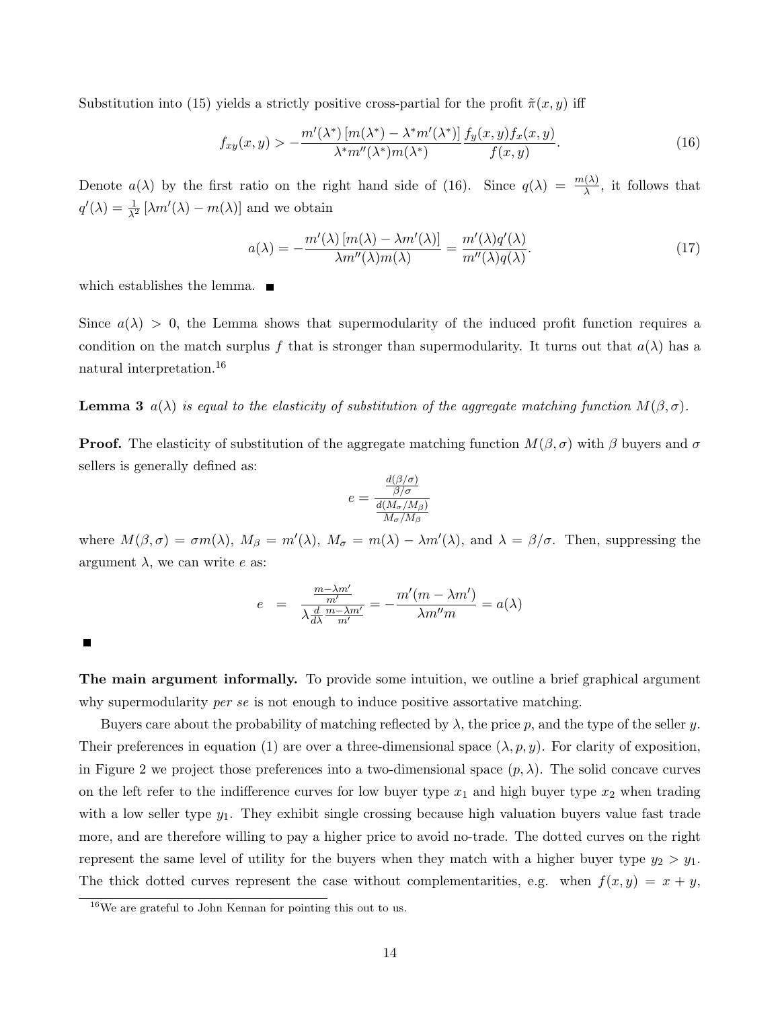Substitution into (15) yields a strictly positive cross-partial for the profit  $\tilde{\pi}(x, y)$  iff

$$
f_{xy}(x,y) > -\frac{m'(\lambda^*) \left[m(\lambda^*) - \lambda^* m'(\lambda^*)\right]}{\lambda^* m''(\lambda^*) m(\lambda^*)} \frac{f_y(x,y) f_x(x,y)}{f(x,y)}.
$$
\n(16)

Denote  $a(\lambda)$  by the first ratio on the right hand side of (16). Since  $q(\lambda) = \frac{m(\lambda)}{\lambda}$ , it follows that  $q'(\lambda) = \frac{1}{\lambda^2} \left[ \lambda m'(\lambda) - m(\lambda) \right]$  and we obtain

$$
a(\lambda) = -\frac{m'(\lambda)[m(\lambda) - \lambda m'(\lambda)]}{\lambda m''(\lambda)m(\lambda)} = \frac{m'(\lambda)q'(\lambda)}{m''(\lambda)q(\lambda)}.
$$
\n(17)

which establishes the lemma.  $\blacksquare$ 

Since  $a(\lambda) > 0$ , the Lemma shows that supermodularity of the induced profit function requires a condition on the match surplus f that is stronger than supermodularity. It turns out that  $a(\lambda)$  has a natural interpretation.<sup>16</sup>

**Lemma 3**  $a(\lambda)$  is equal to the elasticity of substitution of the aggregate matching function  $M(\beta, \sigma)$ .

**Proof.** The elasticity of substitution of the aggregate matching function  $M(\beta, \sigma)$  with  $\beta$  buyers and  $\sigma$ sellers is generally defined as:

$$
e = \frac{\frac{d(\beta/\sigma)}{\beta/\sigma}}{\frac{d(M_{\sigma}/M_{\beta})}{M_{\sigma}/M_{\beta}}}
$$

where  $M(\beta, \sigma) = \sigma m(\lambda)$ ,  $M_{\beta} = m'(\lambda)$ ,  $M_{\sigma} = m(\lambda) - \lambda m'(\lambda)$ , and  $\lambda = \beta/\sigma$ . Then, suppressing the argument  $\lambda$ , we can write e as:

$$
e = \frac{\frac{m - \lambda m'}{m'}}{\lambda \frac{d}{d\lambda} \frac{m - \lambda m'}{m'}} = -\frac{m'(m - \lambda m')}{\lambda m'' m} = a(\lambda)
$$

 $\blacksquare$ 

The main argument informally. To provide some intuition, we outline a brief graphical argument why supermodularity *per se* is not enough to induce positive assortative matching.

Buyers care about the probability of matching reflected by  $\lambda$ , the price p, and the type of the seller y. Their preferences in equation (1) are over a three-dimensional space  $(\lambda, p, y)$ . For clarity of exposition, in Figure 2 we project those preferences into a two-dimensional space  $(p, \lambda)$ . The solid concave curves on the left refer to the indifference curves for low buyer type  $x_1$  and high buyer type  $x_2$  when trading with a low seller type  $y_1$ . They exhibit single crossing because high valuation buyers value fast trade more, and are therefore willing to pay a higher price to avoid no-trade. The dotted curves on the right represent the same level of utility for the buyers when they match with a higher buyer type  $y_2 > y_1$ . The thick dotted curves represent the case without complementarities, e.g. when  $f(x, y) = x + y$ ,

<sup>16</sup>We are grateful to John Kennan for pointing this out to us.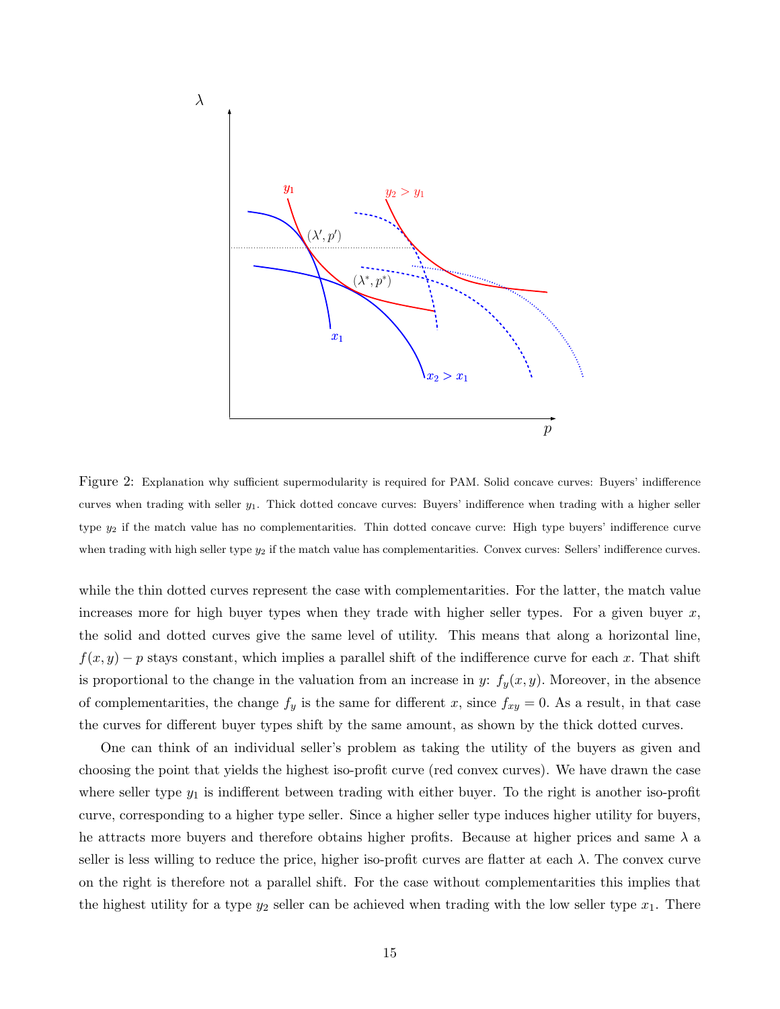

Figure 2: Explanation why sufficient supermodularity is required for PAM. Solid concave curves: Buyers' indifference curves when trading with seller y1. Thick dotted concave curves: Buyers' indifference when trading with a higher seller type  $y_2$  if the match value has no complementarities. Thin dotted concave curve: High type buyers' indifference curve when trading with high seller type  $y_2$  if the match value has complementarities. Convex curves: Sellers' indifference curves.

while the thin dotted curves represent the case with complementarities. For the latter, the match value increases more for high buyer types when they trade with higher seller types. For a given buyer  $x$ , the solid and dotted curves give the same level of utility. This means that along a horizontal line,  $f(x, y) - p$  stays constant, which implies a parallel shift of the indifference curve for each x. That shift is proportional to the change in the valuation from an increase in y:  $f_y(x, y)$ . Moreover, in the absence of complementarities, the change  $f_y$  is the same for different x, since  $f_{xy} = 0$ . As a result, in that case the curves for different buyer types shift by the same amount, as shown by the thick dotted curves.

One can think of an individual seller's problem as taking the utility of the buyers as given and choosing the point that yields the highest iso-profit curve (red convex curves). We have drawn the case where seller type  $y_1$  is indifferent between trading with either buyer. To the right is another iso-profit curve, corresponding to a higher type seller. Since a higher seller type induces higher utility for buyers, he attracts more buyers and therefore obtains higher profits. Because at higher prices and same  $\lambda$  a seller is less willing to reduce the price, higher iso-profit curves are flatter at each  $\lambda$ . The convex curve on the right is therefore not a parallel shift. For the case without complementarities this implies that the highest utility for a type  $y_2$  seller can be achieved when trading with the low seller type  $x_1$ . There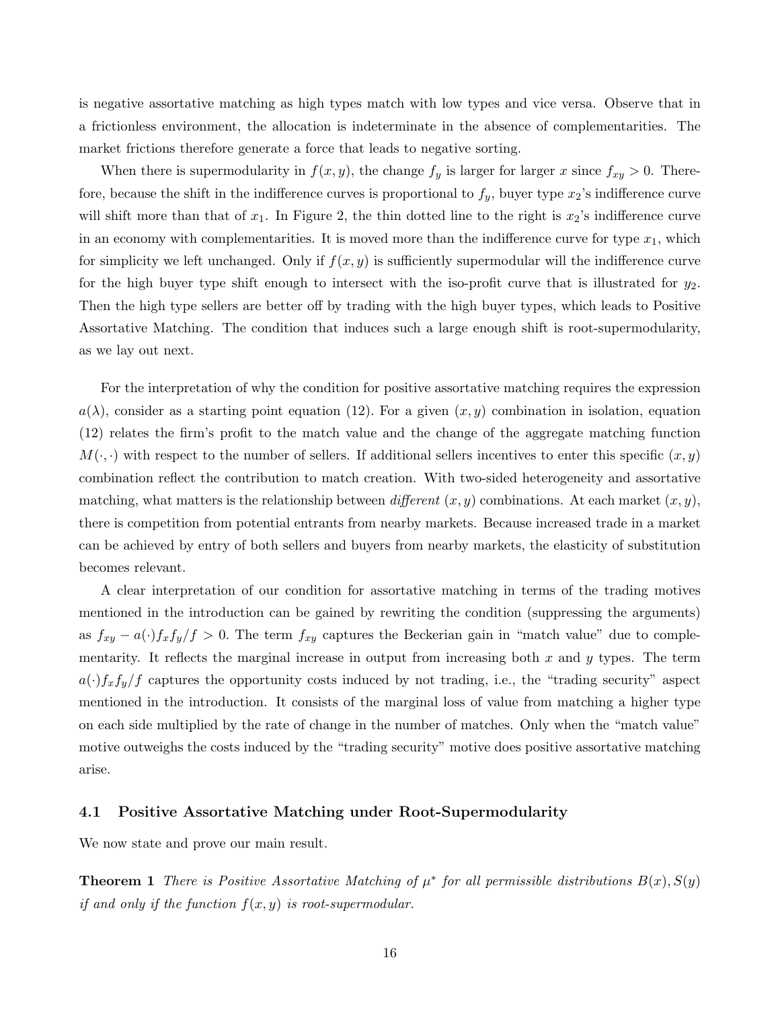is negative assortative matching as high types match with low types and vice versa. Observe that in a frictionless environment, the allocation is indeterminate in the absence of complementarities. The market frictions therefore generate a force that leads to negative sorting.

When there is supermodularity in  $f(x, y)$ , the change  $f_y$  is larger for larger x since  $f_{xy} > 0$ . Therefore, because the shift in the indifference curves is proportional to  $f_y$ , buyer type  $x_2$ 's indifference curve will shift more than that of  $x_1$ . In Figure 2, the thin dotted line to the right is  $x_2$ 's indifference curve in an economy with complementarities. It is moved more than the indifference curve for type  $x_1$ , which for simplicity we left unchanged. Only if  $f(x, y)$  is sufficiently supermodular will the indifference curve for the high buyer type shift enough to intersect with the iso-profit curve that is illustrated for  $y_2$ . Then the high type sellers are better off by trading with the high buyer types, which leads to Positive Assortative Matching. The condition that induces such a large enough shift is root-supermodularity, as we lay out next.

For the interpretation of why the condition for positive assortative matching requires the expression  $a(\lambda)$ , consider as a starting point equation (12). For a given  $(x, y)$  combination in isolation, equation (12) relates the firm's profit to the match value and the change of the aggregate matching function  $M(\cdot, \cdot)$  with respect to the number of sellers. If additional sellers incentives to enter this specific  $(x, y)$ combination reflect the contribution to match creation. With two-sided heterogeneity and assortative matching, what matters is the relationship between different  $(x, y)$  combinations. At each market  $(x, y)$ , there is competition from potential entrants from nearby markets. Because increased trade in a market can be achieved by entry of both sellers and buyers from nearby markets, the elasticity of substitution becomes relevant.

A clear interpretation of our condition for assortative matching in terms of the trading motives mentioned in the introduction can be gained by rewriting the condition (suppressing the arguments) as  $f_{xy} - a(\cdot)f_x f_y/f > 0$ . The term  $f_{xy}$  captures the Beckerian gain in "match value" due to complementarity. It reflects the marginal increase in output from increasing both  $x$  and  $y$  types. The term  $a(\cdot)f_xf_y/f$  captures the opportunity costs induced by not trading, i.e., the "trading security" aspect mentioned in the introduction. It consists of the marginal loss of value from matching a higher type on each side multiplied by the rate of change in the number of matches. Only when the "match value" motive outweighs the costs induced by the "trading security" motive does positive assortative matching arise.

### 4.1 Positive Assortative Matching under Root-Supermodularity

We now state and prove our main result.

**Theorem 1** There is Positive Assortative Matching of  $\mu^*$  for all permissible distributions  $B(x)$ ,  $S(y)$ if and only if the function  $f(x, y)$  is root-supermodular.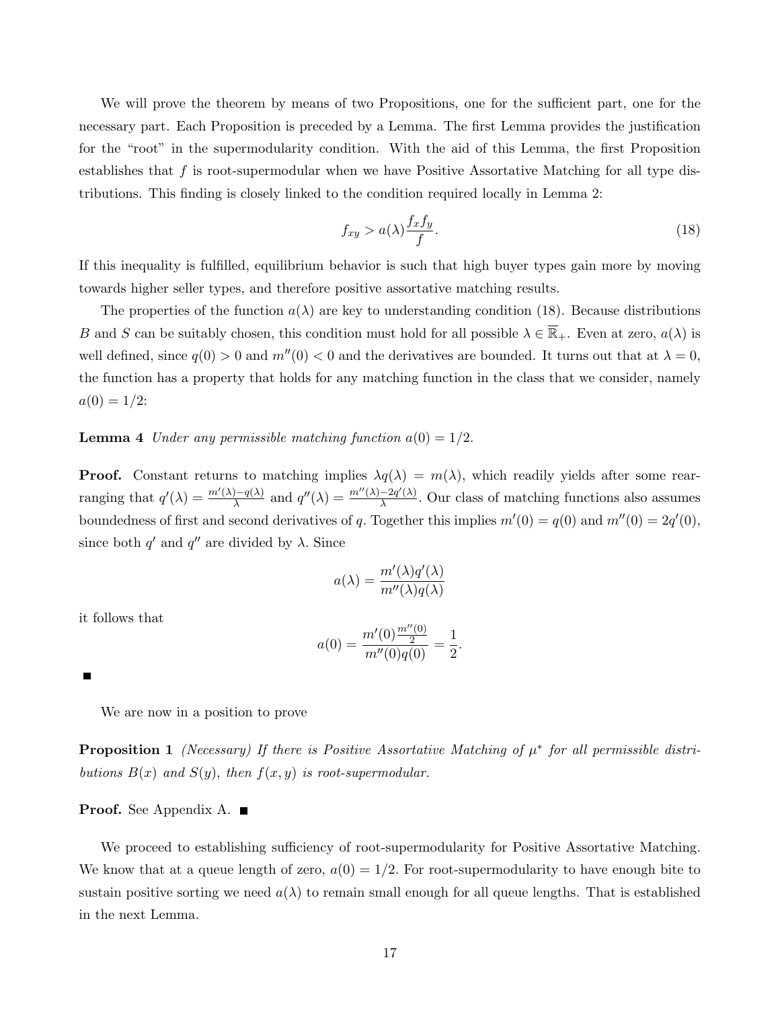We will prove the theorem by means of two Propositions, one for the sufficient part, one for the necessary part. Each Proposition is preceded by a Lemma. The first Lemma provides the justification for the "root" in the supermodularity condition. With the aid of this Lemma, the first Proposition establishes that  $f$  is root-supermodular when we have Positive Assortative Matching for all type distributions. This finding is closely linked to the condition required locally in Lemma 2:

$$
f_{xy} > a(\lambda) \frac{f_x f_y}{f}.
$$
\n(18)

If this inequality is fulfilled, equilibrium behavior is such that high buyer types gain more by moving towards higher seller types, and therefore positive assortative matching results.

The properties of the function  $a(\lambda)$  are key to understanding condition (18). Because distributions B and S can be suitably chosen, this condition must hold for all possible  $\lambda \in \overline{\mathbb{R}}_+$ . Even at zero,  $a(\lambda)$  is well defined, since  $q(0) > 0$  and  $m''(0) < 0$  and the derivatives are bounded. It turns out that at  $\lambda = 0$ , the function has a property that holds for any matching function in the class that we consider, namely  $a(0) = 1/2$ :

**Lemma 4** Under any permissible matching function  $a(0) = 1/2$ .

**Proof.** Constant returns to matching implies  $\lambda q(\lambda) = m(\lambda)$ , which readily yields after some rearranging that  $q'(\lambda) = \frac{m'(\lambda)-q(\lambda)}{\lambda}$  $\frac{\partial q(\lambda)}{\partial \lambda}$  and  $q''(\lambda) = \frac{m''(\lambda) - 2q'(\lambda)}{\lambda}$  $\frac{-2q(\lambda)}{\lambda}$ . Our class of matching functions also assumes boundedness of first and second derivatives of q. Together this implies  $m'(0) = q(0)$  and  $m''(0) = 2q'(0)$ , since both q' and q'' are divided by  $\lambda$ . Since

$$
a(\lambda) = \frac{m'(\lambda)q'(\lambda)}{m''(\lambda)q(\lambda)}
$$

it follows that

$$
a(0) = \frac{m'(0)\frac{m''(0)}{2}}{m''(0)q(0)} = \frac{1}{2}.
$$

We are now in a position to prove

**Proposition 1** (Necessary) If there is Positive Assortative Matching of  $\mu^*$  for all permissible distributions  $B(x)$  and  $S(y)$ , then  $f(x, y)$  is root-supermodular.

#### Proof. See Appendix A.

We proceed to establishing sufficiency of root-supermodularity for Positive Assortative Matching. We know that at a queue length of zero,  $a(0) = 1/2$ . For root-supermodularity to have enough bite to sustain positive sorting we need  $a(\lambda)$  to remain small enough for all queue lengths. That is established in the next Lemma.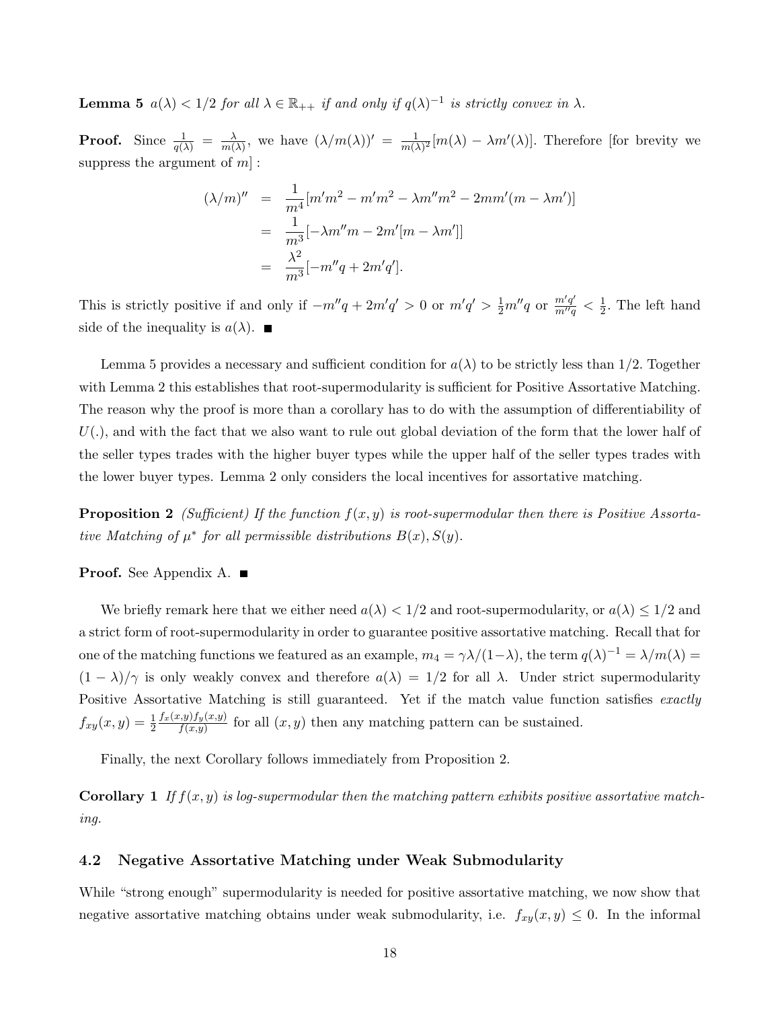**Lemma 5**  $a(\lambda) < 1/2$  for all  $\lambda \in \mathbb{R}_{++}$  if and only if  $q(\lambda)^{-1}$  is strictly convex in  $\lambda$ .

**Proof.** Since  $\frac{1}{q(\lambda)} = \frac{\lambda}{m(n)}$  $\frac{\lambda}{m(\lambda)}$ , we have  $(\lambda/m(\lambda))' = \frac{1}{m(\lambda)}$  $\frac{1}{m(\lambda)^2}[m(\lambda) - \lambda m'(\lambda)].$  Therefore [for brevity we suppress the argument of  $m$ ]:

$$
(\lambda/m)'' = \frac{1}{m^4} [m'm^2 - m'm^2 - \lambda m''m^2 - 2mm'(m - \lambda m')] = \frac{1}{m^3} [-\lambda m''m - 2m'[m - \lambda m']] = \frac{\lambda^2}{m^3} [-m''q + 2m'q'].
$$

This is strictly positive if and only if  $-m''q + 2m'q' > 0$  or  $m'q' > \frac{1}{2}m''q$  or  $\frac{m'q'}{m''q} < \frac{1}{2}$  $\frac{1}{2}$ . The left hand side of the inequality is  $a(\lambda)$ .

Lemma 5 provides a necessary and sufficient condition for  $a(\lambda)$  to be strictly less than 1/2. Together with Lemma 2 this establishes that root-supermodularity is sufficient for Positive Assortative Matching. The reason why the proof is more than a corollary has to do with the assumption of differentiability of  $U(.)$ , and with the fact that we also want to rule out global deviation of the form that the lower half of the seller types trades with the higher buyer types while the upper half of the seller types trades with the lower buyer types. Lemma 2 only considers the local incentives for assortative matching.

**Proposition 2** (Sufficient) If the function  $f(x, y)$  is root-supermodular then there is Positive Assortative Matching of  $\mu^*$  for all permissible distributions  $B(x), S(y)$ .

Proof. See Appendix A. ■

We briefly remark here that we either need  $a(\lambda) < 1/2$  and root-supermodularity, or  $a(\lambda) \leq 1/2$  and a strict form of root-supermodularity in order to guarantee positive assortative matching. Recall that for one of the matching functions we featured as an example,  $m_4 = \gamma \lambda/(1-\lambda)$ , the term  $q(\lambda)^{-1} = \lambda/m(\lambda) =$  $(1 - \lambda)/\gamma$  is only weakly convex and therefore  $a(\lambda) = 1/2$  for all  $\lambda$ . Under strict supermodularity Positive Assortative Matching is still guaranteed. Yet if the match value function satisfies exactly  $f_{xy}(x, y) = \frac{1}{2}$  $f_x(x,y)f_y(x,y)$  $f_{(x,y)}^{(x,y)}$  for all  $(x, y)$  then any matching pattern can be sustained.

Finally, the next Corollary follows immediately from Proposition 2.

**Corollary 1** If  $f(x, y)$  is log-supermodular then the matching pattern exhibits positive assortative matching.

### 4.2 Negative Assortative Matching under Weak Submodularity

While "strong enough" supermodularity is needed for positive assortative matching, we now show that negative assortative matching obtains under weak submodularity, i.e.  $f_{xy}(x, y) \leq 0$ . In the informal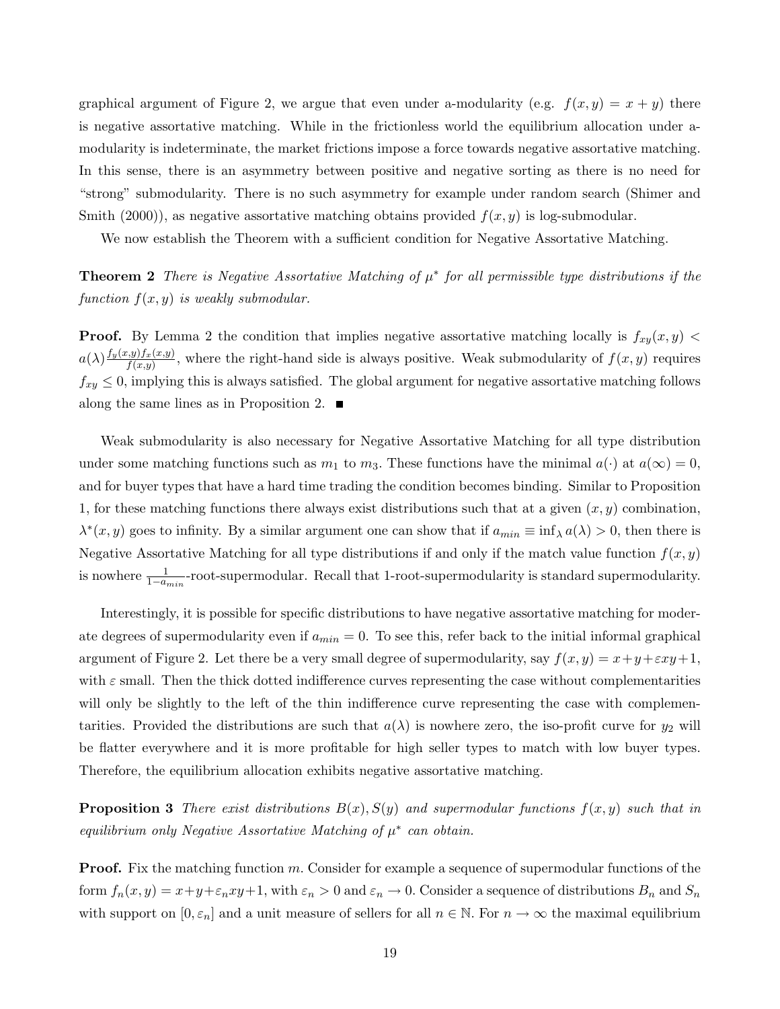graphical argument of Figure 2, we argue that even under a-modularity (e.g.  $f(x, y) = x + y$ ) there is negative assortative matching. While in the frictionless world the equilibrium allocation under amodularity is indeterminate, the market frictions impose a force towards negative assortative matching. In this sense, there is an asymmetry between positive and negative sorting as there is no need for "strong" submodularity. There is no such asymmetry for example under random search (Shimer and Smith  $(2000)$ , as negative assortative matching obtains provided  $f(x, y)$  is log-submodular.

We now establish the Theorem with a sufficient condition for Negative Assortative Matching.

**Theorem 2** There is Negative Assortative Matching of  $\mu^*$  for all permissible type distributions if the function  $f(x, y)$  is weakly submodular.

**Proof.** By Lemma 2 the condition that implies negative assortative matching locally is  $f_{xy}(x, y)$  <  $a(\lambda) \frac{f_y(x,y) f_x(x,y)}{f(x,y)}$  $f_{(x,y)}^{(y),y,(x,y)}$ , where the right-hand side is always positive. Weak submodularity of  $f(x, y)$  requires  $f_{xy} \leq 0$ , implying this is always satisfied. The global argument for negative assortative matching follows along the same lines as in Proposition 2.  $\blacksquare$ 

Weak submodularity is also necessary for Negative Assortative Matching for all type distribution under some matching functions such as  $m_1$  to  $m_3$ . These functions have the minimal  $a(\cdot)$  at  $a(\infty) = 0$ , and for buyer types that have a hard time trading the condition becomes binding. Similar to Proposition 1, for these matching functions there always exist distributions such that at a given  $(x, y)$  combination,  $\lambda^*(x, y)$  goes to infinity. By a similar argument one can show that if  $a_{min} \equiv \inf_{\lambda} a(\lambda) > 0$ , then there is Negative Assortative Matching for all type distributions if and only if the match value function  $f(x, y)$ is nowhere  $\frac{1}{1-a_{min}}$ -root-supermodular. Recall that 1-root-supermodularity is standard supermodularity.

Interestingly, it is possible for specific distributions to have negative assortative matching for moderate degrees of supermodularity even if  $a_{min} = 0$ . To see this, refer back to the initial informal graphical argument of Figure 2. Let there be a very small degree of supermodularity, say  $f(x, y) = x + y + \epsilon xy + 1$ , with  $\varepsilon$  small. Then the thick dotted indifference curves representing the case without complementarities will only be slightly to the left of the thin indifference curve representing the case with complementarities. Provided the distributions are such that  $a(\lambda)$  is nowhere zero, the iso-profit curve for  $y_2$  will be flatter everywhere and it is more profitable for high seller types to match with low buyer types. Therefore, the equilibrium allocation exhibits negative assortative matching.

**Proposition 3** There exist distributions  $B(x)$ ,  $S(y)$  and supermodular functions  $f(x, y)$  such that in equilibrium only Negative Assortative Matching of  $\mu^*$  can obtain.

**Proof.** Fix the matching function  $m$ . Consider for example a sequence of supermodular functions of the form  $f_n(x, y) = x + y + \varepsilon_n xy + 1$ , with  $\varepsilon_n > 0$  and  $\varepsilon_n \to 0$ . Consider a sequence of distributions  $B_n$  and  $S_n$ with support on  $[0, \varepsilon_n]$  and a unit measure of sellers for all  $n \in \mathbb{N}$ . For  $n \to \infty$  the maximal equilibrium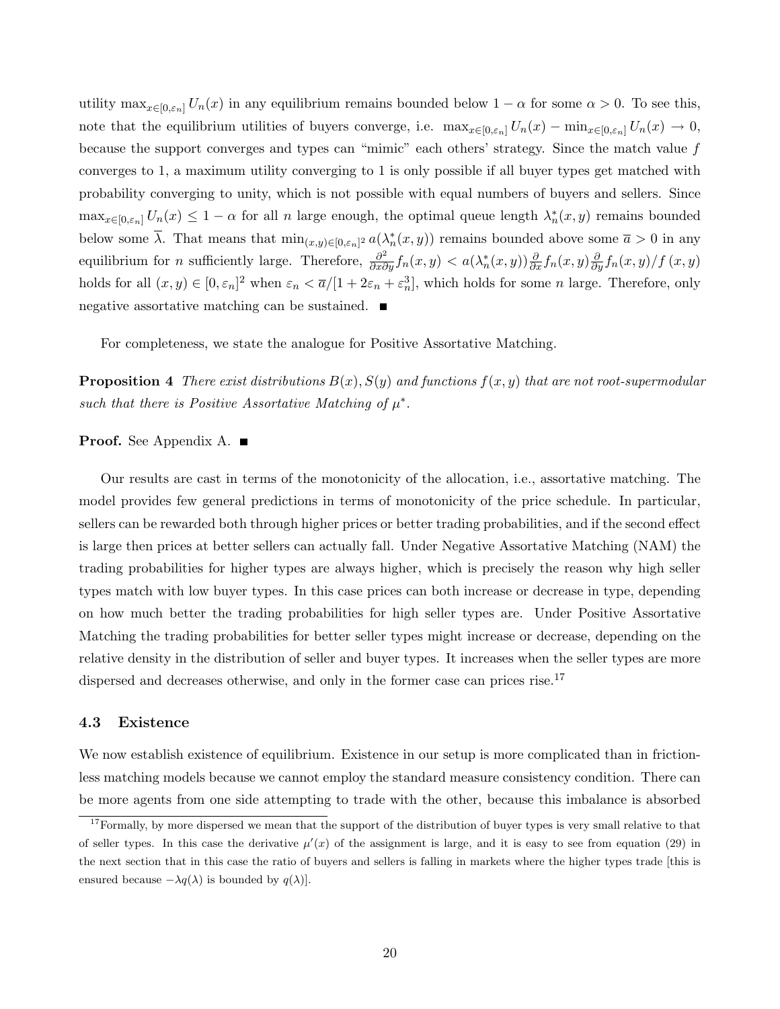utility  $\max_{x\in[0,\varepsilon_n]} U_n(x)$  in any equilibrium remains bounded below  $1-\alpha$  for some  $\alpha > 0$ . To see this, note that the equilibrium utilities of buyers converge, i.e.  $\max_{x \in [0,\varepsilon_n]} U_n(x) - \min_{x \in [0,\varepsilon_n]} U_n(x) \to 0$ , because the support converges and types can "mimic" each others' strategy. Since the match value f converges to 1, a maximum utility converging to 1 is only possible if all buyer types get matched with probability converging to unity, which is not possible with equal numbers of buyers and sellers. Since  $\max_{x\in[0,\varepsilon_n]} U_n(x) \leq 1-\alpha$  for all n large enough, the optimal queue length  $\lambda_n^*(x,y)$  remains bounded below some  $\overline{\lambda}$ . That means that  $\min_{(x,y)\in[0,\varepsilon_n]^2} a(\lambda_n^*(x,y))$  remains bounded above some  $\overline{a}>0$  in any equilibrium for *n* sufficiently large. Therefore,  $\frac{\partial^2}{\partial x \partial y} f_n(x, y) < a(\lambda_n^*(x, y)) \frac{\partial}{\partial x} f_n(x, y) \frac{\partial}{\partial y} f_n(x, y) / f(x, y)$ holds for all  $(x, y) \in [0, \varepsilon_n]^2$  when  $\varepsilon_n < \overline{a}/[1 + 2\varepsilon_n + \varepsilon_n^3]$ , which holds for some *n* large. Therefore, only negative assortative matching can be sustained.  $\blacksquare$ 

For completeness, we state the analogue for Positive Assortative Matching.

**Proposition 4** There exist distributions  $B(x)$ ,  $S(y)$  and functions  $f(x, y)$  that are not root-supermodular such that there is Positive Assortative Matching of  $\mu^*$ .

### Proof. See Appendix A. ■

Our results are cast in terms of the monotonicity of the allocation, i.e., assortative matching. The model provides few general predictions in terms of monotonicity of the price schedule. In particular, sellers can be rewarded both through higher prices or better trading probabilities, and if the second effect is large then prices at better sellers can actually fall. Under Negative Assortative Matching (NAM) the trading probabilities for higher types are always higher, which is precisely the reason why high seller types match with low buyer types. In this case prices can both increase or decrease in type, depending on how much better the trading probabilities for high seller types are. Under Positive Assortative Matching the trading probabilities for better seller types might increase or decrease, depending on the relative density in the distribution of seller and buyer types. It increases when the seller types are more dispersed and decreases otherwise, and only in the former case can prices rise.<sup>17</sup>

### 4.3 Existence

We now establish existence of equilibrium. Existence in our setup is more complicated than in frictionless matching models because we cannot employ the standard measure consistency condition. There can be more agents from one side attempting to trade with the other, because this imbalance is absorbed

 $17$  Formally, by more dispersed we mean that the support of the distribution of buyer types is very small relative to that of seller types. In this case the derivative  $\mu'(x)$  of the assignment is large, and it is easy to see from equation (29) in the next section that in this case the ratio of buyers and sellers is falling in markets where the higher types trade [this is ensured because  $-\lambda q(\lambda)$  is bounded by  $q(\lambda)$ .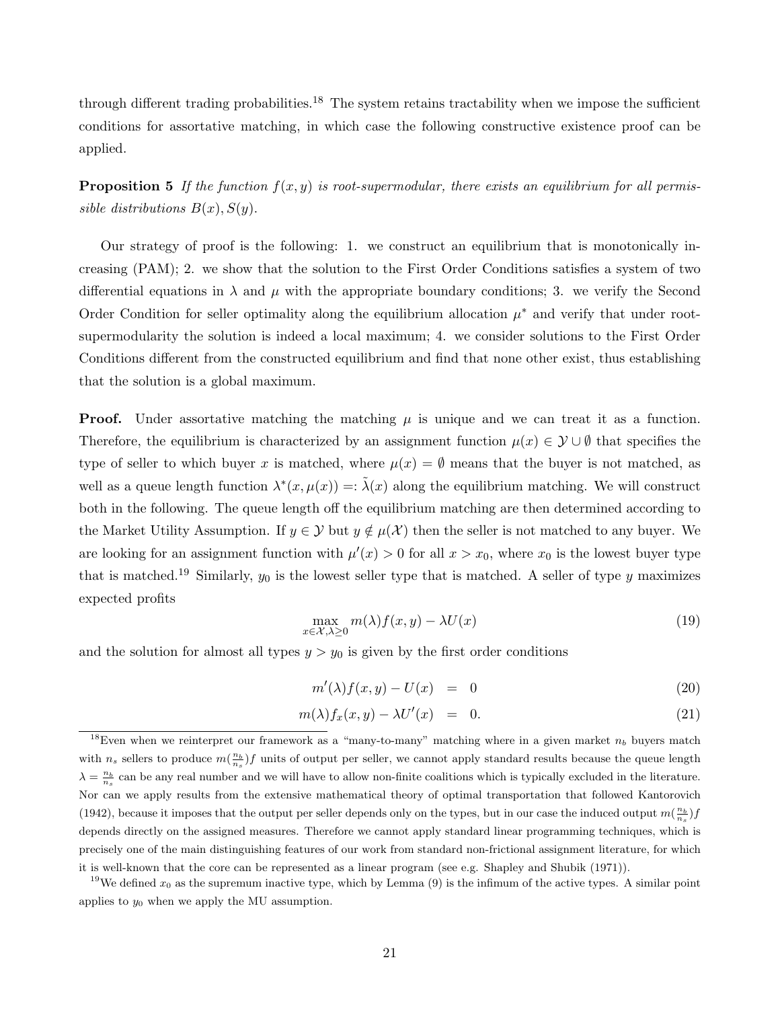through different trading probabilities.<sup>18</sup> The system retains tractability when we impose the sufficient conditions for assortative matching, in which case the following constructive existence proof can be applied.

**Proposition 5** If the function  $f(x, y)$  is root-supermodular, there exists an equilibrium for all permissible distributions  $B(x)$ ,  $S(y)$ .

Our strategy of proof is the following: 1. we construct an equilibrium that is monotonically increasing (PAM); 2. we show that the solution to the First Order Conditions satisfies a system of two differential equations in  $\lambda$  and  $\mu$  with the appropriate boundary conditions; 3. we verify the Second Order Condition for seller optimality along the equilibrium allocation  $\mu^*$  and verify that under rootsupermodularity the solution is indeed a local maximum; 4. we consider solutions to the First Order Conditions different from the constructed equilibrium and find that none other exist, thus establishing that the solution is a global maximum.

**Proof.** Under assortative matching the matching  $\mu$  is unique and we can treat it as a function. Therefore, the equilibrium is characterized by an assignment function  $\mu(x) \in \mathcal{Y} \cup \emptyset$  that specifies the type of seller to which buyer x is matched, where  $\mu(x) = \emptyset$  means that the buyer is not matched, as well as a queue length function  $\lambda^*(x, \mu(x)) = \tilde{\lambda}(x)$  along the equilibrium matching. We will construct both in the following. The queue length off the equilibrium matching are then determined according to the Market Utility Assumption. If  $y \in \mathcal{Y}$  but  $y \notin \mu(\mathcal{X})$  then the seller is not matched to any buyer. We are looking for an assignment function with  $\mu'(x) > 0$  for all  $x > x_0$ , where  $x_0$  is the lowest buyer type that is matched.<sup>19</sup> Similarly,  $y_0$  is the lowest seller type that is matched. A seller of type y maximizes expected profits

$$
\max_{x \in \mathcal{X}, \lambda \ge 0} m(\lambda) f(x, y) - \lambda U(x) \tag{19}
$$

and the solution for almost all types  $y > y_0$  is given by the first order conditions

$$
m'(\lambda)f(x,y) - U(x) = 0 \tag{20}
$$

$$
m(\lambda) f_x(x, y) - \lambda U'(x) = 0.
$$
\n(21)

<sup>18</sup>Even when we reinterpret our framework as a "many-to-many" matching where in a given market  $n_b$  buyers match with  $n_s$  sellers to produce  $m(\frac{n_b}{n_s})f$  units of output per seller, we cannot apply standard results because the queue length  $\lambda = \frac{n_b}{n_s}$  can be any real number and we will have to allow non-finite coalitions which is typically excluded in the literature. Nor can we apply results from the extensive mathematical theory of optimal transportation that followed Kantorovich (1942), because it imposes that the output per seller depends only on the types, but in our case the induced output  $m(\frac{n_b}{n_s})f$ depends directly on the assigned measures. Therefore we cannot apply standard linear programming techniques, which is precisely one of the main distinguishing features of our work from standard non-frictional assignment literature, for which it is well-known that the core can be represented as a linear program (see e.g. Shapley and Shubik (1971)).

<sup>&</sup>lt;sup>19</sup>We defined  $x_0$  as the supremum inactive type, which by Lemma (9) is the infimum of the active types. A similar point applies to  $y_0$  when we apply the MU assumption.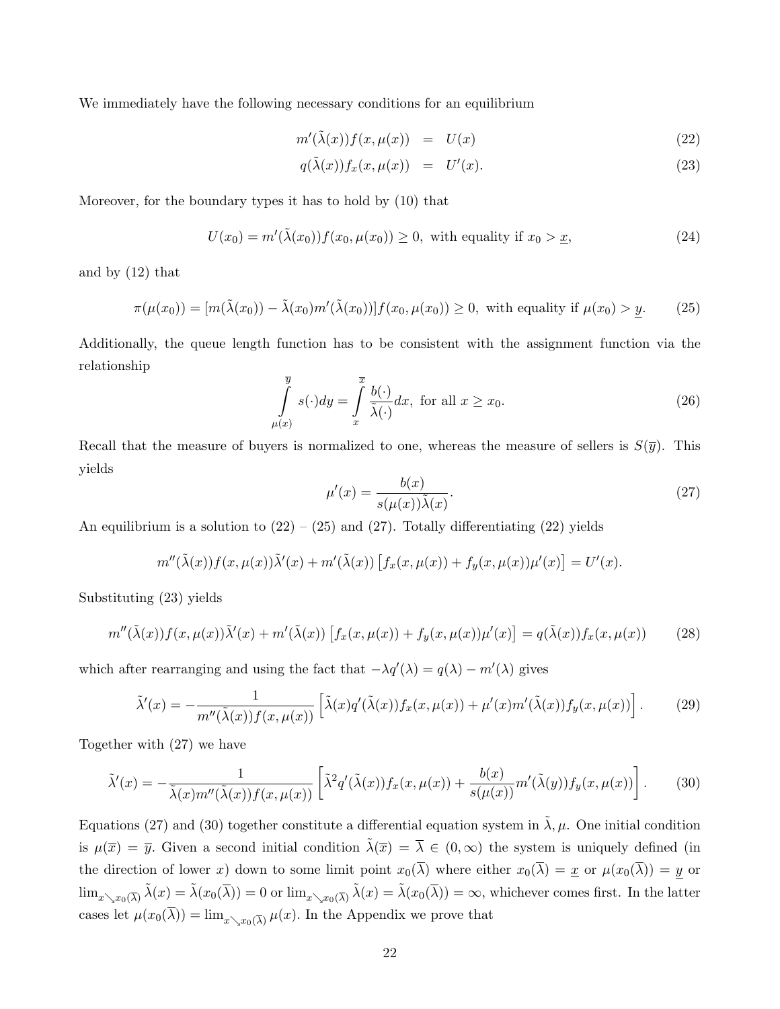We immediately have the following necessary conditions for an equilibrium

$$
m'(\tilde{\lambda}(x))f(x,\mu(x)) = U(x) \tag{22}
$$

$$
q(\tilde{\lambda}(x))f_x(x,\mu(x)) = U'(x). \tag{23}
$$

Moreover, for the boundary types it has to hold by (10) that

$$
U(x_0) = m'(\tilde{\lambda}(x_0)) f(x_0, \mu(x_0)) \ge 0, \text{ with equality if } x_0 > \underline{x}, \tag{24}
$$

and by (12) that

$$
\pi(\mu(x_0)) = [m(\tilde{\lambda}(x_0)) - \tilde{\lambda}(x_0)m'(\tilde{\lambda}(x_0))]f(x_0, \mu(x_0)) \ge 0, \text{ with equality if } \mu(x_0) > \underline{y}.\tag{25}
$$

Additionally, the queue length function has to be consistent with the assignment function via the relationship

$$
\int_{\mu(x)}^{\overline{y}} s(\cdot) dy = \int_{x}^{\overline{x}} \frac{b(\cdot)}{\tilde{\lambda}(\cdot)} dx, \text{ for all } x \ge x_0.
$$
 (26)

Recall that the measure of buyers is normalized to one, whereas the measure of sellers is  $S(\bar{y})$ . This yields

$$
\mu'(x) = \frac{b(x)}{s(\mu(x))\tilde{\lambda}(x)}.\tag{27}
$$

An equilibrium is a solution to  $(22) - (25)$  and  $(27)$ . Totally differentiating  $(22)$  yields

$$
m''(\tilde{\lambda}(x))f(x,\mu(x))\tilde{\lambda}'(x)+m'(\tilde{\lambda}(x))\left[f_x(x,\mu(x))+f_y(x,\mu(x))\mu'(x)\right]=U'(x).
$$

Substituting (23) yields

$$
m''(\tilde{\lambda}(x))f(x,\mu(x))\tilde{\lambda}'(x) + m'(\tilde{\lambda}(x))\left[f_x(x,\mu(x)) + f_y(x,\mu(x))\mu'(x)\right] = q(\tilde{\lambda}(x))f_x(x,\mu(x))\tag{28}
$$

which after rearranging and using the fact that  $-\lambda q'(\lambda) = q(\lambda) - m'(\lambda)$  gives

$$
\tilde{\lambda}'(x) = -\frac{1}{m''(\tilde{\lambda}(x))f(x,\mu(x))} \left[ \tilde{\lambda}(x)q'(\tilde{\lambda}(x))f_x(x,\mu(x)) + \mu'(x)m'(\tilde{\lambda}(x))f_y(x,\mu(x)) \right].
$$
 (29)

Together with (27) we have

$$
\tilde{\lambda}'(x) = -\frac{1}{\tilde{\lambda}(x)m''(\tilde{\lambda}(x))f(x,\mu(x))} \left[ \tilde{\lambda}^2 q'(\tilde{\lambda}(x))f_x(x,\mu(x)) + \frac{b(x)}{s(\mu(x))} m'(\tilde{\lambda}(y))f_y(x,\mu(x)) \right].
$$
 (30)

Equations (27) and (30) together constitute a differential equation system in  $\tilde{\lambda}, \mu$ . One initial condition is  $\mu(\overline{x}) = \overline{y}$ . Given a second initial condition  $\tilde{\lambda}(\overline{x}) = \overline{\lambda} \in (0,\infty)$  the system is uniquely defined (in the direction of lower x) down to some limit point  $x_0(\overline{\lambda})$  where either  $x_0(\overline{\lambda}) = \underline{x}$  or  $\mu(x_0(\overline{\lambda})) = \underline{y}$  or  $\lim_{x\searrow x_0(\overline{\lambda})} \tilde{\lambda}(x) = \tilde{\lambda}(x_0(\overline{\lambda})) = 0$  or  $\lim_{x\searrow x_0(\overline{\lambda})} \tilde{\lambda}(x) = \tilde{\lambda}(x_0(\overline{\lambda})) = \infty$ , whichever comes first. In the latter cases let  $\mu(x_0(\lambda)) = \lim_{x \searrow x_0(\overline{\lambda})} \mu(x)$ . In the Appendix we prove that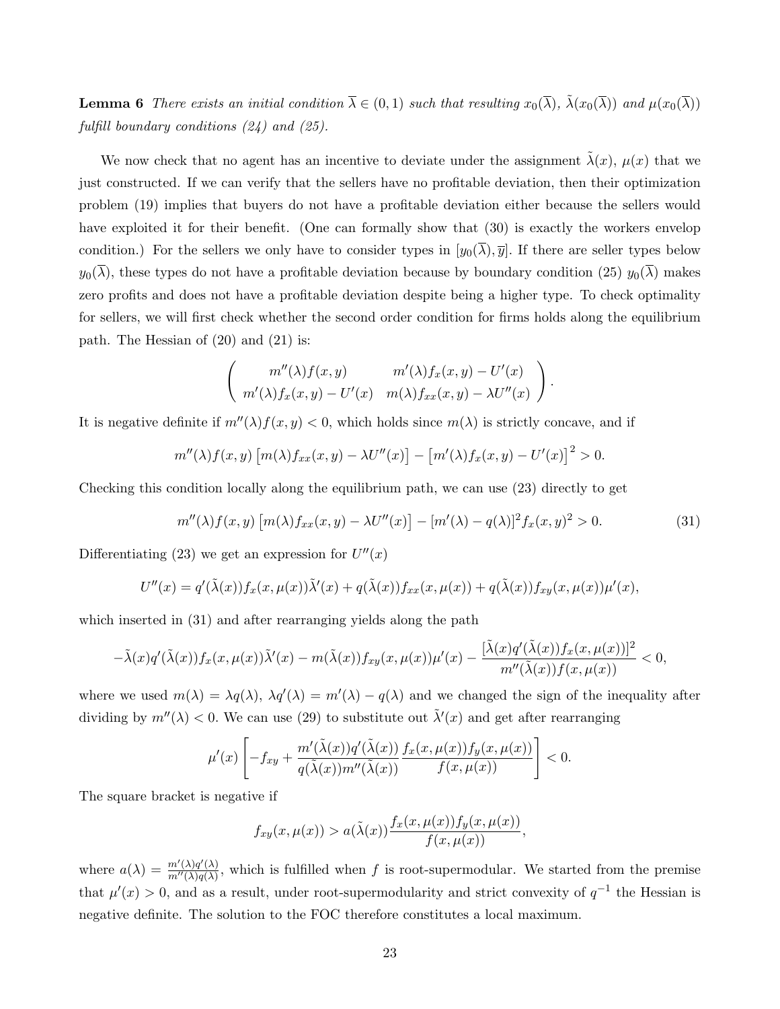**Lemma 6** There exists an initial condition  $\overline{\lambda} \in (0,1)$  such that resulting  $x_0(\overline{\lambda})$ ,  $\tilde{\lambda}(x_0(\overline{\lambda}))$  and  $\mu(x_0(\overline{\lambda}))$ fulfill boundary conditions (24) and (25).

We now check that no agent has an incentive to deviate under the assignment  $\lambda(x)$ ,  $\mu(x)$  that we just constructed. If we can verify that the sellers have no profitable deviation, then their optimization problem (19) implies that buyers do not have a profitable deviation either because the sellers would have exploited it for their benefit. (One can formally show that  $(30)$  is exactly the workers envelop condition.) For the sellers we only have to consider types in  $[y_0(\overline{\lambda}), \overline{y}]$ . If there are seller types below  $y_0(\overline{\lambda})$ , these types do not have a profitable deviation because by boundary condition (25)  $y_0(\overline{\lambda})$  makes zero profits and does not have a profitable deviation despite being a higher type. To check optimality for sellers, we will first check whether the second order condition for firms holds along the equilibrium path. The Hessian of (20) and (21) is:

$$
\begin{pmatrix} m''(\lambda)f(x,y) & m'(\lambda)f_x(x,y) - U'(x) \\ m'(\lambda)f_x(x,y) - U'(x) & m(\lambda)f_{xx}(x,y) - \lambda U''(x) \end{pmatrix}.
$$

It is negative definite if  $m''(\lambda)f(x, y) < 0$ , which holds since  $m(\lambda)$  is strictly concave, and if

$$
m''(\lambda)f(x,y)\left[m(\lambda)f_{xx}(x,y)-\lambda U''(x)\right]-\left[m'(\lambda)f_x(x,y)-U'(x)\right]^2>0.
$$

Checking this condition locally along the equilibrium path, we can use (23) directly to get

$$
m''(\lambda)f(x,y)\left[m(\lambda)f_{xx}(x,y) - \lambda U''(x)\right] - [m'(\lambda) - q(\lambda)]^2 f_x(x,y)^2 > 0.
$$
\n(31)

Differentiating (23) we get an expression for  $U''(x)$ 

$$
U''(x) = q'(\tilde{\lambda}(x))f_x(x,\mu(x))\tilde{\lambda}'(x) + q(\tilde{\lambda}(x))f_{xx}(x,\mu(x)) + q(\tilde{\lambda}(x))f_{xy}(x,\mu(x))\mu'(x),
$$

which inserted in (31) and after rearranging yields along the path

$$
-\tilde{\lambda}(x)q'(\tilde{\lambda}(x))f_x(x,\mu(x))\tilde{\lambda}'(x)-m(\tilde{\lambda}(x))f_{xy}(x,\mu(x))\mu'(x)-\frac{[\tilde{\lambda}(x)q'(\tilde{\lambda}(x))f_x(x,\mu(x))]^2}{m''(\tilde{\lambda}(x))f(x,\mu(x))}<0,
$$

where we used  $m(\lambda) = \lambda q(\lambda)$ ,  $\lambda q'(\lambda) = m'(\lambda) - q(\lambda)$  and we changed the sign of the inequality after dividing by  $m''(\lambda) < 0$ . We can use (29) to substitute out  $\tilde{\lambda}'(x)$  and get after rearranging

$$
\mu'(x)\left[-f_{xy}+\frac{m'(\tilde\lambda(x))q'(\tilde\lambda(x))}{q(\tilde\lambda(x))m''(\tilde\lambda(x))}\frac{f_x(x,\mu(x))f_y(x,\mu(x))}{f(x,\mu(x))}\right]<0.
$$

The square bracket is negative if

$$
f_{xy}(x,\mu(x)) > a(\tilde{\lambda}(x)) \frac{f_x(x,\mu(x))f_y(x,\mu(x))}{f(x,\mu(x))},
$$

where  $a(\lambda) = \frac{m'(\lambda)q'(\lambda)}{m''(\lambda)q(\lambda)}$  $\frac{m(\lambda)q(\lambda)}{m'(\lambda)q(\lambda)}$ , which is fulfilled when f is root-supermodular. We started from the premise that  $\mu'(x) > 0$ , and as a result, under root-supermodularity and strict convexity of  $q^{-1}$  the Hessian is negative definite. The solution to the FOC therefore constitutes a local maximum.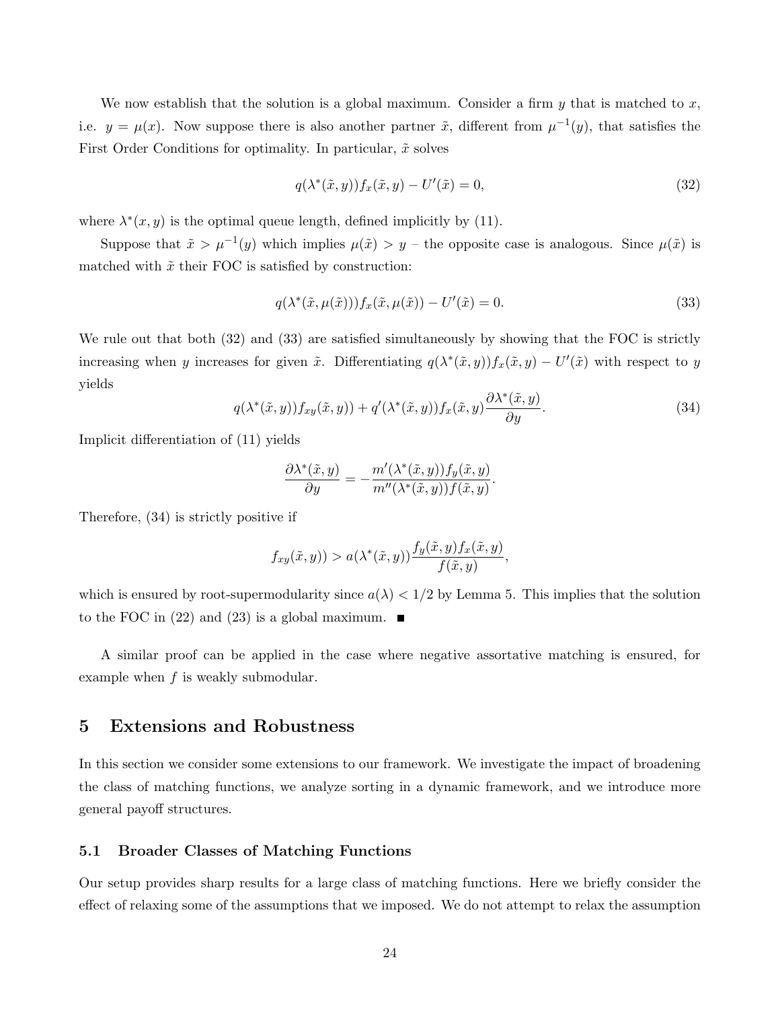We now establish that the solution is a global maximum. Consider a firm  $y$  that is matched to  $x$ , i.e.  $y = \mu(x)$ . Now suppose there is also another partner  $\tilde{x}$ , different from  $\mu^{-1}(y)$ , that satisfies the First Order Conditions for optimality. In particular,  $\tilde{x}$  solves

$$
q(\lambda^*(\tilde{x}, y))f_x(\tilde{x}, y) - U'(\tilde{x}) = 0,
$$
\n(32)

where  $\lambda^*(x, y)$  is the optimal queue length, defined implicitly by (11).

Suppose that  $\tilde{x} > \mu^{-1}(y)$  which implies  $\mu(\tilde{x}) > y$  – the opposite case is analogous. Since  $\mu(\tilde{x})$  is matched with  $\tilde{x}$  their FOC is satisfied by construction:

$$
q(\lambda^*(\tilde{x}, \mu(\tilde{x})))f_x(\tilde{x}, \mu(\tilde{x})) - U'(\tilde{x}) = 0.
$$
 (33)

We rule out that both  $(32)$  and  $(33)$  are satisfied simultaneously by showing that the FOC is strictly increasing when y increases for given  $\tilde{x}$ . Differentiating  $q(\lambda^*(\tilde{x}, y))f_x(\tilde{x}, y) - U'(\tilde{x})$  with respect to y yields

$$
q(\lambda^*(\tilde{x}, y))f_{xy}(\tilde{x}, y)) + q'(\lambda^*(\tilde{x}, y))f_x(\tilde{x}, y)\frac{\partial \lambda^*(\tilde{x}, y)}{\partial y}.
$$
\n(34)

Implicit differentiation of (11) yields

$$
\frac{\partial \lambda^*(\tilde{x}, y)}{\partial y} = -\frac{m'(\lambda^*(\tilde{x}, y))f_y(\tilde{x}, y)}{m''(\lambda^*(\tilde{x}, y))f(\tilde{x}, y)}.
$$

Therefore, (34) is strictly positive if

$$
f_{xy}(\tilde{x}, y)) > a(\lambda^*(\tilde{x}, y)) \frac{f_y(\tilde{x}, y) f_x(\tilde{x}, y)}{f(\tilde{x}, y)},
$$

which is ensured by root-supermodularity since  $a(\lambda) < 1/2$  by Lemma 5. This implies that the solution to the FOC in (22) and (23) is a global maximum.  $\blacksquare$ 

A similar proof can be applied in the case where negative assortative matching is ensured, for example when  $f$  is weakly submodular.

# 5 Extensions and Robustness

In this section we consider some extensions to our framework. We investigate the impact of broadening the class of matching functions, we analyze sorting in a dynamic framework, and we introduce more general payoff structures.

### 5.1 Broader Classes of Matching Functions

Our setup provides sharp results for a large class of matching functions. Here we briefly consider the effect of relaxing some of the assumptions that we imposed. We do not attempt to relax the assumption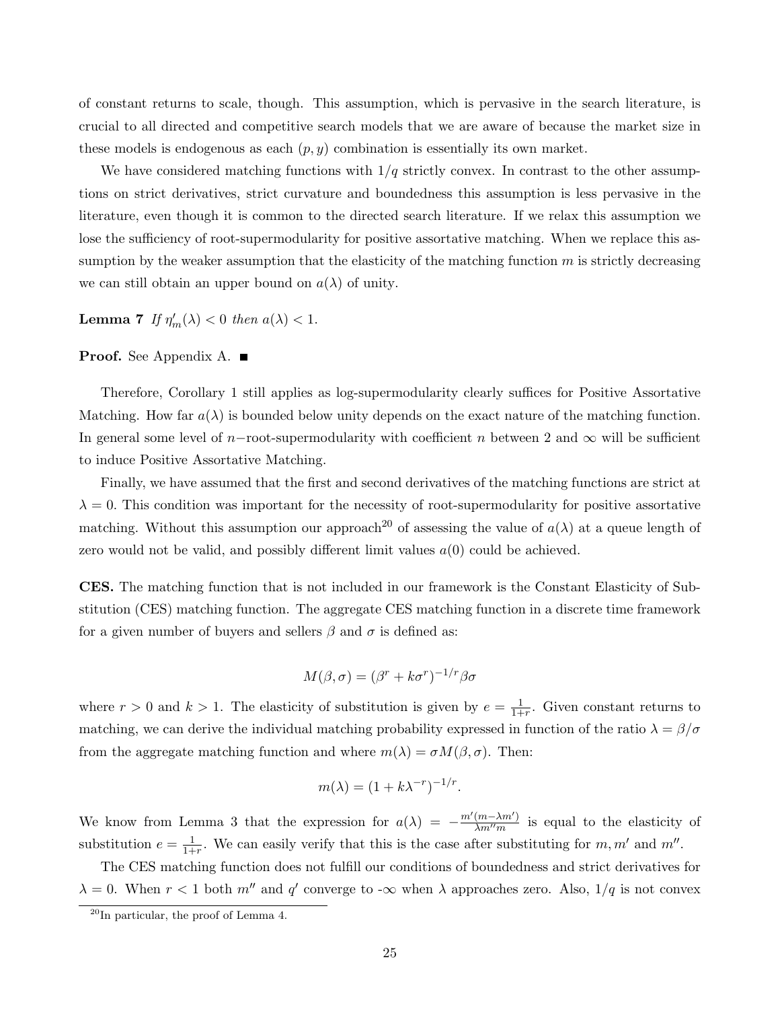of constant returns to scale, though. This assumption, which is pervasive in the search literature, is crucial to all directed and competitive search models that we are aware of because the market size in these models is endogenous as each  $(p, y)$  combination is essentially its own market.

We have considered matching functions with  $1/q$  strictly convex. In contrast to the other assumptions on strict derivatives, strict curvature and boundedness this assumption is less pervasive in the literature, even though it is common to the directed search literature. If we relax this assumption we lose the sufficiency of root-supermodularity for positive assortative matching. When we replace this assumption by the weaker assumption that the elasticity of the matching function  $m$  is strictly decreasing we can still obtain an upper bound on  $a(\lambda)$  of unity.

**Lemma 7** If  $\eta'_m(\lambda) < 0$  then  $a(\lambda) < 1$ .

### Proof. See Appendix A. ■

Therefore, Corollary 1 still applies as log-supermodularity clearly suffices for Positive Assortative Matching. How far  $a(\lambda)$  is bounded below unity depends on the exact nature of the matching function. In general some level of n-root-supermodularity with coefficient n between 2 and  $\infty$  will be sufficient to induce Positive Assortative Matching.

Finally, we have assumed that the first and second derivatives of the matching functions are strict at  $\lambda = 0$ . This condition was important for the necessity of root-supermodularity for positive assortative matching. Without this assumption our approach<sup>20</sup> of assessing the value of  $a(\lambda)$  at a queue length of zero would not be valid, and possibly different limit values  $a(0)$  could be achieved.

CES. The matching function that is not included in our framework is the Constant Elasticity of Substitution (CES) matching function. The aggregate CES matching function in a discrete time framework for a given number of buyers and sellers  $\beta$  and  $\sigma$  is defined as:

$$
M(\beta, \sigma) = (\beta^r + k\sigma^r)^{-1/r} \beta \sigma
$$

where  $r > 0$  and  $k > 1$ . The elasticity of substitution is given by  $e = \frac{1}{1+r}$  $\frac{1}{1+r}$ . Given constant returns to matching, we can derive the individual matching probability expressed in function of the ratio  $\lambda = \beta/\sigma$ from the aggregate matching function and where  $m(\lambda) = \sigma M(\beta, \sigma)$ . Then:

$$
m(\lambda) = (1 + k\lambda^{-r})^{-1/r}.
$$

We know from Lemma 3 that the expression for  $a(\lambda) = -\frac{m'(m-\lambda m')}{\lambda m''m}$  $\frac{(m-\lambda m)}{\lambda m^{\prime\prime}m}$  is equal to the elasticity of substitution  $e = \frac{1}{1+}$  $\frac{1}{1+r}$ . We can easily verify that this is the case after substituting for m, m' and m''.

The CES matching function does not fulfill our conditions of boundedness and strict derivatives for  $\lambda = 0$ . When  $r < 1$  both  $m''$  and  $q'$  converge to - $\infty$  when  $\lambda$  approaches zero. Also,  $1/q$  is not convex

 $^{20}$ In particular, the proof of Lemma 4.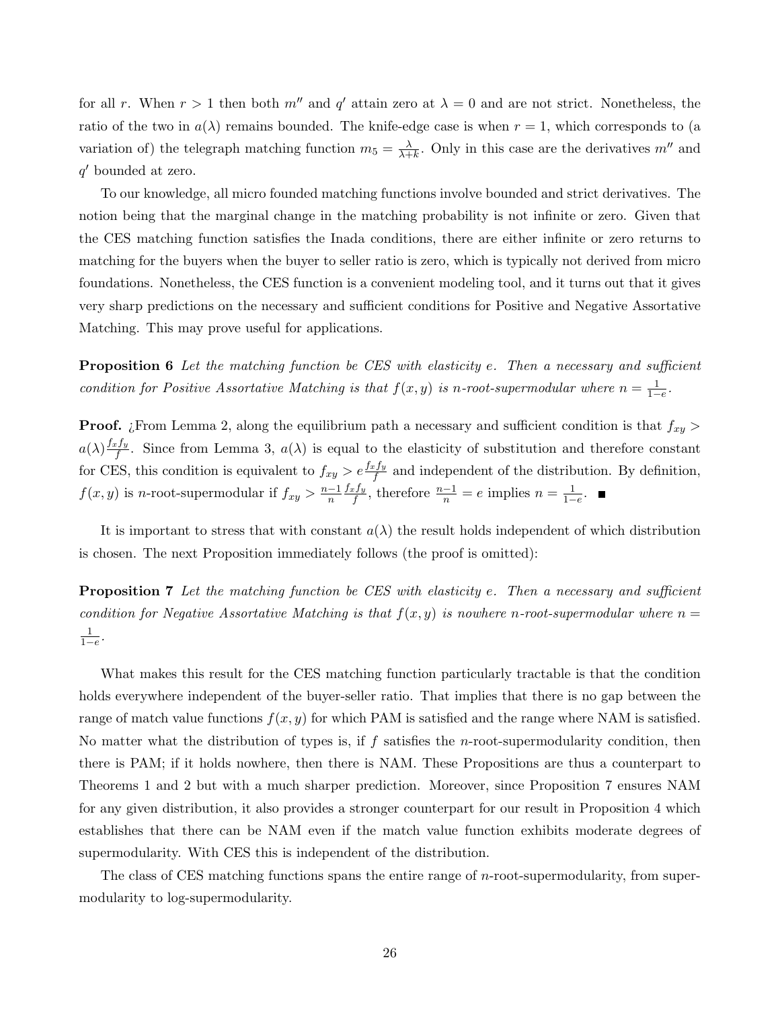for all r. When  $r > 1$  then both  $m''$  and  $q'$  attain zero at  $\lambda = 0$  and are not strict. Nonetheless, the ratio of the two in  $a(\lambda)$  remains bounded. The knife-edge case is when  $r = 1$ , which corresponds to (a variation of) the telegraph matching function  $m_5 = \frac{\lambda}{\lambda + 1}$  $\frac{\lambda}{\lambda+k}$ . Only in this case are the derivatives  $m''$  and q' bounded at zero.

To our knowledge, all micro founded matching functions involve bounded and strict derivatives. The notion being that the marginal change in the matching probability is not infinite or zero. Given that the CES matching function satisfies the Inada conditions, there are either infinite or zero returns to matching for the buyers when the buyer to seller ratio is zero, which is typically not derived from micro foundations. Nonetheless, the CES function is a convenient modeling tool, and it turns out that it gives very sharp predictions on the necessary and sufficient conditions for Positive and Negative Assortative Matching. This may prove useful for applications.

**Proposition 6** Let the matching function be CES with elasticity e. Then a necessary and sufficient condition for Positive Assortative Matching is that  $f(x, y)$  is n-root-supermodular where  $n = \frac{1}{1-e}$ .

**Proof.** ¿From Lemma 2, along the equilibrium path a necessary and sufficient condition is that  $f_{xy}$  $a(\lambda) \frac{f_x f_y}{f}$  $f_f^{e\,ly}$ . Since from Lemma 3,  $a(\lambda)$  is equal to the elasticity of substitution and therefore constant for CES, this condition is equivalent to  $f_{xy} > e \frac{f_x f_y}{f}$  and independent of the distribution. By definition,  $f(x, y)$  is n-root-supermodular if  $f_{xy} > \frac{n-1}{n}$ n  $f_xf_y$  $\frac{df_y}{f}$ , therefore  $\frac{n-1}{n} = e$  implies  $n = \frac{1}{1-e}$ .

It is important to stress that with constant  $a(\lambda)$  the result holds independent of which distribution is chosen. The next Proposition immediately follows (the proof is omitted):

**Proposition 7** Let the matching function be CES with elasticity e. Then a necessary and sufficient condition for Negative Assortative Matching is that  $f(x, y)$  is nowhere n-root-supermodular where  $n =$  $\frac{1}{1-e}$ .

What makes this result for the CES matching function particularly tractable is that the condition holds everywhere independent of the buyer-seller ratio. That implies that there is no gap between the range of match value functions  $f(x, y)$  for which PAM is satisfied and the range where NAM is satisfied. No matter what the distribution of types is, if  $f$  satisfies the *n*-root-supermodularity condition, then there is PAM; if it holds nowhere, then there is NAM. These Propositions are thus a counterpart to Theorems 1 and 2 but with a much sharper prediction. Moreover, since Proposition 7 ensures NAM for any given distribution, it also provides a stronger counterpart for our result in Proposition 4 which establishes that there can be NAM even if the match value function exhibits moderate degrees of supermodularity. With CES this is independent of the distribution.

The class of CES matching functions spans the entire range of *n*-root-supermodularity, from supermodularity to log-supermodularity.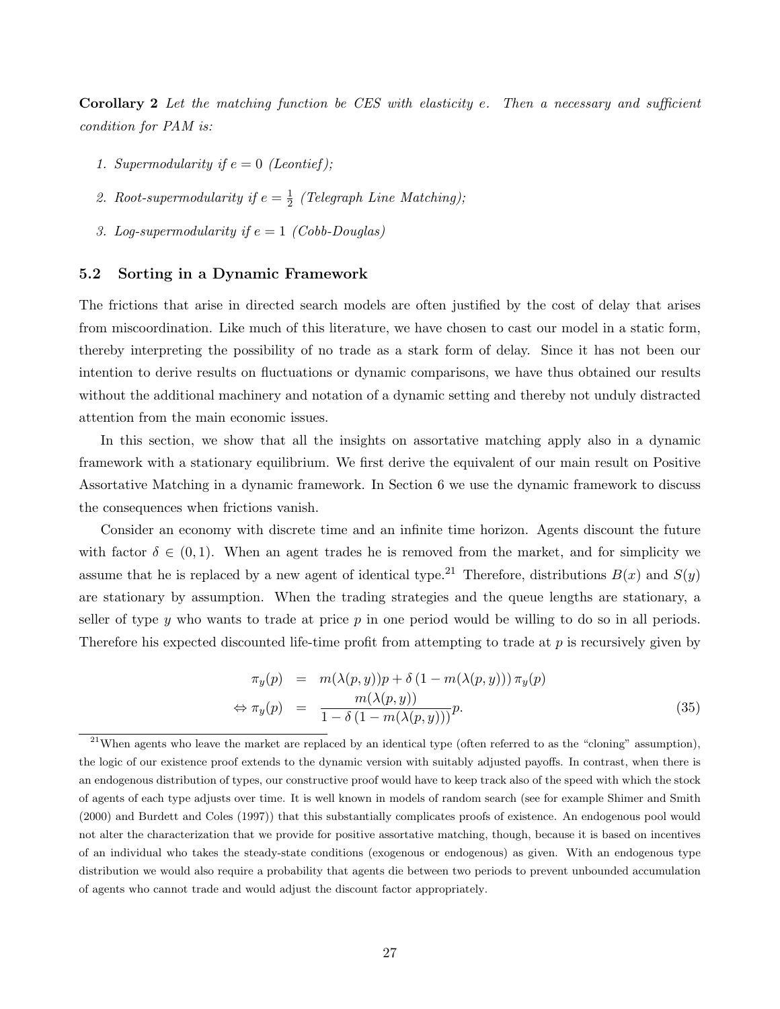**Corollary 2** Let the matching function be CES with elasticity e. Then a necessary and sufficient condition for PAM is:

- 1. Supermodularity if  $e = 0$  (Leontief);
- 2. Root-supermodularity if  $e = \frac{1}{2}$  $\frac{1}{2}$  (Telegraph Line Matching);
- 3. Log-supermodularity if  $e = 1$  (Cobb-Douglas)

### 5.2 Sorting in a Dynamic Framework

The frictions that arise in directed search models are often justified by the cost of delay that arises from miscoordination. Like much of this literature, we have chosen to cast our model in a static form, thereby interpreting the possibility of no trade as a stark form of delay. Since it has not been our intention to derive results on fluctuations or dynamic comparisons, we have thus obtained our results without the additional machinery and notation of a dynamic setting and thereby not unduly distracted attention from the main economic issues.

In this section, we show that all the insights on assortative matching apply also in a dynamic framework with a stationary equilibrium. We first derive the equivalent of our main result on Positive Assortative Matching in a dynamic framework. In Section 6 we use the dynamic framework to discuss the consequences when frictions vanish.

Consider an economy with discrete time and an infinite time horizon. Agents discount the future with factor  $\delta \in (0,1)$ . When an agent trades he is removed from the market, and for simplicity we assume that he is replaced by a new agent of identical type.<sup>21</sup> Therefore, distributions  $B(x)$  and  $S(y)$ are stationary by assumption. When the trading strategies and the queue lengths are stationary, a seller of type y who wants to trade at price  $p$  in one period would be willing to do so in all periods. Therefore his expected discounted life-time profit from attempting to trade at  $p$  is recursively given by

$$
\pi_y(p) = m(\lambda(p, y))p + \delta(1 - m(\lambda(p, y))) \pi_y(p)
$$
  
\n
$$
\Leftrightarrow \pi_y(p) = \frac{m(\lambda(p, y))}{1 - \delta(1 - m(\lambda(p, y)))}p.
$$
\n(35)

<sup>&</sup>lt;sup>21</sup>When agents who leave the market are replaced by an identical type (often referred to as the "cloning" assumption), the logic of our existence proof extends to the dynamic version with suitably adjusted payoffs. In contrast, when there is an endogenous distribution of types, our constructive proof would have to keep track also of the speed with which the stock of agents of each type adjusts over time. It is well known in models of random search (see for example Shimer and Smith (2000) and Burdett and Coles (1997)) that this substantially complicates proofs of existence. An endogenous pool would not alter the characterization that we provide for positive assortative matching, though, because it is based on incentives of an individual who takes the steady-state conditions (exogenous or endogenous) as given. With an endogenous type distribution we would also require a probability that agents die between two periods to prevent unbounded accumulation of agents who cannot trade and would adjust the discount factor appropriately.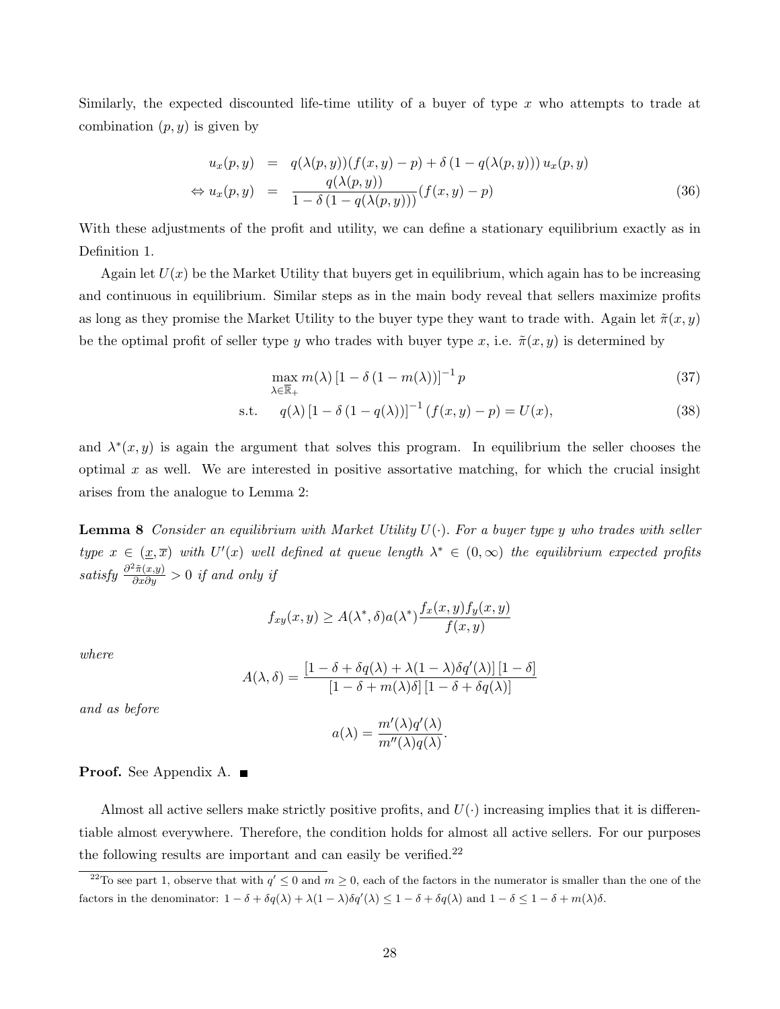Similarly, the expected discounted life-time utility of a buyer of type  $x$  who attempts to trade at combination  $(p, y)$  is given by

$$
u_x(p, y) = q(\lambda(p, y))(f(x, y) - p) + \delta (1 - q(\lambda(p, y))) u_x(p, y)
$$
  
\n
$$
\Leftrightarrow u_x(p, y) = \frac{q(\lambda(p, y))}{1 - \delta (1 - q(\lambda(p, y)))} (f(x, y) - p)
$$
\n(36)

With these adjustments of the profit and utility, we can define a stationary equilibrium exactly as in Definition 1.

Again let  $U(x)$  be the Market Utility that buyers get in equilibrium, which again has to be increasing and continuous in equilibrium. Similar steps as in the main body reveal that sellers maximize profits as long as they promise the Market Utility to the buyer type they want to trade with. Again let  $\tilde{\pi}(x, y)$ be the optimal profit of seller type y who trades with buyer type x, i.e.  $\tilde{\pi}(x, y)$  is determined by

$$
\max_{\lambda \in \overline{\mathbb{R}}_+} m(\lambda) \left[1 - \delta \left(1 - m(\lambda)\right)\right]^{-1} p \tag{37}
$$

s.t. 
$$
q(\lambda) [1 - \delta (1 - q(\lambda))]^{-1} (f(x, y) - p) = U(x),
$$
 (38)

and  $\lambda^*(x, y)$  is again the argument that solves this program. In equilibrium the seller chooses the optimal  $x$  as well. We are interested in positive assortative matching, for which the crucial insight arises from the analogue to Lemma 2:

**Lemma 8** Consider an equilibrium with Market Utility  $U(\cdot)$ . For a buyer type y who trades with seller type  $x \in (\underline{x}, \overline{x})$  with  $U'(x)$  well defined at queue length  $\lambda^* \in (0, \infty)$  the equilibrium expected profits satisfy  $\frac{\partial^2 \tilde{\pi}(x,y)}{\partial x \partial y} > 0$  if and only if

$$
f_{xy}(x,y) \ge A(\lambda^*, \delta) a(\lambda^*) \frac{f_x(x,y) f_y(x,y)}{f(x,y)}
$$

where

$$
A(\lambda, \delta) = \frac{\left[1 - \delta + \delta q(\lambda) + \lambda(1 - \lambda)\delta q'(\lambda)\right]\left[1 - \delta\right]}{\left[1 - \delta + m(\lambda)\delta\right]\left[1 - \delta + \delta q(\lambda)\right]}
$$

and as before

$$
a(\lambda) = \frac{m'(\lambda)q'(\lambda)}{m''(\lambda)q(\lambda)}.
$$

#### **Proof.** See Appendix A. ■

Almost all active sellers make strictly positive profits, and  $U(\cdot)$  increasing implies that it is differentiable almost everywhere. Therefore, the condition holds for almost all active sellers. For our purposes the following results are important and can easily be verified.<sup>22</sup>

<sup>&</sup>lt;sup>22</sup>To see part 1, observe that with  $q' \leq 0$  and  $m \geq 0$ , each of the factors in the numerator is smaller than the one of the factors in the denominator:  $1 - \delta + \delta q(\lambda) + \lambda(1 - \lambda)\delta q'(\lambda) \leq 1 - \delta + \delta q(\lambda)$  and  $1 - \delta \leq 1 - \delta + m(\lambda)\delta$ .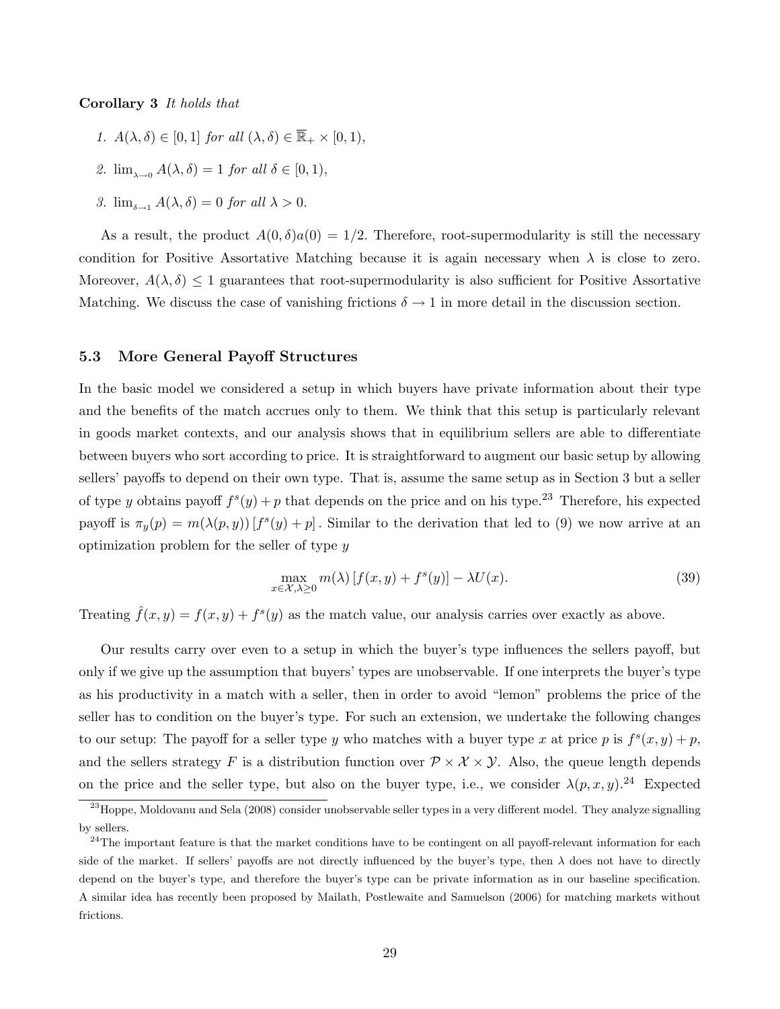#### Corollary 3 It holds that

- 1.  $A(\lambda, \delta) \in [0, 1]$  for all  $(\lambda, \delta) \in \overline{\mathbb{R}}_+ \times [0, 1)$ ,
- 2.  $\lim_{\delta \to 0} A(\lambda, \delta) = 1$  for all  $\delta \in [0, 1)$ ,
- 3.  $\lim_{\delta \to 1} A(\lambda, \delta) = 0$  for all  $\lambda > 0$ .

As a result, the product  $A(0, \delta)a(0) = 1/2$ . Therefore, root-supermodularity is still the necessary condition for Positive Assortative Matching because it is again necessary when  $\lambda$  is close to zero. Moreover,  $A(\lambda, \delta) \leq 1$  guarantees that root-supermodularity is also sufficient for Positive Assortative Matching. We discuss the case of vanishing frictions  $\delta \to 1$  in more detail in the discussion section.

#### 5.3 More General Payoff Structures

In the basic model we considered a setup in which buyers have private information about their type and the benefits of the match accrues only to them. We think that this setup is particularly relevant in goods market contexts, and our analysis shows that in equilibrium sellers are able to differentiate between buyers who sort according to price. It is straightforward to augment our basic setup by allowing sellers' payoffs to depend on their own type. That is, assume the same setup as in Section 3 but a seller of type y obtains payoff  $f^s(y) + p$  that depends on the price and on his type.<sup>23</sup> Therefore, his expected payoff is  $\pi_y(p) = m(\lambda(p, y)) [f^s(y) + p]$ . Similar to the derivation that led to (9) we now arrive at an optimization problem for the seller of type  $y$ 

$$
\max_{x \in \mathcal{X}, \lambda \ge 0} m(\lambda) \left[ f(x, y) + f^s(y) \right] - \lambda U(x). \tag{39}
$$

Treating  $\hat{f}(x, y) = f(x, y) + f^{s}(y)$  as the match value, our analysis carries over exactly as above.

Our results carry over even to a setup in which the buyer's type influences the sellers payoff, but only if we give up the assumption that buyers' types are unobservable. If one interprets the buyer's type as his productivity in a match with a seller, then in order to avoid "lemon" problems the price of the seller has to condition on the buyer's type. For such an extension, we undertake the following changes to our setup: The payoff for a seller type y who matches with a buyer type x at price p is  $f^{s}(x, y) + p$ , and the sellers strategy F is a distribution function over  $\mathcal{P} \times \mathcal{X} \times \mathcal{Y}$ . Also, the queue length depends on the price and the seller type, but also on the buyer type, i.e., we consider  $\lambda(p, x, y)$ .<sup>24</sup> Expected

<sup>&</sup>lt;sup>23</sup>Hoppe, Moldovanu and Sela (2008) consider unobservable seller types in a very different model. They analyze signalling by sellers.

 $^{24}$ The important feature is that the market conditions have to be contingent on all payoff-relevant information for each side of the market. If sellers' payoffs are not directly influenced by the buyer's type, then  $\lambda$  does not have to directly depend on the buyer's type, and therefore the buyer's type can be private information as in our baseline specification. A similar idea has recently been proposed by Mailath, Postlewaite and Samuelson (2006) for matching markets without frictions.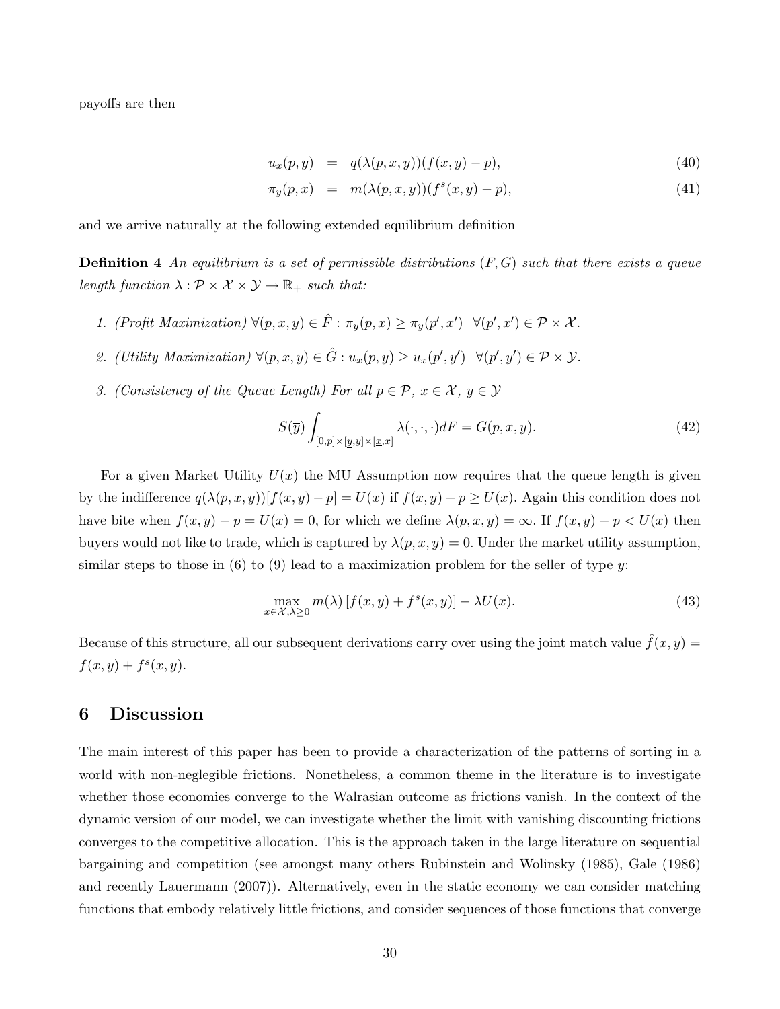payoffs are then

$$
u_x(p,y) = q(\lambda(p,x,y))(f(x,y)-p), \qquad (40)
$$

$$
\pi_y(p,x) = m(\lambda(p,x,y))(f^s(x,y) - p), \tag{41}
$$

and we arrive naturally at the following extended equilibrium definition

**Definition 4** An equilibrium is a set of permissible distributions  $(F, G)$  such that there exists a queue length function  $\lambda : \mathcal{P} \times \mathcal{X} \times \mathcal{Y} \to \overline{\mathbb{R}}_+$  such that:

- 1. (Profit Maximization)  $\forall (p, x, y) \in \hat{F} : \pi_y(p, x) \geq \pi_y(p', x') \quad \forall (p', x') \in \mathcal{P} \times \mathcal{X}$ .
- 2. (Utility Maximization)  $\forall (p, x, y) \in \hat{G} : u_x(p, y) \geq u_x(p', y') \quad \forall (p', y') \in \mathcal{P} \times \mathcal{Y}$ .
- 3. (Consistency of the Queue Length) For all  $p \in \mathcal{P}$ ,  $x \in \mathcal{X}$ ,  $y \in \mathcal{Y}$

$$
S(\overline{y})\int_{[0,p]\times[\underline{y},y]\times[\underline{x},x]} \lambda(\cdot,\cdot,\cdot)dF = G(p,x,y). \tag{42}
$$

For a given Market Utility  $U(x)$  the MU Assumption now requires that the queue length is given by the indifference  $q(\lambda(p, x, y))[f(x, y) - p] = U(x)$  if  $f(x, y) - p \ge U(x)$ . Again this condition does not have bite when  $f(x, y) - p = U(x) = 0$ , for which we define  $\lambda(p, x, y) = \infty$ . If  $f(x, y) - p \lt U(x)$  then buyers would not like to trade, which is captured by  $\lambda(p, x, y) = 0$ . Under the market utility assumption, similar steps to those in  $(6)$  to  $(9)$  lead to a maximization problem for the seller of type y:

$$
\max_{x \in \mathcal{X}, \lambda \ge 0} m(\lambda) \left[ f(x, y) + f^s(x, y) \right] - \lambda U(x). \tag{43}
$$

Because of this structure, all our subsequent derivations carry over using the joint match value  $\hat{f}(x, y)$  =  $f(x, y) + f^{s}(x, y).$ 

# 6 Discussion

The main interest of this paper has been to provide a characterization of the patterns of sorting in a world with non-neglegible frictions. Nonetheless, a common theme in the literature is to investigate whether those economies converge to the Walrasian outcome as frictions vanish. In the context of the dynamic version of our model, we can investigate whether the limit with vanishing discounting frictions converges to the competitive allocation. This is the approach taken in the large literature on sequential bargaining and competition (see amongst many others Rubinstein and Wolinsky (1985), Gale (1986) and recently Lauermann (2007)). Alternatively, even in the static economy we can consider matching functions that embody relatively little frictions, and consider sequences of those functions that converge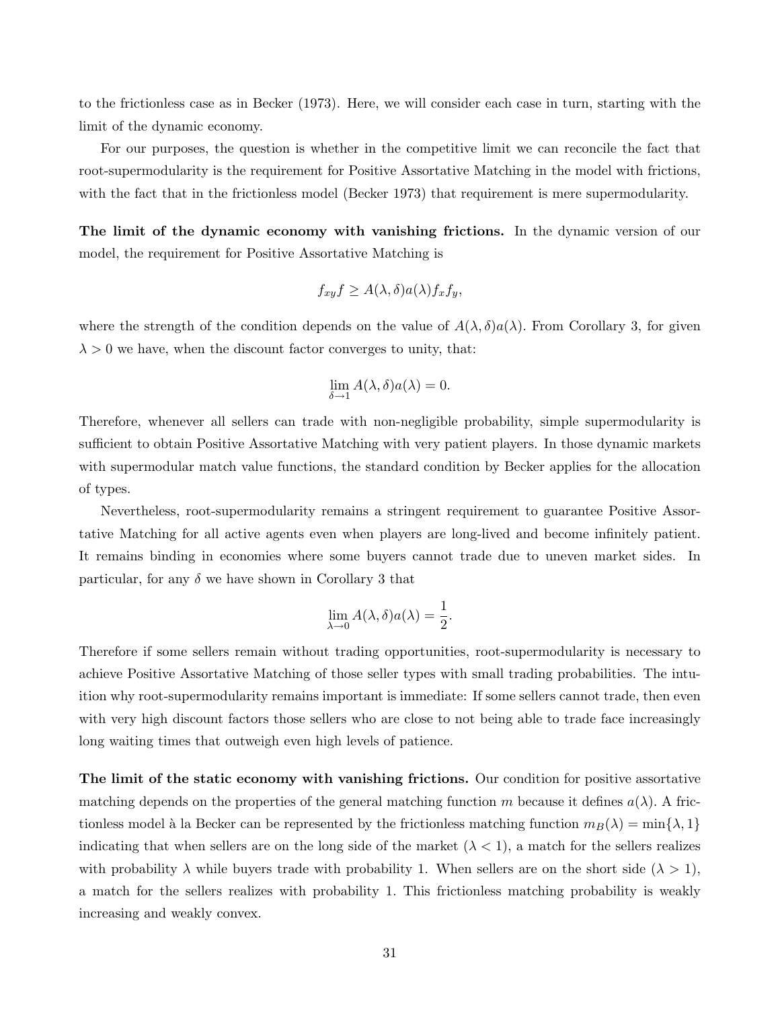to the frictionless case as in Becker (1973). Here, we will consider each case in turn, starting with the limit of the dynamic economy.

For our purposes, the question is whether in the competitive limit we can reconcile the fact that root-supermodularity is the requirement for Positive Assortative Matching in the model with frictions, with the fact that in the frictionless model (Becker 1973) that requirement is mere supermodularity.

The limit of the dynamic economy with vanishing frictions. In the dynamic version of our model, the requirement for Positive Assortative Matching is

$$
f_{xy}f \ge A(\lambda, \delta)a(\lambda)f_xf_y,
$$

where the strength of the condition depends on the value of  $A(\lambda, \delta)a(\lambda)$ . From Corollary 3, for given  $\lambda > 0$  we have, when the discount factor converges to unity, that:

$$
\lim_{\delta \to 1} A(\lambda, \delta) a(\lambda) = 0.
$$

Therefore, whenever all sellers can trade with non-negligible probability, simple supermodularity is sufficient to obtain Positive Assortative Matching with very patient players. In those dynamic markets with supermodular match value functions, the standard condition by Becker applies for the allocation of types.

Nevertheless, root-supermodularity remains a stringent requirement to guarantee Positive Assortative Matching for all active agents even when players are long-lived and become infinitely patient. It remains binding in economies where some buyers cannot trade due to uneven market sides. In particular, for any  $\delta$  we have shown in Corollary 3 that

$$
\lim_{\lambda \to 0} A(\lambda, \delta) a(\lambda) = \frac{1}{2}.
$$

Therefore if some sellers remain without trading opportunities, root-supermodularity is necessary to achieve Positive Assortative Matching of those seller types with small trading probabilities. The intuition why root-supermodularity remains important is immediate: If some sellers cannot trade, then even with very high discount factors those sellers who are close to not being able to trade face increasingly long waiting times that outweigh even high levels of patience.

The limit of the static economy with vanishing frictions. Our condition for positive assortative matching depends on the properties of the general matching function m because it defines  $a(\lambda)$ . A frictionless model à la Becker can be represented by the frictionless matching function  $m_B(\lambda) = \min\{\lambda, 1\}$ indicating that when sellers are on the long side of the market  $(\lambda < 1)$ , a match for the sellers realizes with probability  $\lambda$  while buyers trade with probability 1. When sellers are on the short side  $(\lambda > 1)$ , a match for the sellers realizes with probability 1. This frictionless matching probability is weakly increasing and weakly convex.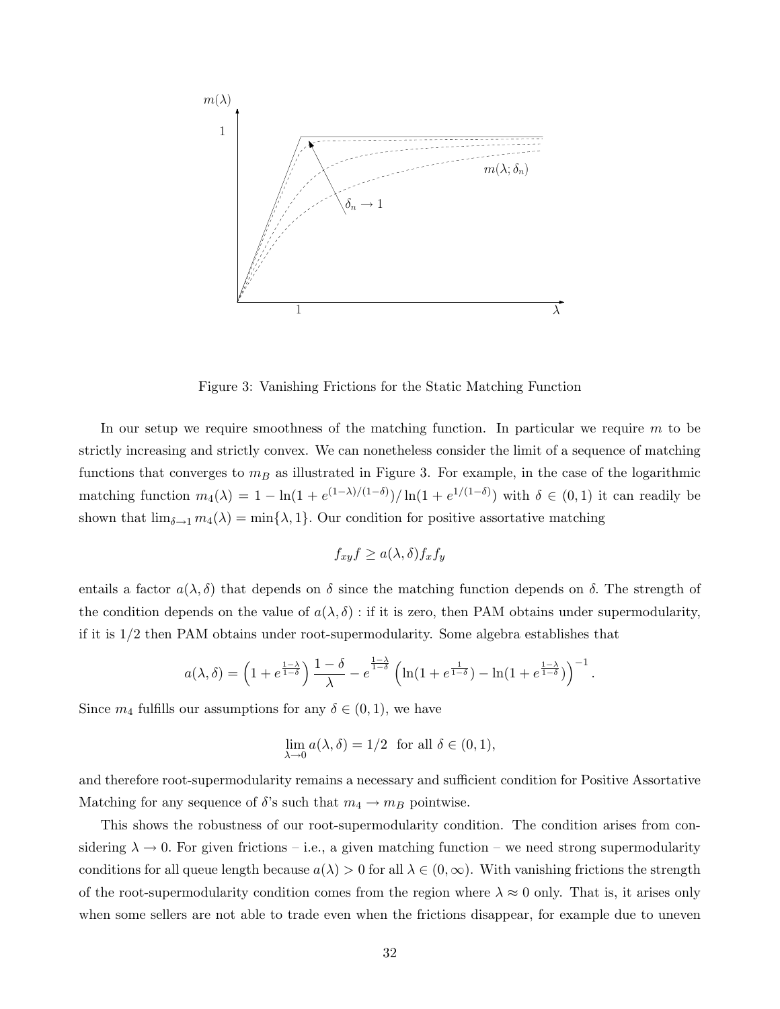

Figure 3: Vanishing Frictions for the Static Matching Function

In our setup we require smoothness of the matching function. In particular we require  $m$  to be strictly increasing and strictly convex. We can nonetheless consider the limit of a sequence of matching functions that converges to  $m_B$  as illustrated in Figure 3. For example, in the case of the logarithmic matching function  $m_4(\lambda) = 1 - \ln(1 + e^{(1-\lambda)/(1-\delta)})/\ln(1 + e^{1/(1-\delta)})$  with  $\delta \in (0,1)$  it can readily be shown that  $\lim_{\delta \to 1} m_4(\lambda) = \min\{\lambda, 1\}$ . Our condition for positive assortative matching

$$
f_{xy}f \ge a(\lambda, \delta) f_x f_y
$$

entails a factor  $a(\lambda, \delta)$  that depends on  $\delta$  since the matching function depends on  $\delta$ . The strength of the condition depends on the value of  $a(\lambda, \delta)$ : if it is zero, then PAM obtains under supermodularity, if it is 1/2 then PAM obtains under root-supermodularity. Some algebra establishes that

$$
a(\lambda,\delta) = \left(1 + e^{\frac{1-\lambda}{1-\delta}}\right) \frac{1-\delta}{\lambda} - e^{\frac{1-\lambda}{1-\delta}} \left(\ln(1 + e^{\frac{1}{1-\delta}}) - \ln(1 + e^{\frac{1-\lambda}{1-\delta}})\right)^{-1}.
$$

Since  $m_4$  fulfills our assumptions for any  $\delta \in (0,1)$ , we have

$$
\lim_{\lambda \to 0} a(\lambda, \delta) = 1/2 \text{ for all } \delta \in (0, 1),
$$

and therefore root-supermodularity remains a necessary and sufficient condition for Positive Assortative Matching for any sequence of  $\delta$ 's such that  $m_4 \to m_B$  pointwise.

This shows the robustness of our root-supermodularity condition. The condition arises from considering  $\lambda \to 0$ . For given frictions – i.e., a given matching function – we need strong supermodularity conditions for all queue length because  $a(\lambda) > 0$  for all  $\lambda \in (0, \infty)$ . With vanishing frictions the strength of the root-supermodularity condition comes from the region where  $\lambda \approx 0$  only. That is, it arises only when some sellers are not able to trade even when the frictions disappear, for example due to uneven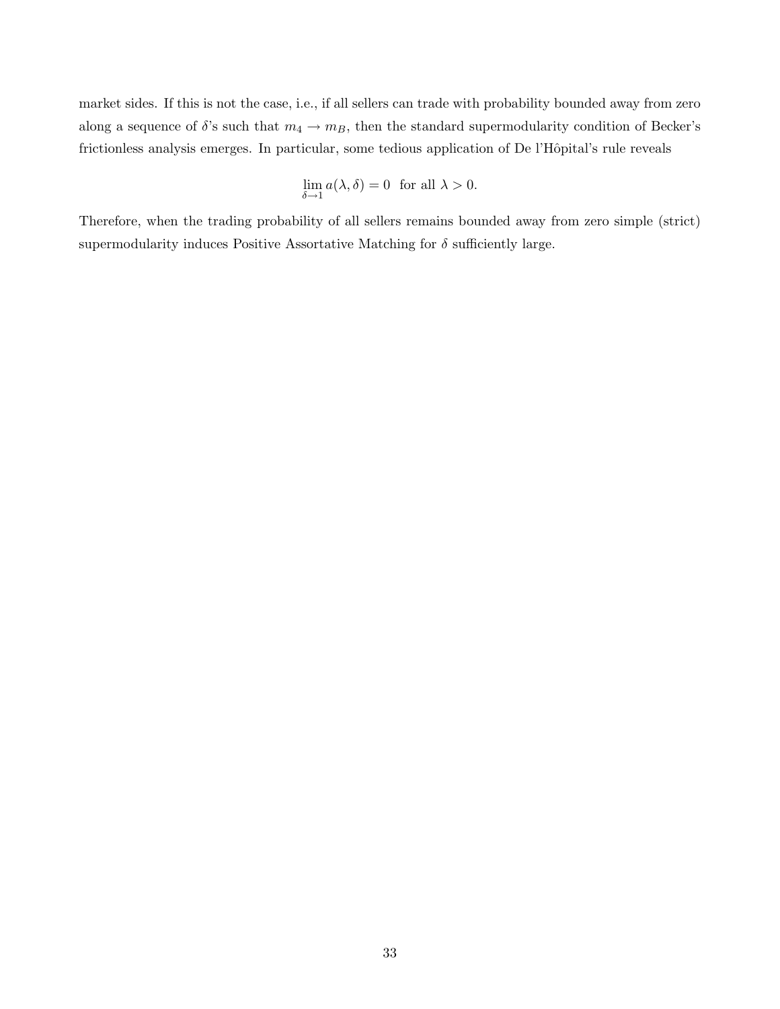market sides. If this is not the case, i.e., if all sellers can trade with probability bounded away from zero along a sequence of  $\delta$ 's such that  $m_4 \to m_B$ , then the standard supermodularity condition of Becker's frictionless analysis emerges. In particular, some tedious application of De l'Hôpital's rule reveals

$$
\lim_{\delta \to 1} a(\lambda, \delta) = 0 \text{ for all } \lambda > 0.
$$

Therefore, when the trading probability of all sellers remains bounded away from zero simple (strict) supermodularity induces Positive Assortative Matching for  $\delta$  sufficiently large.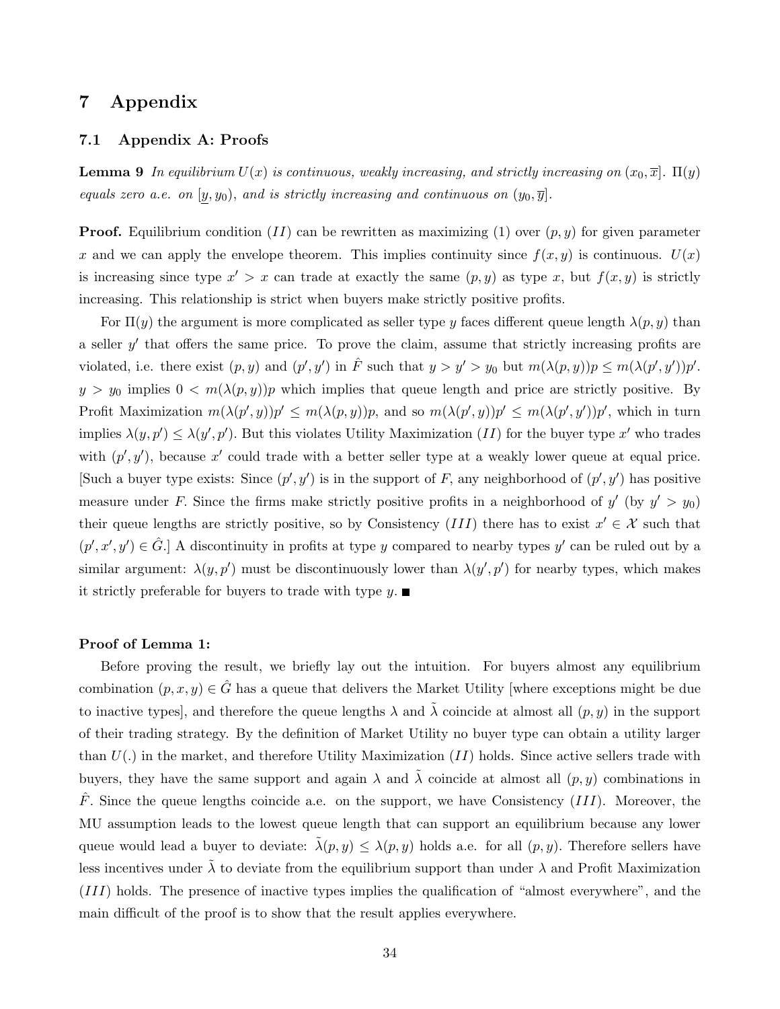# 7 Appendix

### 7.1 Appendix A: Proofs

**Lemma 9** In equilibrium  $U(x)$  is continuous, weakly increasing, and strictly increasing on  $(x_0, \overline{x}]$ .  $\Pi(y)$ equals zero a.e. on  $[y, y_0)$ , and is strictly increasing and continuous on  $(y_0, \overline{y}]$ .

**Proof.** Equilibrium condition (II) can be rewritten as maximizing (1) over  $(p, y)$  for given parameter x and we can apply the envelope theorem. This implies continuity since  $f(x, y)$  is continuous.  $U(x)$ is increasing since type  $x' > x$  can trade at exactly the same  $(p, y)$  as type x, but  $f(x, y)$  is strictly increasing. This relationship is strict when buyers make strictly positive profits.

For  $\Pi(y)$  the argument is more complicated as seller type y faces different queue length  $\lambda(p, y)$  than a seller  $y'$  that offers the same price. To prove the claim, assume that strictly increasing profits are violated, i.e. there exist  $(p, y)$  and  $(p', y')$  in  $\hat{F}$  such that  $y > y' > y_0$  but  $m(\lambda(p, y))p \le m(\lambda(p', y'))p'$ .  $y > y_0$  implies  $0 < m(\lambda(p, y))p$  which implies that queue length and price are strictly positive. By Profit Maximization  $m(\lambda(p', y))p' \leq m(\lambda(p, y))p$ , and so  $m(\lambda(p', y))p' \leq m(\lambda(p', y'))p'$ , which in turn implies  $\lambda(y, p') \leq \lambda(y', p')$ . But this violates Utility Maximization (II) for the buyer type x' who trades with  $(p', y')$ , because x' could trade with a better seller type at a weakly lower queue at equal price. Such a buyer type exists: Since  $(p', y')$  is in the support of F, any neighborhood of  $(p', y')$  has positive measure under F. Since the firms make strictly positive profits in a neighborhood of  $y'$  (by  $y' > y_0$ ) their queue lengths are strictly positive, so by Consistency (III) there has to exist  $x' \in \mathcal{X}$  such that  $(p', x', y') \in \hat{G}$ . A discontinuity in profits at type y compared to nearby types y' can be ruled out by a similar argument:  $\lambda(y, p')$  must be discontinuously lower than  $\lambda(y', p')$  for nearby types, which makes it strictly preferable for buyers to trade with type  $y$ .

#### Proof of Lemma 1:

Before proving the result, we briefly lay out the intuition. For buyers almost any equilibrium combination  $(p, x, y) \in \hat{G}$  has a queue that delivers the Market Utility [where exceptions might be due to inactive types], and therefore the queue lengths  $\lambda$  and  $\tilde{\lambda}$  coincide at almost all  $(p, y)$  in the support of their trading strategy. By the definition of Market Utility no buyer type can obtain a utility larger than  $U(.)$  in the market, and therefore Utility Maximization (II) holds. Since active sellers trade with buyers, they have the same support and again  $\lambda$  and  $\tilde{\lambda}$  coincide at almost all  $(p, y)$  combinations in  $\hat{F}$ . Since the queue lengths coincide a.e. on the support, we have Consistency (III). Moreover, the MU assumption leads to the lowest queue length that can support an equilibrium because any lower queue would lead a buyer to deviate:  $\tilde{\lambda}(p, y) \leq \lambda(p, y)$  holds a.e. for all  $(p, y)$ . Therefore sellers have less incentives under  $\tilde{\lambda}$  to deviate from the equilibrium support than under  $\lambda$  and Profit Maximization (III) holds. The presence of inactive types implies the qualification of "almost everywhere", and the main difficult of the proof is to show that the result applies everywhere.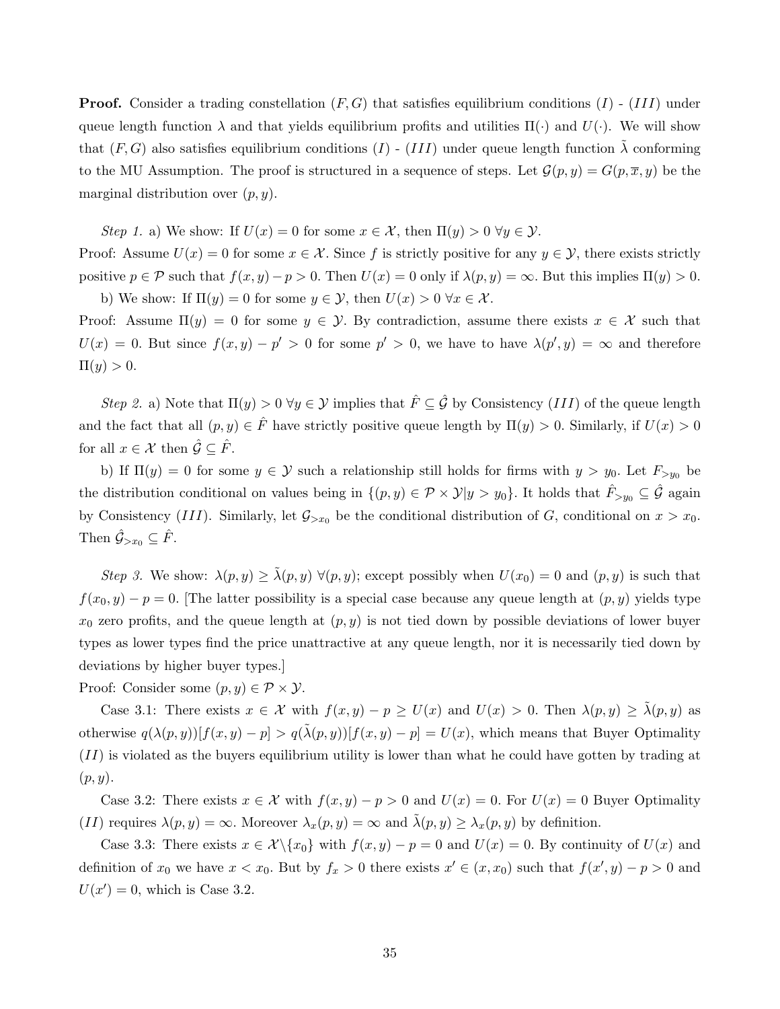**Proof.** Consider a trading constellation  $(F, G)$  that satisfies equilibrium conditions  $(I)$  -  $(III)$  under queue length function  $\lambda$  and that yields equilibrium profits and utilities  $\Pi(\cdot)$  and  $U(\cdot)$ . We will show that  $(F, G)$  also satisfies equilibrium conditions  $(I)$  -  $(III)$  under queue length function  $\tilde{\lambda}$  conforming to the MU Assumption. The proof is structured in a sequence of steps. Let  $\mathcal{G}(p, y) = G(p, \overline{x}, y)$  be the marginal distribution over  $(p, y)$ .

Step 1. a) We show: If  $U(x) = 0$  for some  $x \in \mathcal{X}$ , then  $\Pi(y) > 0 \ \forall y \in \mathcal{Y}$ . Proof: Assume  $U(x) = 0$  for some  $x \in \mathcal{X}$ . Since f is strictly positive for any  $y \in \mathcal{Y}$ , there exists strictly positive  $p \in \mathcal{P}$  such that  $f(x, y) - p > 0$ . Then  $U(x) = 0$  only if  $\lambda(p, y) = \infty$ . But this implies  $\Pi(y) > 0$ .

b) We show: If  $\Pi(y) = 0$  for some  $y \in \mathcal{Y}$ , then  $U(x) > 0 \ \forall x \in \mathcal{X}$ . Proof: Assume  $\Pi(y) = 0$  for some  $y \in Y$ . By contradiction, assume there exists  $x \in \mathcal{X}$  such that  $U(x) = 0$ . But since  $f(x, y) - p' > 0$  for some  $p' > 0$ , we have to have  $\lambda(p', y) = \infty$  and therefore  $\Pi(y) > 0.$ 

Step 2. a) Note that  $\Pi(y) > 0 \ \forall y \in \mathcal{Y}$  implies that  $\hat{F} \subseteq \hat{\mathcal{G}}$  by Consistency (III) of the queue length and the fact that all  $(p, y) \in \hat{F}$  have strictly positive queue length by  $\Pi(y) > 0$ . Similarly, if  $U(x) > 0$ for all  $x \in \mathcal{X}$  then  $\hat{\mathcal{G}} \subseteq \hat{F}$ .

b) If  $\Pi(y) = 0$  for some  $y \in Y$  such a relationship still holds for firms with  $y > y_0$ . Let  $F_{> y_0}$  be the distribution conditional on values being in  $\{(p, y) \in \mathcal{P} \times \mathcal{Y} | y > y_0\}$ . It holds that  $\hat{F}_{>y_0} \subseteq \hat{\mathcal{G}}$  again by Consistency (III). Similarly, let  $\mathcal{G}_{>x_0}$  be the conditional distribution of G, conditional on  $x > x_0$ . Then  $\hat{\mathcal{G}}_{>x_0} \subseteq \hat{F}$ .

Step 3. We show:  $\lambda(p, y) \geq \tilde{\lambda}(p, y) \ \forall (p, y)$ ; except possibly when  $U(x_0) = 0$  and  $(p, y)$  is such that  $f(x_0, y) - p = 0$ . [The latter possibility is a special case because any queue length at  $(p, y)$  yields type  $x_0$  zero profits, and the queue length at  $(p, y)$  is not tied down by possible deviations of lower buyer types as lower types find the price unattractive at any queue length, nor it is necessarily tied down by deviations by higher buyer types.]

Proof: Consider some  $(p, y) \in \mathcal{P} \times \mathcal{Y}$ .

Case 3.1: There exists  $x \in \mathcal{X}$  with  $f(x, y) - p \ge U(x)$  and  $U(x) > 0$ . Then  $\lambda(p, y) \ge \tilde{\lambda}(p, y)$  as otherwise  $q(\lambda(p, y))[f(x, y) - p] > q(\tilde{\lambda}(p, y))[f(x, y) - p] = U(x)$ , which means that Buyer Optimality  $(II)$  is violated as the buyers equilibrium utility is lower than what he could have gotten by trading at  $(p, y)$ .

Case 3.2: There exists  $x \in \mathcal{X}$  with  $f(x, y) - p > 0$  and  $U(x) = 0$ . For  $U(x) = 0$  Buyer Optimality (II) requires  $\lambda(p, y) = \infty$ . Moreover  $\lambda_x(p, y) = \infty$  and  $\tilde{\lambda}(p, y) \geq \lambda_x(p, y)$  by definition.

Case 3.3: There exists  $x \in \mathcal{X} \setminus \{x_0\}$  with  $f(x, y) - p = 0$  and  $U(x) = 0$ . By continuity of  $U(x)$  and definition of  $x_0$  we have  $x < x_0$ . But by  $f_x > 0$  there exists  $x' \in (x, x_0)$  such that  $f(x', y) - p > 0$  and  $U(x') = 0$ , which is Case 3.2.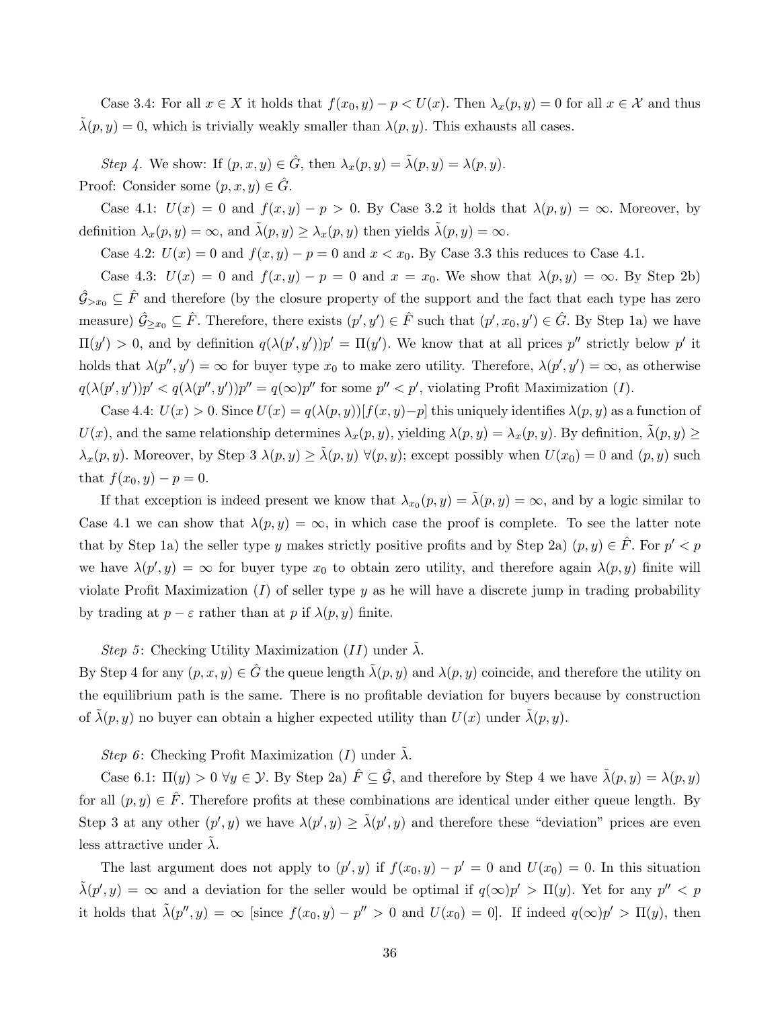Case 3.4: For all  $x \in X$  it holds that  $f(x_0, y) - p \lt U(x)$ . Then  $\lambda_x(p, y) = 0$  for all  $x \in \mathcal{X}$  and thus  $\tilde{\lambda}(p, y) = 0$ , which is trivially weakly smaller than  $\lambda(p, y)$ . This exhausts all cases.

Step 4. We show: If  $(p, x, y) \in \hat{G}$ , then  $\lambda_x(p, y) = \tilde{\lambda}(p, y) = \lambda(p, y)$ . Proof: Consider some  $(p, x, y) \in \hat{G}$ .

Case 4.1:  $U(x) = 0$  and  $f(x, y) - p > 0$ . By Case 3.2 it holds that  $\lambda(p, y) = \infty$ . Moreover, by definition  $\lambda_x(p, y) = \infty$ , and  $\tilde{\lambda}(p, y) \geq \lambda_x(p, y)$  then yields  $\tilde{\lambda}(p, y) = \infty$ .

Case 4.2:  $U(x) = 0$  and  $f(x, y) - p = 0$  and  $x < x_0$ . By Case 3.3 this reduces to Case 4.1.

Case 4.3:  $U(x) = 0$  and  $f(x, y) - p = 0$  and  $x = x_0$ . We show that  $\lambda(p, y) = \infty$ . By Step 2b)  $\hat{\mathcal{G}}_{\geq x_0} \subseteq \hat{F}$  and therefore (by the closure property of the support and the fact that each type has zero measure)  $\hat{G}_{\geq x_0} \subseteq \hat{F}$ . Therefore, there exists  $(p', y') \in \hat{F}$  such that  $(p', x_0, y') \in \hat{G}$ . By Step 1a) we have  $\Pi(y') > 0$ , and by definition  $q(\lambda(p', y'))p' = \Pi(y')$ . We know that at all prices p'' strictly below p' it holds that  $\lambda(p'', y') = \infty$  for buyer type  $x_0$  to make zero utility. Therefore,  $\lambda(p', y') = \infty$ , as otherwise  $q(\lambda(p', y'))p' < q(\lambda(p'', y'))p'' = q(\infty)p''$  for some  $p'' < p'$ , violating Profit Maximization (*I*).

Case 4.4:  $U(x) > 0$ . Since  $U(x) = q(\lambda(p, y))[f(x, y)-p]$  this uniquely identifies  $\lambda(p, y)$  as a function of  $U(x)$ , and the same relationship determines  $\lambda_x(p, y)$ , yielding  $\lambda(p, y) = \lambda_x(p, y)$ . By definition,  $\lambda(p, y) \ge$  $\lambda_x(p, y)$ . Moreover, by Step 3  $\lambda(p, y) \geq \tilde{\lambda}(p, y) \ \forall (p, y)$ ; except possibly when  $U(x_0) = 0$  and  $(p, y)$  such that  $f(x_0, y) - p = 0$ .

If that exception is indeed present we know that  $\lambda_{x_0}(p, y) = \tilde{\lambda}(p, y) = \infty$ , and by a logic similar to Case 4.1 we can show that  $\lambda(p, y) = \infty$ , in which case the proof is complete. To see the latter note that by Step 1a) the seller type y makes strictly positive profits and by Step 2a)  $(p, y) \in \hat{F}$ . For  $p' < p$ we have  $\lambda(p', y) = \infty$  for buyer type  $x_0$  to obtain zero utility, and therefore again  $\lambda(p, y)$  finite will violate Profit Maximization  $(I)$  of seller type y as he will have a discrete jump in trading probability by trading at  $p - \varepsilon$  rather than at p if  $\lambda(p, y)$  finite.

Step 5: Checking Utility Maximization (II) under  $\lambda$ .

By Step 4 for any  $(p, x, y) \in \hat{G}$  the queue length  $\tilde{\lambda}(p, y)$  and  $\lambda(p, y)$  coincide, and therefore the utility on the equilibrium path is the same. There is no profitable deviation for buyers because by construction of  $\lambda(p, y)$  no buyer can obtain a higher expected utility than  $U(x)$  under  $\lambda(p, y)$ .

Step 6: Checking Profit Maximization (I) under  $\tilde{\lambda}$ .

Case 6.1:  $\Pi(y) > 0 \ \forall y \in \mathcal{Y}$ . By Step 2a)  $\hat{F} \subseteq \hat{\mathcal{G}}$ , and therefore by Step 4 we have  $\tilde{\lambda}(p, y) = \lambda(p, y)$ for all  $(p, y) \in \hat{F}$ . Therefore profits at these combinations are identical under either queue length. By Step 3 at any other  $(p', y)$  we have  $\lambda(p', y) \geq \tilde{\lambda}(p', y)$  and therefore these "deviation" prices are even less attractive under  $\lambda$ .

The last argument does not apply to  $(p', y)$  if  $f(x_0, y) - p' = 0$  and  $U(x_0) = 0$ . In this situation  $\tilde{\lambda}(p', y) = \infty$  and a deviation for the seller would be optimal if  $q(\infty)p' > \Pi(y)$ . Yet for any  $p'' < p$ it holds that  $\tilde{\lambda}(p'', y) = \infty$  [since  $f(x_0, y) - p'' > 0$  and  $U(x_0) = 0$ ]. If indeed  $q(\infty)p' > \Pi(y)$ , then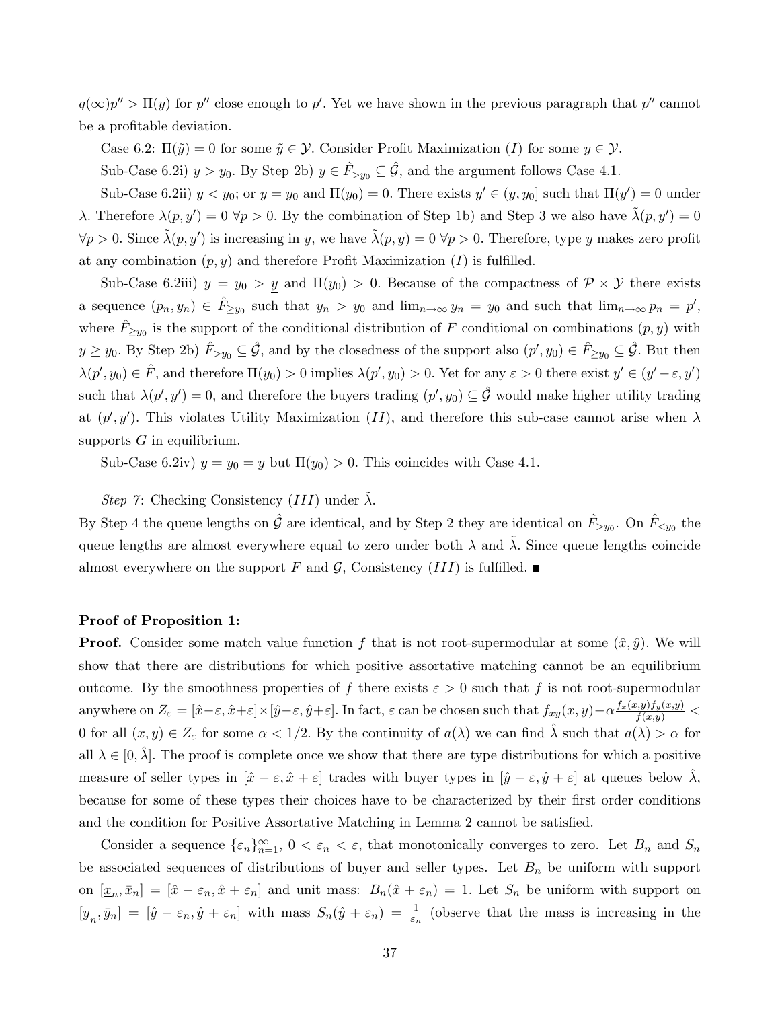$q(\infty)p'' > \Pi(y)$  for p'' close enough to p'. Yet we have shown in the previous paragraph that p'' cannot be a profitable deviation.

Case 6.2:  $\Pi(\tilde{y}) = 0$  for some  $\tilde{y} \in \mathcal{Y}$ . Consider Profit Maximization (I) for some  $y \in \mathcal{Y}$ .

Sub-Case 6.2i)  $y > y_0$ . By Step 2b)  $y \in \hat{F}_{>y_0} \subseteq \hat{\mathcal{G}}$ , and the argument follows Case 4.1.

Sub-Case 6.2ii)  $y < y_0$ ; or  $y = y_0$  and  $\Pi(y_0) = 0$ . There exists  $y' \in (y, y_0]$  such that  $\Pi(y') = 0$  under λ. Therefore  $\lambda(p, y') = 0 \ \forall p > 0$ . By the combination of Step 1b) and Step 3 we also have  $\tilde{\lambda}(p, y') = 0$  $\forall p > 0$ . Since  $\tilde{\lambda}(p, y')$  is increasing in y, we have  $\tilde{\lambda}(p, y) = 0 \ \forall p > 0$ . Therefore, type y makes zero profit at any combination  $(p, y)$  and therefore Profit Maximization  $(I)$  is fulfilled.

Sub-Case 6.2iii)  $y = y_0 > y$  and  $\Pi(y_0) > 0$ . Because of the compactness of  $\mathcal{P} \times \mathcal{Y}$  there exists a sequence  $(p_n, y_n) \in \hat{F}_{\geq y_0}$  such that  $y_n > y_0$  and  $\lim_{n \to \infty} y_n = y_0$  and such that  $\lim_{n \to \infty} p_n = p'$ , where  $\hat{F}_{\geq y_0}$  is the support of the conditional distribution of F conditional on combinations  $(p, y)$  with  $y \ge y_0$ . By Step 2b)  $\hat{F}_{>y_0} \subseteq \hat{\mathcal{G}}$ , and by the closedness of the support also  $(p', y_0) \in \hat{F}_{\ge y_0} \subseteq \hat{\mathcal{G}}$ . But then  $\lambda(p', y_0) \in \hat{F}$ , and therefore  $\Pi(y_0) > 0$  implies  $\lambda(p', y_0) > 0$ . Yet for any  $\varepsilon > 0$  there exist  $y' \in (y' - \varepsilon, y')$ such that  $\lambda(p', y') = 0$ , and therefore the buyers trading  $(p', y_0) \subseteq \hat{\mathcal{G}}$  would make higher utility trading at  $(p', y')$ . This violates Utility Maximization (II), and therefore this sub-case cannot arise when  $\lambda$ supports  $G$  in equilibrium.

Sub-Case 6.2iv)  $y = y_0 = y$  but  $\Pi(y_0) > 0$ . This coincides with Case 4.1.

# Step 7: Checking Consistency  $(III)$  under  $\lambda$ .

By Step 4 the queue lengths on  $\hat{G}$  are identical, and by Step 2 they are identical on  $\hat{F}_{>y_0}$ . On  $\hat{F}_{ the$ queue lengths are almost everywhere equal to zero under both  $\lambda$  and  $\tilde{\lambda}$ . Since queue lengths coincide almost everywhere on the support F and G, Consistency (III) is fulfilled.

#### Proof of Proposition 1:

**Proof.** Consider some match value function f that is not root-supermodular at some  $(\hat{x}, \hat{y})$ . We will show that there are distributions for which positive assortative matching cannot be an equilibrium outcome. By the smoothness properties of f there exists  $\varepsilon > 0$  such that f is not root-supermodular anywhere on  $Z_{\varepsilon} = [\hat{x}-\varepsilon, \hat{x}+\varepsilon] \times [\hat{y}-\varepsilon, \hat{y}+\varepsilon]$ . In fact,  $\varepsilon$  can be chosen such that  $f_{xy}(x, y) - \alpha \frac{f_x(x, y) f_y(x, y)}{f(x, y)}$ 0 for all  $(x, y) \in Z_{\varepsilon}$  for some  $\alpha < 1/2$ . By the continuity of  $a(\lambda)$  we can find  $\lambda$  such that  $a(\lambda) > \alpha$  for all  $\lambda \in [0, \hat{\lambda}]$ . The proof is complete once we show that there are type distributions for which a positive measure of seller types in  $[\hat{x} - \varepsilon, \hat{x} + \varepsilon]$  trades with buyer types in  $[\hat{y} - \varepsilon, \hat{y} + \varepsilon]$  at queues below  $\lambda$ , because for some of these types their choices have to be characterized by their first order conditions and the condition for Positive Assortative Matching in Lemma 2 cannot be satisfied.

Consider a sequence  $\{\varepsilon_n\}_{n=1}^{\infty}$ ,  $0 < \varepsilon_n < \varepsilon$ , that monotonically converges to zero. Let  $B_n$  and  $S_n$ be associated sequences of distributions of buyer and seller types. Let  $B_n$  be uniform with support on  $[\underline{x}_n, \overline{x}_n] = [\hat{x} - \varepsilon_n, \hat{x} + \varepsilon_n]$  and unit mass:  $B_n(\hat{x} + \varepsilon_n) = 1$ . Let  $S_n$  be uniform with support on  $[\underline{y}_n, \overline{y}_n] = [\hat{y} - \varepsilon_n, \hat{y} + \varepsilon_n]$  with mass  $S_n(\hat{y} + \varepsilon_n) = \frac{1}{\varepsilon_n}$  (observe that the mass is increasing in the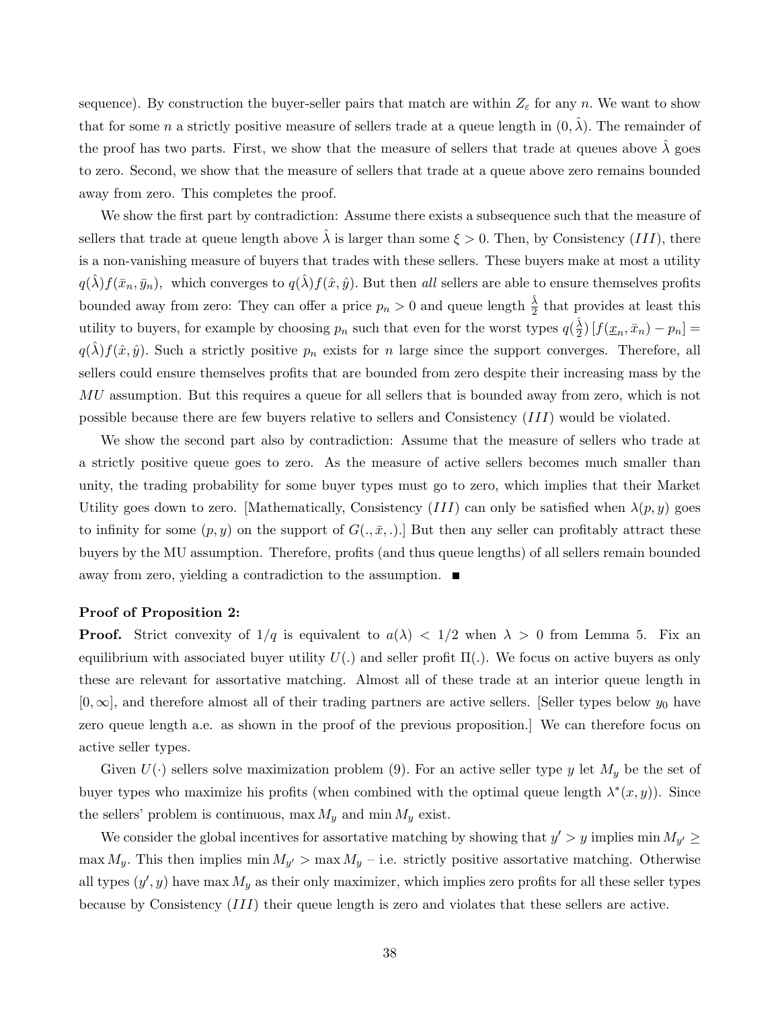sequence). By construction the buyer-seller pairs that match are within  $Z_{\varepsilon}$  for any n. We want to show that for some n a strictly positive measure of sellers trade at a queue length in  $(0, \hat{\lambda})$ . The remainder of the proof has two parts. First, we show that the measure of sellers that trade at queues above  $\hat{\lambda}$  goes to zero. Second, we show that the measure of sellers that trade at a queue above zero remains bounded away from zero. This completes the proof.

We show the first part by contradiction: Assume there exists a subsequence such that the measure of sellers that trade at queue length above  $\hat{\lambda}$  is larger than some  $\xi > 0$ . Then, by Consistency (III), there is a non-vanishing measure of buyers that trades with these sellers. These buyers make at most a utility  $q(\hat{\lambda})f(\bar{x}_n, \bar{y}_n)$ , which converges to  $q(\hat{\lambda})f(\hat{x}, \hat{y})$ . But then all sellers are able to ensure themselves profits bounded away from zero: They can offer a price  $p_n > 0$  and queue length  $\frac{\hat{\lambda}}{2}$  that provides at least this utility to buyers, for example by choosing  $p_n$  such that even for the worst types  $q(\frac{\hat{\lambda}}{2})$  $\frac{\lambda}{2}$ )  $[f(\underline{x}_n, \overline{x}_n) - p_n] =$  $q(\lambda)f(\hat{x}, \hat{y})$ . Such a strictly positive  $p_n$  exists for n large since the support converges. Therefore, all sellers could ensure themselves profits that are bounded from zero despite their increasing mass by the MU assumption. But this requires a queue for all sellers that is bounded away from zero, which is not possible because there are few buyers relative to sellers and Consistency (III) would be violated.

We show the second part also by contradiction: Assume that the measure of sellers who trade at a strictly positive queue goes to zero. As the measure of active sellers becomes much smaller than unity, the trading probability for some buyer types must go to zero, which implies that their Market Utility goes down to zero. [Mathematically, Consistency  $(III)$  can only be satisfied when  $\lambda(p, y)$  goes to infinity for some  $(p, y)$  on the support of  $G(., \bar{x}, .)$ . But then any seller can profitably attract these buyers by the MU assumption. Therefore, profits (and thus queue lengths) of all sellers remain bounded away from zero, yielding a contradiction to the assumption.

#### Proof of Proposition 2:

**Proof.** Strict convexity of  $1/q$  is equivalent to  $a(\lambda) < 1/2$  when  $\lambda > 0$  from Lemma 5. Fix an equilibrium with associated buyer utility  $U(.)$  and seller profit  $\Pi(.)$ . We focus on active buyers as only these are relevant for assortative matching. Almost all of these trade at an interior queue length in  $[0, \infty]$ , and therefore almost all of their trading partners are active sellers. [Seller types below  $y_0$  have zero queue length a.e. as shown in the proof of the previous proposition.] We can therefore focus on active seller types.

Given  $U(\cdot)$  sellers solve maximization problem (9). For an active seller type y let  $M_y$  be the set of buyer types who maximize his profits (when combined with the optimal queue length  $\lambda^*(x, y)$ ). Since the sellers' problem is continuous, max  $M_y$  and min  $M_y$  exist.

We consider the global incentives for assortative matching by showing that  $y' > y$  implies min  $M_{y'} \geq$  $\max M_y$ . This then implies  $\min M_{y'} > \max M_y$  – i.e. strictly positive assortative matching. Otherwise all types  $(y', y)$  have max  $M_y$  as their only maximizer, which implies zero profits for all these seller types because by Consistency (III) their queue length is zero and violates that these sellers are active.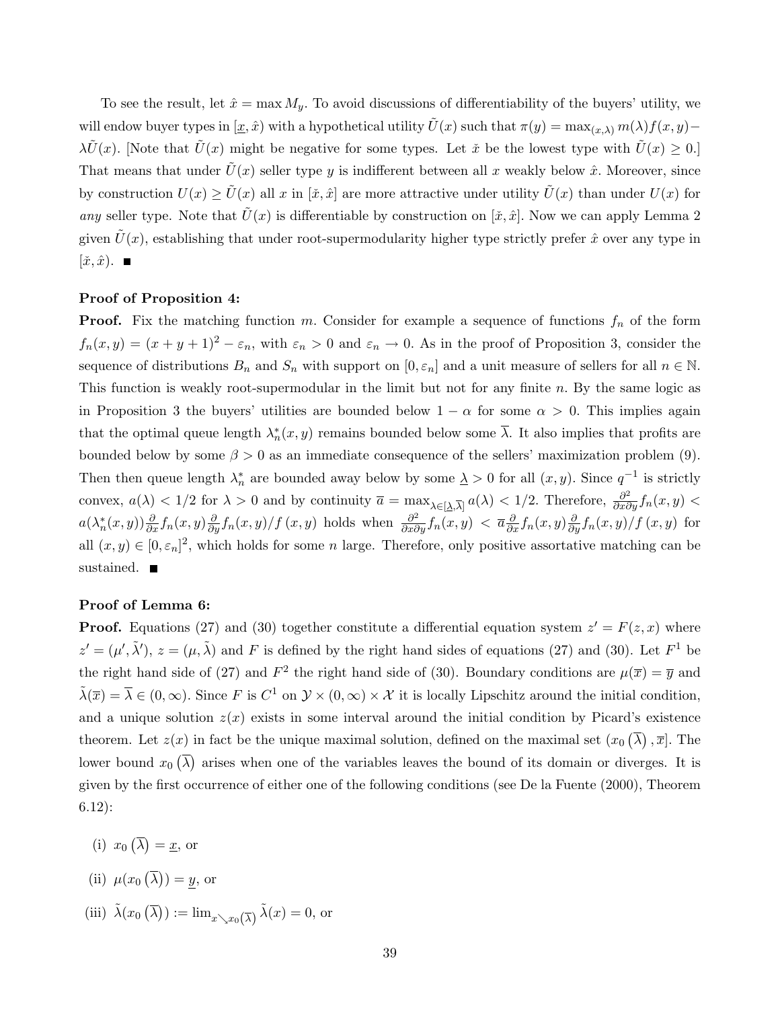To see the result, let  $\hat{x} = \max M_y$ . To avoid discussions of differentiability of the buyers' utility, we will endow buyer types in  $[\underline{x}, \hat{x})$  with a hypothetical utility  $\tilde{U}(x)$  such that  $\pi(y) = \max_{(x,\lambda)} m(\lambda) f(x, y)$ –  $\lambda \tilde{U}(x)$ . [Note that  $\tilde{U}(x)$  might be negative for some types. Let  $\tilde{x}$  be the lowest type with  $\tilde{U}(x) \geq 0$ .] That means that under  $\tilde{U}(x)$  seller type y is indifferent between all x weakly below  $\hat{x}$ . Moreover, since by construction  $U(x) \ge \tilde{U}(x)$  all x in  $[\tilde{x}, \hat{x}]$  are more attractive under utility  $\tilde{U}(x)$  than under  $U(x)$  for any seller type. Note that  $U(x)$  is differentiable by construction on  $[\tilde{x}, \tilde{x}]$ . Now we can apply Lemma 2 given  $U(x)$ , establishing that under root-supermodularity higher type strictly prefer  $\hat{x}$  over any type in  $[\tilde{x}, \hat{x})$ .

#### Proof of Proposition 4:

**Proof.** Fix the matching function m. Consider for example a sequence of functions  $f_n$  of the form  $f_n(x, y) = (x + y + 1)^2 - \varepsilon_n$ , with  $\varepsilon_n > 0$  and  $\varepsilon_n \to 0$ . As in the proof of Proposition 3, consider the sequence of distributions  $B_n$  and  $S_n$  with support on  $[0, \varepsilon_n]$  and a unit measure of sellers for all  $n \in \mathbb{N}$ . This function is weakly root-supermodular in the limit but not for any finite  $n$ . By the same logic as in Proposition 3 the buyers' utilities are bounded below  $1 - \alpha$  for some  $\alpha > 0$ . This implies again that the optimal queue length  $\lambda_n^*(x, y)$  remains bounded below some  $\overline{\lambda}$ . It also implies that profits are bounded below by some  $\beta > 0$  as an immediate consequence of the sellers' maximization problem (9). Then then queue length  $\lambda_n^*$  are bounded away below by some  $\lambda > 0$  for all  $(x, y)$ . Since  $q^{-1}$  is strictly convex,  $a(\lambda) < 1/2$  for  $\lambda > 0$  and by continuity  $\overline{a} = \max_{\lambda \in [\lambda, \overline{\lambda}]} a(\lambda) < 1/2$ . Therefore,  $\frac{\partial^2}{\partial x \partial y} f_n(x, y) <$  $a(\lambda_n^*(x,y))\frac{\partial}{\partial x}f_n(x,y)\frac{\partial}{\partial y}f_n(x,y)/f(x,y)$  holds when  $\frac{\partial^2}{\partial x\partial y}f_n(x,y) < \overline{a}\frac{\partial}{\partial x}f_n(x,y)\frac{\partial}{\partial y}f_n(x,y)/f(x,y)$  for all  $(x, y) \in [0, \varepsilon_n]^2$ , which holds for some *n* large. Therefore, only positive assortative matching can be sustained.  $\blacksquare$ 

#### Proof of Lemma 6:

**Proof.** Equations (27) and (30) together constitute a differential equation system  $z' = F(z, x)$  where  $z' = (\mu', \tilde{\lambda}'), z = (\mu, \tilde{\lambda})$  and F is defined by the right hand sides of equations (27) and (30). Let  $F<sup>1</sup>$  be the right hand side of (27) and  $F^2$  the right hand side of (30). Boundary conditions are  $\mu(\bar{x}) = \bar{y}$  and  $\tilde{\lambda}(\overline{x}) = \overline{\lambda} \in (0,\infty)$ . Since F is  $C^1$  on  $\mathcal{Y} \times (0,\infty) \times \mathcal{X}$  it is locally Lipschitz around the initial condition, and a unique solution  $z(x)$  exists in some interval around the initial condition by Picard's existence theorem. Let  $z(x)$  in fact be the unique maximal solution, defined on the maximal set  $(x_0)(\overline{\lambda}), \overline{x}$ . The lower bound  $x_0(\overline{\lambda})$  arises when one of the variables leaves the bound of its domain or diverges. It is given by the first occurrence of either one of the following conditions (see De la Fuente (2000), Theorem 6.12):

- (i)  $x_0(\overline{\lambda}) = \underline{x}$ , or
- (ii)  $\mu(x_0(\overline{\lambda})) = y$ , or
- (iii)  $\tilde{\lambda}(x_0(\overline{\lambda})) := \lim_{x \searrow x_0(\overline{\lambda})} \tilde{\lambda}(x) = 0$ , or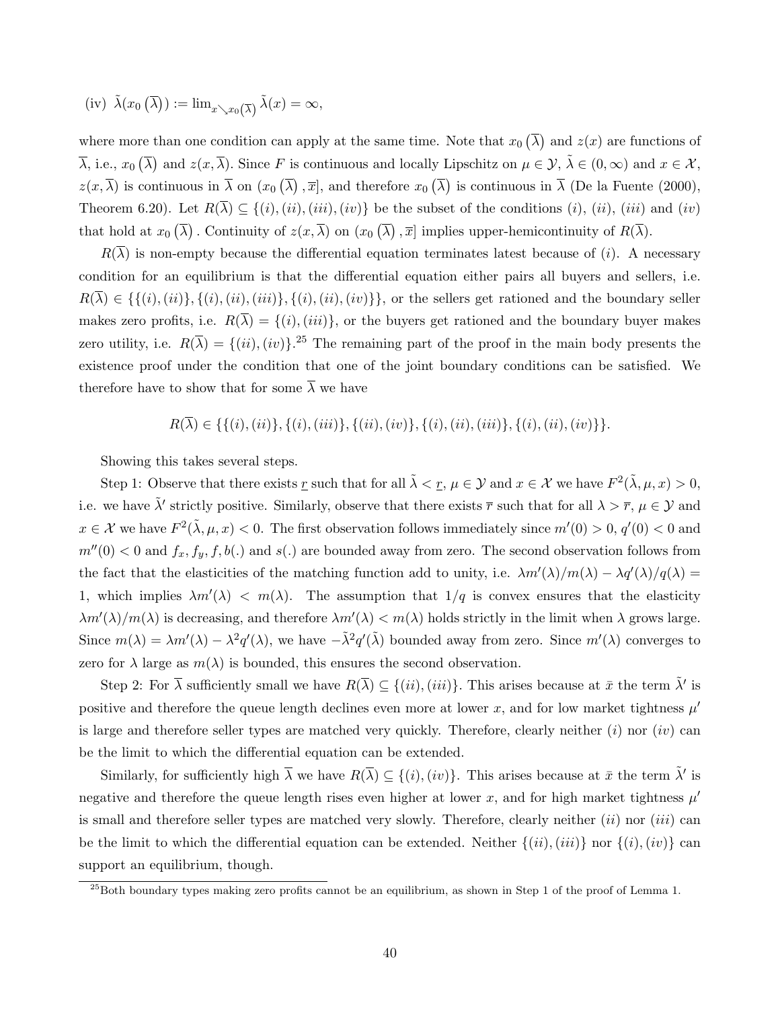(iv) 
$$
\tilde{\lambda}(x_0(\overline{\lambda})) := \lim_{x \searrow x_0(\overline{\lambda})} \tilde{\lambda}(x) = \infty
$$
,

where more than one condition can apply at the same time. Note that  $x_0(\bar{\lambda})$  and  $z(x)$  are functions of  $\overline{\lambda}$ , i.e.,  $x_0(\overline{\lambda})$  and  $z(x,\overline{\lambda})$ . Since F is continuous and locally Lipschitz on  $\mu \in \mathcal{Y}, \tilde{\lambda} \in (0,\infty)$  and  $x \in \mathcal{X},$  $z(x,\overline{\lambda})$  is continuous in  $\overline{\lambda}$  on  $(x_0(\overline{\lambda}), \overline{x}]$ , and therefore  $x_0(\overline{\lambda})$  is continuous in  $\overline{\lambda}$  (De la Fuente (2000), Theorem 6.20). Let  $R(\overline{\lambda}) \subseteq \{(i), (ii), (iii), (iv)\}$  be the subset of the conditions  $(i), (ii), (iii)$  and  $(iv)$ that hold at  $x_0(\overline{\lambda})$ . Continuity of  $z(x,\overline{\lambda})$  on  $(x_0(\overline{\lambda}),\overline{x}]$  implies upper-hemicontinuity of  $R(\overline{\lambda})$ .

 $R(\overline{\lambda})$  is non-empty because the differential equation terminates latest because of (*i*). A necessary condition for an equilibrium is that the differential equation either pairs all buyers and sellers, i.e.  $R(\overline{\lambda}) \in \{\{(i), (ii)\}, \{(i), (iii)\}, \{(i), (ii), (iv)\}\},\$ or the sellers get rationed and the boundary seller makes zero profits, i.e.  $R(\overline{\lambda}) = \{(i), (iii)\}$ , or the buyers get rationed and the boundary buyer makes zero utility, i.e.  $R(\overline{\lambda}) = \{(ii), (iv)\}.^{25}$  The remaining part of the proof in the main body presents the existence proof under the condition that one of the joint boundary conditions can be satisfied. We therefore have to show that for some  $\overline{\lambda}$  we have

$$
R(\overline{\lambda}) \in \{ \{(i), (ii)\}, \{(i), (iii)\}, \{(ii), (iv)\}, \{(i), (ii), (iii)\}, \{(i), (ii), (iv)\} \}.
$$

Showing this takes several steps.

Step 1: Observe that there exists <u>r</u> such that for all  $\tilde{\lambda} < \underline{r}, \mu \in \mathcal{Y}$  and  $x \in \mathcal{X}$  we have  $F^2(\tilde{\lambda}, \mu, x) > 0$ , i.e. we have  $\tilde{\lambda}'$  strictly positive. Similarly, observe that there exists  $\bar{r}$  such that for all  $\lambda > \bar{r}$ ,  $\mu \in \mathcal{Y}$  and  $x \in \mathcal{X}$  we have  $F^2(\tilde{\lambda}, \mu, x) < 0$ . The first observation follows immediately since  $m'(0) > 0$ ,  $q'(0) < 0$  and  $m''(0) < 0$  and  $f_x, f_y, f, b(.)$  and  $s(.)$  are bounded away from zero. The second observation follows from the fact that the elasticities of the matching function add to unity, i.e.  $\lambda m'(\lambda)/m(\lambda) - \lambda q'(\lambda)/q(\lambda) =$ 1, which implies  $\lambda m'(\lambda) < m(\lambda)$ . The assumption that  $1/q$  is convex ensures that the elasticity  $\lambda m'(\lambda)/m(\lambda)$  is decreasing, and therefore  $\lambda m'(\lambda) < m(\lambda)$  holds strictly in the limit when  $\lambda$  grows large. Since  $m(\lambda) = \lambda m'(\lambda) - \lambda^2 q'(\lambda)$ , we have  $-\tilde{\lambda}^2 q'(\tilde{\lambda})$  bounded away from zero. Since  $m'(\lambda)$  converges to zero for  $\lambda$  large as  $m(\lambda)$  is bounded, this ensures the second observation.

Step 2: For  $\overline{\lambda}$  sufficiently small we have  $R(\overline{\lambda}) \subseteq \{(ii), (iii)\}$ . This arises because at  $\overline{x}$  the term  $\tilde{\lambda}'$  is positive and therefore the queue length declines even more at lower x, and for low market tightness  $\mu'$ is large and therefore seller types are matched very quickly. Therefore, clearly neither  $(i)$  nor  $(iv)$  can be the limit to which the differential equation can be extended.

Similarly, for sufficiently high  $\overline{\lambda}$  we have  $R(\overline{\lambda}) \subseteq \{(i), (iv)\}$ . This arises because at  $\overline{x}$  the term  $\tilde{\lambda}'$  is negative and therefore the queue length rises even higher at lower x, and for high market tightness  $\mu'$ is small and therefore seller types are matched very slowly. Therefore, clearly neither  $(ii)$  nor  $(iii)$  can be the limit to which the differential equation can be extended. Neither  $\{(ii), (iii)\}$  nor  $\{(i), (iv)\}$  can support an equilibrium, though.

 $^{25}$ Both boundary types making zero profits cannot be an equilibrium, as shown in Step 1 of the proof of Lemma 1.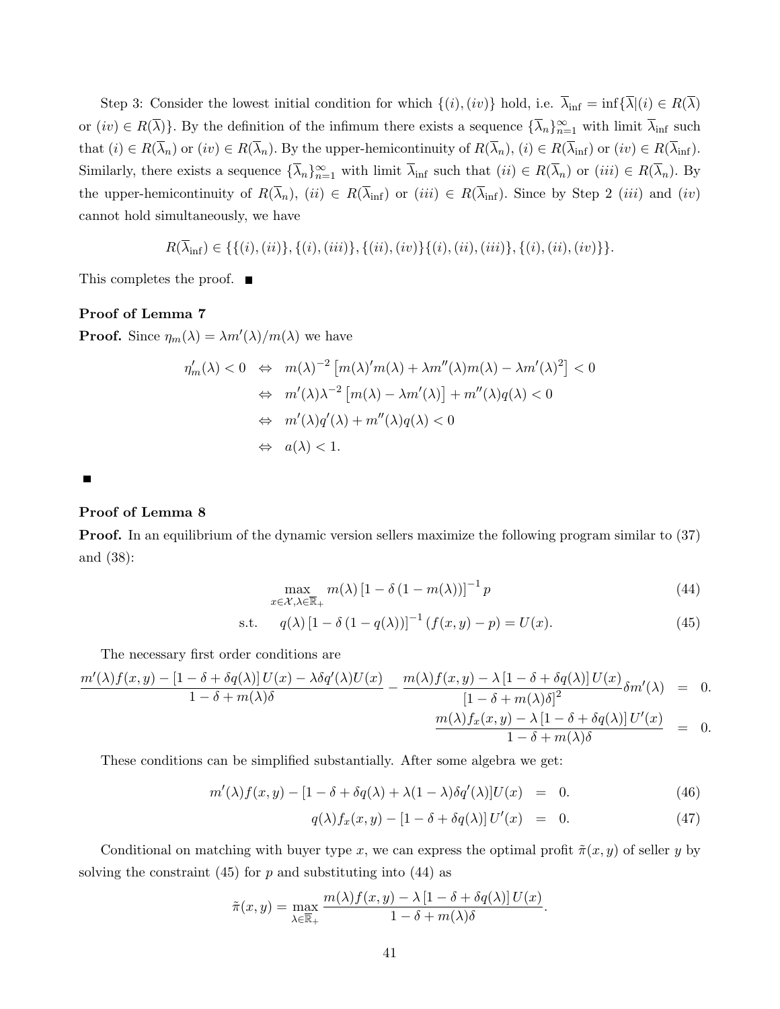Step 3: Consider the lowest initial condition for which  $\{(i),(iv)\}$  hold, i.e.  $\overline{\lambda}_{\text{inf}} = \inf \{\overline{\lambda} | (i) \in R(\overline{\lambda})\}$ or  $(iv) \in R(\overline{\lambda})\}$ . By the definition of the infimum there exists a sequence  $\{\overline{\lambda}_n\}_{n=1}^{\infty}$  with limit  $\overline{\lambda}_{\text{inf}}$  such that  $(i) \in R(\overline{\lambda}_n)$  or  $(iv) \in R(\overline{\lambda}_n)$ . By the upper-hemicontinuity of  $R(\overline{\lambda}_n)$ ,  $(i) \in R(\overline{\lambda}_{\text{inf}})$  or  $(iv) \in R(\overline{\lambda}_{\text{inf}})$ . Similarly, there exists a sequence  $\{\overline{\lambda}_n\}_{n=1}^{\infty}$  with limit  $\overline{\lambda}_{\text{inf}}$  such that  $(ii) \in R(\overline{\lambda}_n)$  or  $(iii) \in R(\overline{\lambda}_n)$ . By the upper-hemicontinuity of  $R(\overline{\lambda}_n)$ ,  $(ii) \in R(\overline{\lambda}_{\text{inf}})$  or  $(iii) \in R(\overline{\lambda}_{\text{inf}})$ . Since by Step 2  $(iii)$  and  $(iv)$ cannot hold simultaneously, we have

$$
R(\overline{\lambda}_{\text{inf}}) \in \{ \{ (i), (ii) \}, \{ (i), (iii) \}, \{ (ii), (iv) \}, \{ (i), (ii), (iii) \}, \{ (i), (ii), (iv) \} \}.
$$

This completes the proof. ■

### Proof of Lemma 7

**Proof.** Since  $\eta_m(\lambda) = \lambda m'(\lambda)/m(\lambda)$  we have

$$
\eta'_m(\lambda) < 0 \quad \Leftrightarrow \quad m(\lambda)^{-2} \left[ m(\lambda)' m(\lambda) + \lambda m''(\lambda) m(\lambda) - \lambda m'(\lambda)^2 \right] < 0
$$
\n
$$
\Leftrightarrow \quad m'(\lambda)\lambda^{-2} \left[ m(\lambda) - \lambda m'(\lambda) \right] + m''(\lambda) q(\lambda) < 0
$$
\n
$$
\Leftrightarrow \quad m'(\lambda) q'(\lambda) + m''(\lambda) q(\lambda) < 0
$$
\n
$$
\Leftrightarrow \quad a(\lambda) < 1.
$$

 $\blacksquare$ 

## Proof of Lemma 8

Proof. In an equilibrium of the dynamic version sellers maximize the following program similar to (37) and (38):

$$
\max_{x \in \mathcal{X}, \lambda \in \overline{\mathbb{R}}_+} m(\lambda) \left[1 - \delta \left(1 - m(\lambda)\right)\right]^{-1} p \tag{44}
$$

s.t. 
$$
q(\lambda) [1 - \delta (1 - q(\lambda))]^{-1} (f(x, y) - p) = U(x).
$$
 (45)

The necessary first order conditions are

$$
\frac{m'(\lambda)f(x,y) - [1 - \delta + \delta q(\lambda)]U(x) - \lambda \delta q'(\lambda)U(x)}{1 - \delta + m(\lambda)\delta} - \frac{m(\lambda)f(x,y) - \lambda[1 - \delta + \delta q(\lambda)]U(x)}{[1 - \delta + m(\lambda)\delta]^2}\delta m'(\lambda) = 0.
$$
  

$$
\frac{m(\lambda)f_x(x,y) - \lambda[1 - \delta + \delta q(\lambda)]U'(x)}{1 - \delta + m(\lambda)\delta} = 0.
$$

These conditions can be simplified substantially. After some algebra we get:

$$
m'(\lambda)f(x,y) - [1 - \delta + \delta q(\lambda) + \lambda(1 - \lambda)\delta q'(\lambda)]U(x) = 0.
$$
 (46)

$$
q(\lambda)f_x(x,y) - [1 - \delta + \delta q(\lambda)] U'(x) = 0.
$$
 (47)

Conditional on matching with buyer type x, we can express the optimal profit  $\tilde{\pi}(x, y)$  of seller y by solving the constraint  $(45)$  for p and substituting into  $(44)$  as

$$
\tilde{\pi}(x,y) = \max_{\lambda \in \overline{\mathbb{R}}_+} \frac{m(\lambda)f(x,y) - \lambda \left[1 - \delta + \delta q(\lambda)\right]U(x)}{1 - \delta + m(\lambda)\delta}.
$$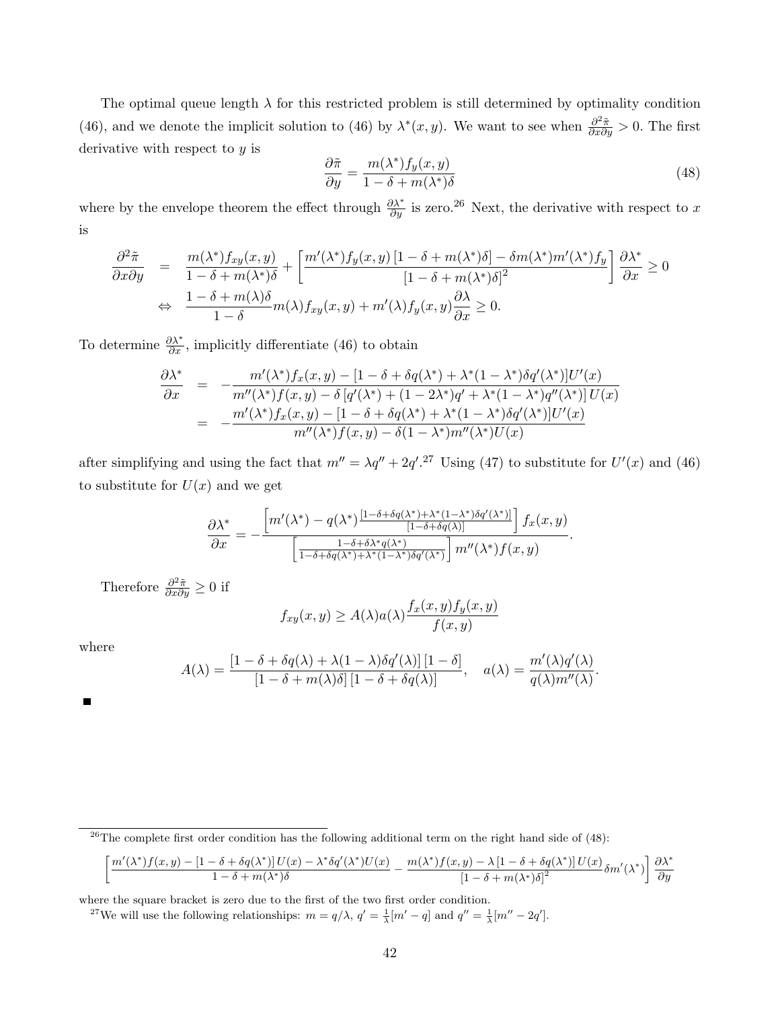The optimal queue length  $\lambda$  for this restricted problem is still determined by optimality condition (46), and we denote the implicit solution to (46) by  $\lambda^*(x, y)$ . We want to see when  $\frac{\partial^2 \tilde{\pi}}{\partial x \partial y} > 0$ . The first derivative with respect to y is

$$
\frac{\partial \tilde{\pi}}{\partial y} = \frac{m(\lambda^*) f_y(x, y)}{1 - \delta + m(\lambda^*) \delta} \tag{48}
$$

.

where by the envelope theorem the effect through  $\frac{\partial \lambda^*}{\partial y}$  is zero.<sup>26</sup> Next, the derivative with respect to x is

$$
\frac{\partial^2 \tilde{\pi}}{\partial x \partial y} = \frac{m(\lambda^*) f_{xy}(x, y)}{1 - \delta + m(\lambda^*) \delta} + \left[ \frac{m'(\lambda^*) f_y(x, y) [1 - \delta + m(\lambda^*) \delta] - \delta m(\lambda^*) m'(\lambda^*) f_y}{[1 - \delta + m(\lambda^*) \delta]^2} \right] \frac{\partial \lambda^*}{\partial x} \ge 0
$$
  
\n
$$
\Leftrightarrow \frac{1 - \delta + m(\lambda) \delta}{1 - \delta} m(\lambda) f_{xy}(x, y) + m'(\lambda) f_y(x, y) \frac{\partial \lambda}{\partial x} \ge 0.
$$

To determine  $\frac{\partial \lambda^*}{\partial x}$ , implicitly differentiate (46) to obtain

$$
\frac{\partial \lambda^*}{\partial x} = -\frac{m'(\lambda^*) f_x(x, y) - [1 - \delta + \delta q(\lambda^*) + \lambda^* (1 - \lambda^*) \delta q'(\lambda^*)] U'(x)}{m''(\lambda^*) f(x, y) - \delta [q'(\lambda^*) + (1 - 2\lambda^*) q' + \lambda^* (1 - \lambda^*) q''(\lambda^*)] U(x)} \n= -\frac{m'(\lambda^*) f_x(x, y) - [1 - \delta + \delta q(\lambda^*) + \lambda^* (1 - \lambda^*) \delta q'(\lambda^*)] U'(x)}{m''(\lambda^*) f(x, y) - \delta (1 - \lambda^*) m''(\lambda^*) U(x)}
$$

after simplifying and using the fact that  $m'' = \lambda q'' + 2q'$ .<sup>27</sup> Using (47) to substitute for  $U'(x)$  and (46) to substitute for  $U(x)$  and we get

$$
\frac{\partial \lambda^*}{\partial x} = -\frac{\left[m'(\lambda^*) - q(\lambda^*)\frac{[1-\delta+\delta q(\lambda^*) + \lambda^*(1-\lambda^*)\delta q'(\lambda^*)]}{[1-\delta+\delta q(\lambda)]}\right]f_x(x,y)}{\left[\frac{1-\delta+\delta\lambda^* q(\lambda^*)}{1-\delta+\delta q(\lambda^*)+\lambda^*(1-\lambda^*)\delta q'(\lambda^*)}\right]m''(\lambda^*)f(x,y)}.
$$

Therefore  $\frac{\partial^2 \tilde{\pi}}{\partial x \partial y} \geq 0$  if

$$
f_{xy}(x,y) \ge A(\lambda)a(\lambda) \frac{f_x(x,y)f_y(x,y)}{f(x,y)}
$$

where

$$
A(\lambda) = \frac{\left[1 - \delta + \delta q(\lambda) + \lambda(1 - \lambda)\delta q'(\lambda)\right]\left[1 - \delta\right]}{\left[1 - \delta + m(\lambda)\delta\right]\left[1 - \delta + \delta q(\lambda)\right]}, \quad a(\lambda) = \frac{m'(\lambda)q'(\lambda)}{q(\lambda)m''(\lambda)}
$$

$$
\left[\frac{m'(\lambda^*)f(x,y)-[1-\delta+\delta q(\lambda^*)] \, U(x)-\lambda^*\delta q'(\lambda^*)U(x)}{1-\delta+m(\lambda^*)\delta}-\frac{m(\lambda^*)f(x,y)-\lambda\,[1-\delta+\delta q(\lambda^*)] \, U(x)}{\left[1-\delta+m(\lambda^*)\delta\right]^2}\delta m'(\lambda^*)\right]\frac{\partial \lambda^*}{\partial y}
$$

where the square bracket is zero due to the first of the two first order condition.

<sup>27</sup>We will use the following relationships:  $m = q/\lambda$ ,  $q' = \frac{1}{\lambda}[m' - q]$  and  $q'' = \frac{1}{\lambda}[m'' - 2q']$ .

 $^{26}$ The complete first order condition has the following additional term on the right hand side of (48):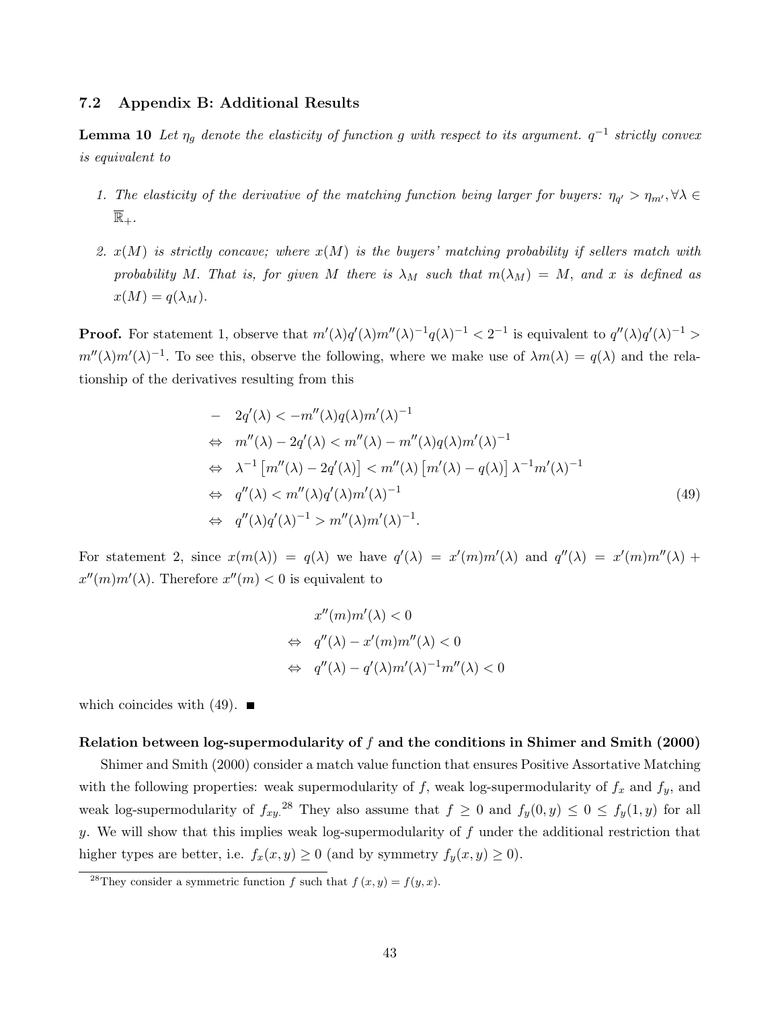### 7.2 Appendix B: Additional Results

**Lemma 10** Let  $\eta_g$  denote the elasticity of function g with respect to its argument.  $q^{-1}$  strictly convex is equivalent to

- 1. The elasticity of the derivative of the matching function being larger for buyers:  $\eta_{q'} > \eta_{m'}$ ,  $\forall \lambda \in$  $\mathbb{R}_+$ .
- 2.  $x(M)$  is strictly concave; where  $x(M)$  is the buyers' matching probability if sellers match with probability M. That is, for given M there is  $\lambda_M$  such that  $m(\lambda_M) = M$ , and x is defined as  $x(M) = q(\lambda_M).$

**Proof.** For statement 1, observe that  $m'(\lambda)q'(\lambda)m''(\lambda)^{-1}q(\lambda)^{-1} < 2^{-1}$  is equivalent to  $q''(\lambda)q'(\lambda)^{-1} >$  $m''(\lambda)m'(\lambda)^{-1}$ . To see this, observe the following, where we make use of  $\lambda m(\lambda) = q(\lambda)$  and the relationship of the derivatives resulting from this

$$
- 2q'(\lambda) < -m''(\lambda)q(\lambda)m'(\lambda)^{-1}
$$
  
\n
$$
\Leftrightarrow m''(\lambda) - 2q'(\lambda) < m''(\lambda) - m''(\lambda)q(\lambda)m'(\lambda)^{-1}
$$
  
\n
$$
\Leftrightarrow \lambda^{-1} [m''(\lambda) - 2q'(\lambda)] < m''(\lambda) [m'(\lambda) - q(\lambda)] \lambda^{-1} m'(\lambda)^{-1}
$$
  
\n
$$
\Leftrightarrow q''(\lambda) < m''(\lambda)q'(\lambda)m'(\lambda)^{-1}
$$
  
\n
$$
\Leftrightarrow q''(\lambda)q'(\lambda)^{-1} > m''(\lambda)m'(\lambda)^{-1}.
$$
\n(49)

For statement 2, since  $x(m(\lambda)) = q(\lambda)$  we have  $q'(\lambda) = x'(m)m'(\lambda)$  and  $q''(\lambda) = x'(m)m''(\lambda) +$  $x''(m)m'(\lambda)$ . Therefore  $x''(m) < 0$  is equivalent to

$$
x''(m)m'(\lambda) < 0
$$
  
\n
$$
\Leftrightarrow q''(\lambda) - x'(m)m''(\lambda) < 0
$$
  
\n
$$
\Leftrightarrow q''(\lambda) - q'(\lambda)m'(\lambda)^{-1}m''(\lambda) < 0
$$

which coincides with  $(49)$ .

### Relation between log-supermodularity of  $f$  and the conditions in Shimer and Smith (2000)

Shimer and Smith (2000) consider a match value function that ensures Positive Assortative Matching with the following properties: weak supermodularity of  $f$ , weak log-supermodularity of  $f_x$  and  $f_y$ , and weak log-supermodularity of  $f_{xy}^{28}$ . They also assume that  $f \geq 0$  and  $f_y(0, y) \leq 0 \leq f_y(1, y)$  for all y. We will show that this implies weak log-supermodularity of  $f$  under the additional restriction that higher types are better, i.e.  $f_x(x, y) \ge 0$  (and by symmetry  $f_y(x, y) \ge 0$ ).

<sup>&</sup>lt;sup>28</sup>They consider a symmetric function f such that  $f(x, y) = f(y, x)$ .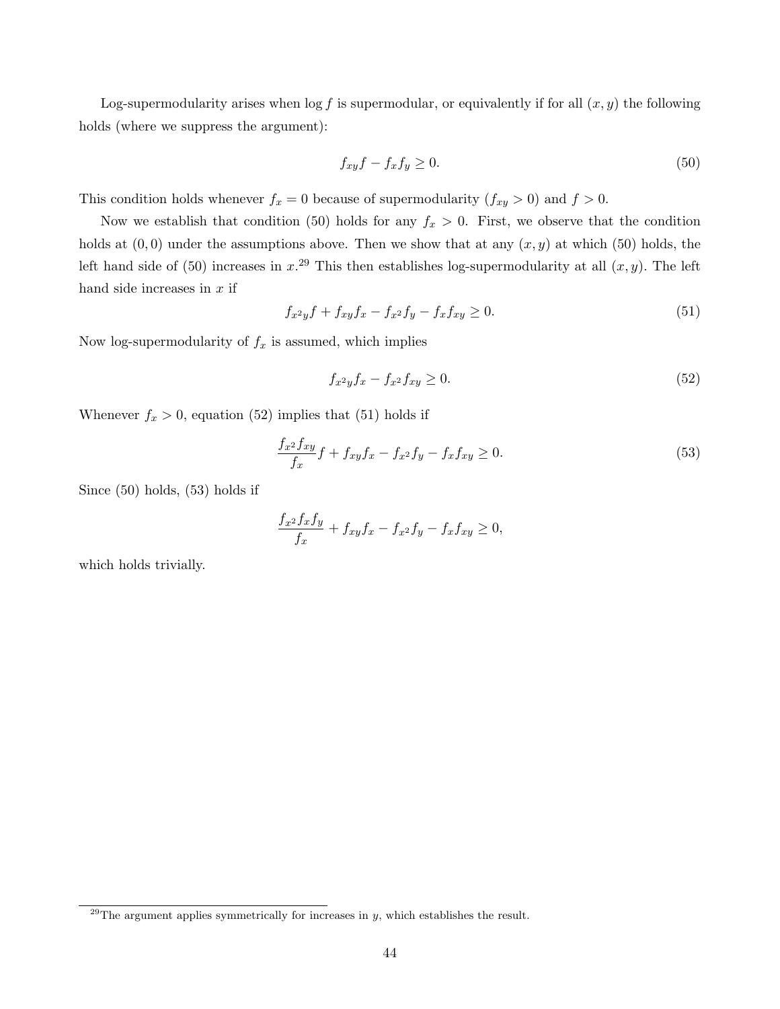Log-supermodularity arises when  $\log f$  is supermodular, or equivalently if for all  $(x, y)$  the following holds (where we suppress the argument):

$$
f_{xy}f - f_x f_y \ge 0. \tag{50}
$$

This condition holds whenever  $f_x = 0$  because of supermodularity  $(f_{xy} > 0)$  and  $f > 0$ .

Now we establish that condition (50) holds for any  $f_x > 0$ . First, we observe that the condition holds at  $(0, 0)$  under the assumptions above. Then we show that at any  $(x, y)$  at which (50) holds, the left hand side of (50) increases in  $x^{29}$ . This then establishes log-supermodularity at all  $(x, y)$ . The left hand side increases in  $x$  if

$$
f_{x^2y}f + f_{xy}f_x - f_{x^2}f_y - f_xf_{xy} \ge 0.
$$
\n(51)

Now log-supermodularity of  $f_x$  is assumed, which implies

$$
f_{x^2y}f_x - f_{x^2}f_{xy} \ge 0. \tag{52}
$$

Whenever  $f_x > 0$ , equation (52) implies that (51) holds if

$$
\frac{f_{x^2}f_{xy}}{f_x}f + f_{xy}f_x - f_{x^2}f_y - f_xf_{xy} \ge 0.
$$
\n(53)

Since (50) holds, (53) holds if

$$
\frac{f_{x^2}f_xf_y}{f_x}+f_{xy}f_x-f_{x^2}f_y-f_xf_{xy}\geq 0,
$$

which holds trivially.

 $29$ The argument applies symmetrically for increases in y, which establishes the result.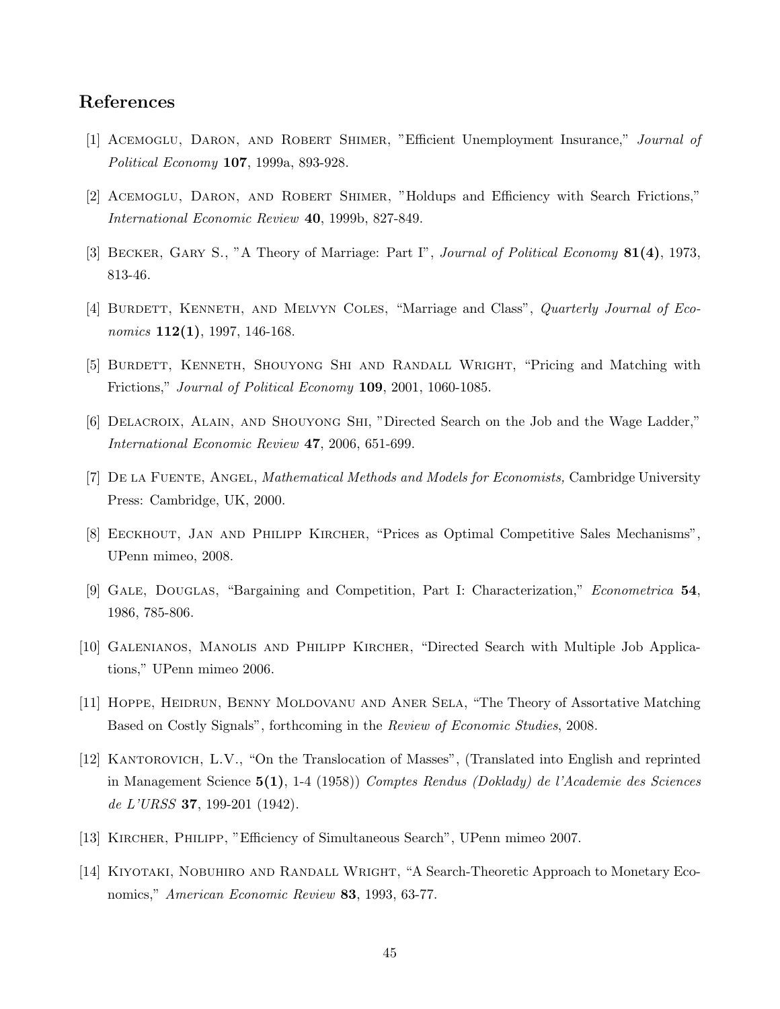# References

- [1] ACEMOGLU, DARON, AND ROBERT SHIMER, "Efficient Unemployment Insurance," Journal of Political Economy 107, 1999a, 893-928.
- [2] Acemoglu, Daron, and Robert Shimer, "Holdups and Efficiency with Search Frictions," International Economic Review 40, 1999b, 827-849.
- [3] BECKER, GARY S., "A Theory of Marriage: Part I", *Journal of Political Economy* 81(4), 1973, 813-46.
- [4] BURDETT, KENNETH, AND MELVYN COLES, "Marriage and Class", *Quarterly Journal of Eco*nomics  $112(1)$ , 1997, 146-168.
- [5] Burdett, Kenneth, Shouyong Shi and Randall Wright, "Pricing and Matching with Frictions," Journal of Political Economy 109, 2001, 1060-1085.
- [6] DELACROIX, ALAIN, AND SHOUYONG SHI, "Directed Search on the Job and the Wage Ladder," International Economic Review 47, 2006, 651-699.
- [7] De la Fuente, Angel, Mathematical Methods and Models for Economists, Cambridge University Press: Cambridge, UK, 2000.
- [8] Eeckhout, Jan and Philipp Kircher, "Prices as Optimal Competitive Sales Mechanisms", UPenn mimeo, 2008.
- [9] Gale, Douglas, "Bargaining and Competition, Part I: Characterization," Econometrica 54, 1986, 785-806.
- [10] Galenianos, Manolis and Philipp Kircher, "Directed Search with Multiple Job Applications," UPenn mimeo 2006.
- [11] Hoppe, Heidrun, Benny Moldovanu and Aner Sela, "The Theory of Assortative Matching Based on Costly Signals", forthcoming in the Review of Economic Studies, 2008.
- [12] KANTOROVICH, L.V., "On the Translocation of Masses", (Translated into English and reprinted in Management Science 5(1), 1-4 (1958)) Comptes Rendus (Doklady) de l'Academie des Sciences de L'URSS 37, 199-201 (1942).
- [13] Kircher, Philipp, "Efficiency of Simultaneous Search", UPenn mimeo 2007.
- [14] Kiyotaki, Nobuhiro and Randall Wright, "A Search-Theoretic Approach to Monetary Economics," American Economic Review 83, 1993, 63-77.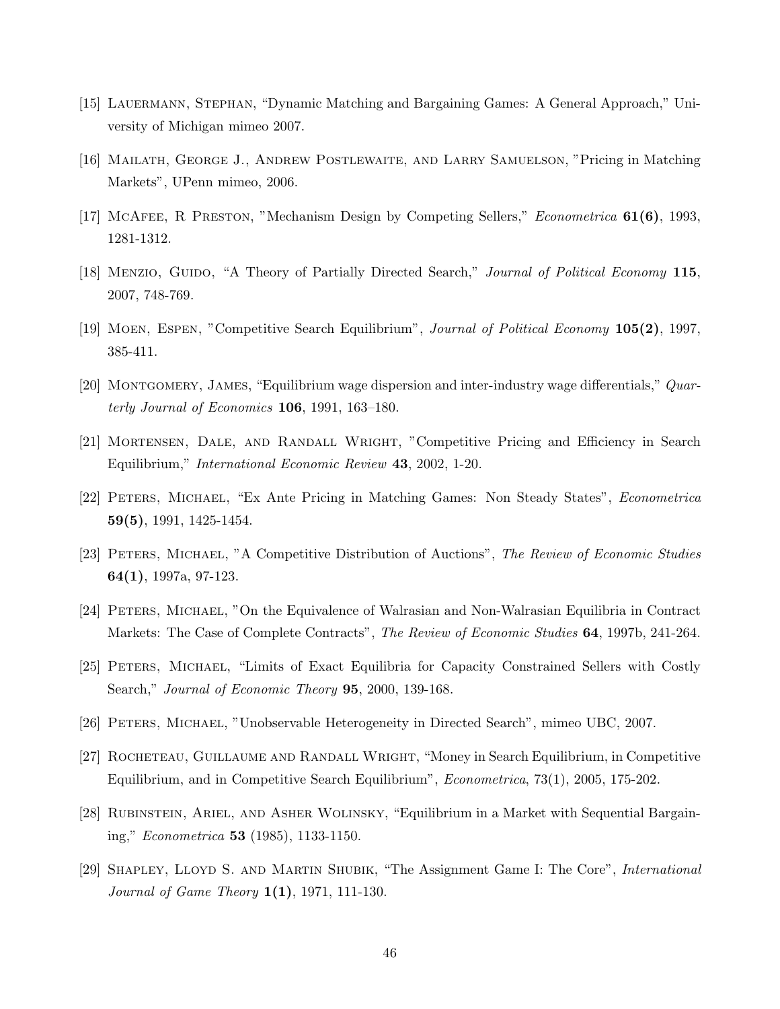- [15] Lauermann, Stephan, "Dynamic Matching and Bargaining Games: A General Approach," University of Michigan mimeo 2007.
- [16] Mailath, George J., Andrew Postlewaite, and Larry Samuelson, "Pricing in Matching Markets", UPenn mimeo, 2006.
- [17] McAfee, R Preston, "Mechanism Design by Competing Sellers," Econometrica 61(6), 1993, 1281-1312.
- [18] MENZIO, GUIDO, "A Theory of Partially Directed Search," Journal of Political Economy 115, 2007, 748-769.
- [19] Moen, Espen, "Competitive Search Equilibrium", Journal of Political Economy 105(2), 1997, 385-411.
- [20] Montgomery, James, "Equilibrium wage dispersion and inter-industry wage differentials," Quarterly Journal of Economics 106, 1991, 163–180.
- [21] Mortensen, Dale, and Randall Wright, "Competitive Pricing and Efficiency in Search Equilibrium," International Economic Review 43, 2002, 1-20.
- [22] Peters, Michael, "Ex Ante Pricing in Matching Games: Non Steady States", Econometrica 59(5), 1991, 1425-1454.
- [23] PETERS, MICHAEL, "A Competitive Distribution of Auctions", The Review of Economic Studies 64(1), 1997a, 97-123.
- [24] Peters, Michael, "On the Equivalence of Walrasian and Non-Walrasian Equilibria in Contract Markets: The Case of Complete Contracts", The Review of Economic Studies **64**, 1997b, 241-264.
- [25] Peters, Michael, "Limits of Exact Equilibria for Capacity Constrained Sellers with Costly Search," Journal of Economic Theory 95, 2000, 139-168.
- [26] Peters, Michael, "Unobservable Heterogeneity in Directed Search", mimeo UBC, 2007.
- [27] ROCHETEAU, GUILLAUME AND RANDALL WRIGHT, "Money in Search Equilibrium, in Competitive Equilibrium, and in Competitive Search Equilibrium", Econometrica, 73(1), 2005, 175-202.
- [28] Rubinstein, Ariel, and Asher Wolinsky, "Equilibrium in a Market with Sequential Bargaining," Econometrica 53 (1985), 1133-1150.
- [29] Shapley, Lloyd S. and Martin Shubik, "The Assignment Game I: The Core", International Journal of Game Theory 1(1), 1971, 111-130.